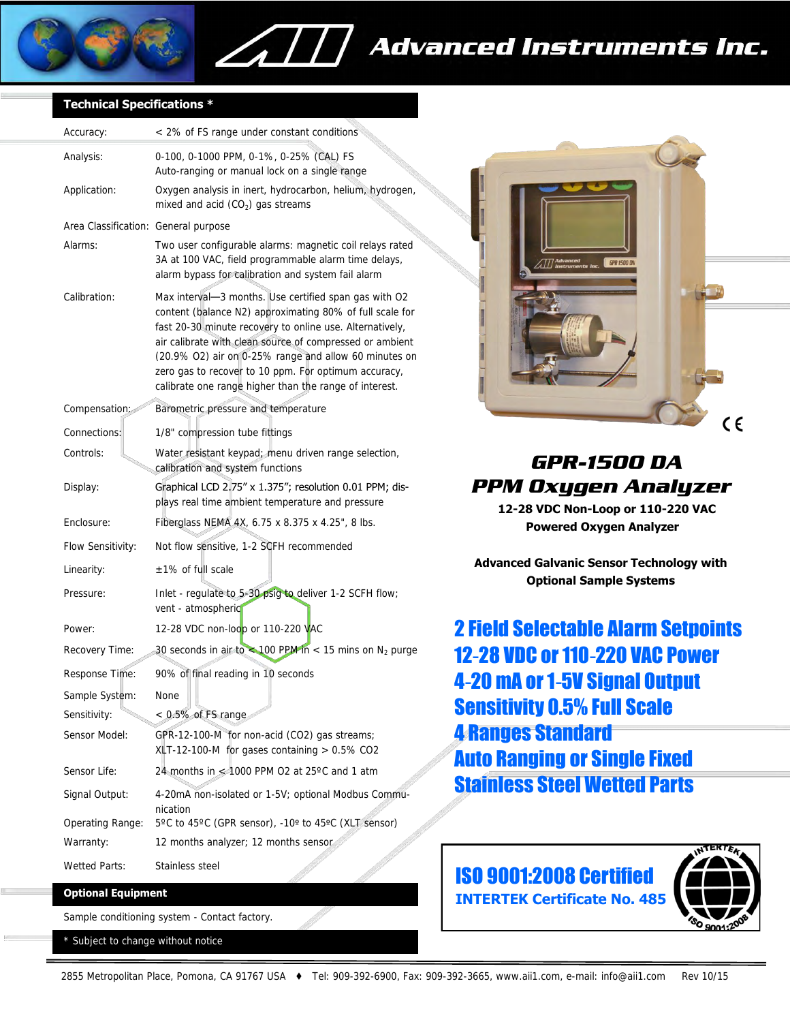

### **Advanced Instruments Inc.**

#### **Technical Specifications \***

| Accuracy:                            | < 2% of FS range under constant conditions                                                                                                                                                                                                                                                                                                                                                                           |
|--------------------------------------|----------------------------------------------------------------------------------------------------------------------------------------------------------------------------------------------------------------------------------------------------------------------------------------------------------------------------------------------------------------------------------------------------------------------|
| Analysis:                            | 0-100, 0-1000 PPM, 0-1%, 0-25% (CAL) FS<br>Auto-ranging or manual lock on a single range                                                                                                                                                                                                                                                                                                                             |
| Application:                         | Oxygen analysis in inert, hydrocarbon, helium, hydrogen,<br>mixed and acid $(CO2)$ gas streams                                                                                                                                                                                                                                                                                                                       |
| Area Classification: General purpose |                                                                                                                                                                                                                                                                                                                                                                                                                      |
| Alarms:                              | Two user configurable alarms: magnetic coil relays rated<br>3A at 100 VAC, field programmable alarm time delays,<br>alarm bypass for calibration and system fail alarm                                                                                                                                                                                                                                               |
| Calibration:                         | Max interval-3 months. Use certified span gas with O2<br>content (balance N2) approximating 80% of full scale for<br>fast 20-30 minute recovery to online use. Alternatively,<br>air calibrate with clean source of compressed or ambient<br>(20.9% O2) air on 0-25% range and allow 60 minutes on<br>zero gas to recover to 10 ppm. For optimum accuracy,<br>calibrate one range higher than the range of interest. |
| Compensation:                        | Barometric pressure and temperature                                                                                                                                                                                                                                                                                                                                                                                  |
| Connections:                         | 1/8" compression tube fittings                                                                                                                                                                                                                                                                                                                                                                                       |
| Controls:                            | Water resistant keypad: menu driven range selection,<br>calibration and system functions                                                                                                                                                                                                                                                                                                                             |
| Display:                             | Graphical LCD 2.75" x 1.375"; resolution 0.01 PPM; dis-<br>plays real time ambient temperature and pressure                                                                                                                                                                                                                                                                                                          |
| Enclosure:                           | Fiberglass NEMA 4X, 6.75 x 8.375 x 4.25", 8 lbs.                                                                                                                                                                                                                                                                                                                                                                     |
| Flow Sensitivity:                    | Not flow sensitive, 1-2 SQFH recommended                                                                                                                                                                                                                                                                                                                                                                             |
| Linearity:                           | $\pm$ 1% of full scale                                                                                                                                                                                                                                                                                                                                                                                               |
| Pressure:                            | Inlet - regulate to 5-30 psig to deliver 1-2 SCFH flow;<br>vent - atmospheric                                                                                                                                                                                                                                                                                                                                        |
| Power:                               | 12-28 VDC non-loop or 110-220 VAC                                                                                                                                                                                                                                                                                                                                                                                    |
| Recovery Time:                       | 30 seconds in air to $\approx$ 100 PPM in < 15 mins on N <sub>2</sub> purge                                                                                                                                                                                                                                                                                                                                          |
| Response Time:                       | 90% of final reading in 10 seconds                                                                                                                                                                                                                                                                                                                                                                                   |
| Sample System:                       | None                                                                                                                                                                                                                                                                                                                                                                                                                 |
| Sensitivity:                         | < 0.5% of FS range                                                                                                                                                                                                                                                                                                                                                                                                   |
| Sensor Model:                        | GPR-12-100-M for non-acid (CO2) gas streams;<br>$XLT-12-100-M$ for gases containing $> 0.5\%$ CO2                                                                                                                                                                                                                                                                                                                    |
| Sensor Life:                         | 24 months in $\leq 1000$ PPM O2 at 25°C and 1 atm                                                                                                                                                                                                                                                                                                                                                                    |
| Signal Output:                       | 4-20mA non-isolated or 1-5V; optional Modbus Commu-<br>nication                                                                                                                                                                                                                                                                                                                                                      |
| Operating Range:                     | 5°C to 45°C (GPR sensor), -10º to 45°C (XLT sensor)                                                                                                                                                                                                                                                                                                                                                                  |
| Warranty:                            | 12 months analyzer; 12 months sensor                                                                                                                                                                                                                                                                                                                                                                                 |
| Wetted Parts:                        | Stainless steel                                                                                                                                                                                                                                                                                                                                                                                                      |

 $\angle$ 

#### **Optional Equipment**

Sample conditioning system - Contact factory.

\* Subject to change without notice



### *GPR-1500 DA PPM Oxygen Analyzer*

 **12-28 VDC Non-Loop or 110-220 VAC Powered Oxygen Analyzer** 

**Advanced Galvanic Sensor Technology with Optional Sample Systems** 

2 Field Selectable Alarm Setpoints 12-28 VDC or 110-220 VAC Power 4-20 mA or 1-5V Signal Output Sensitivity 0.5% Full Scale 4 Ranges Standard Auto Ranging or Single Fixed Stainless Steel Wetted Parts



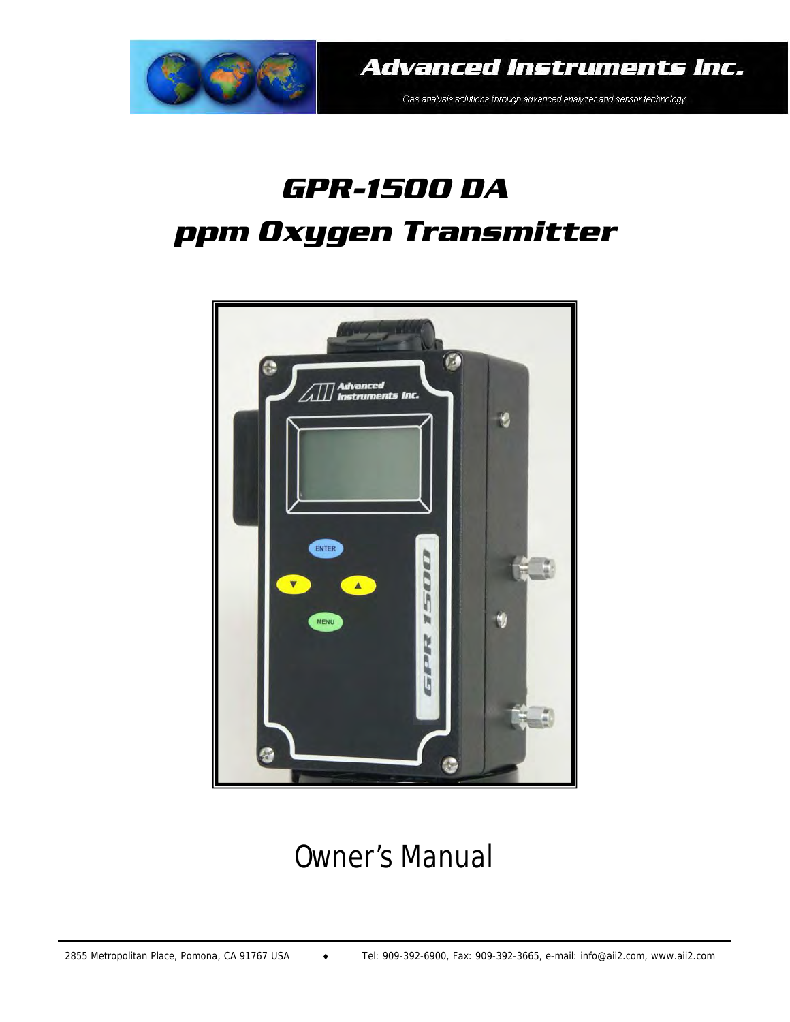

**Advanced Instruments Inc.** 

Gas analysis solutions through advanced analyzer and sensor technology

# *GPR-1500 DA ppm Oxygen Transmitter*



## Owner's Manual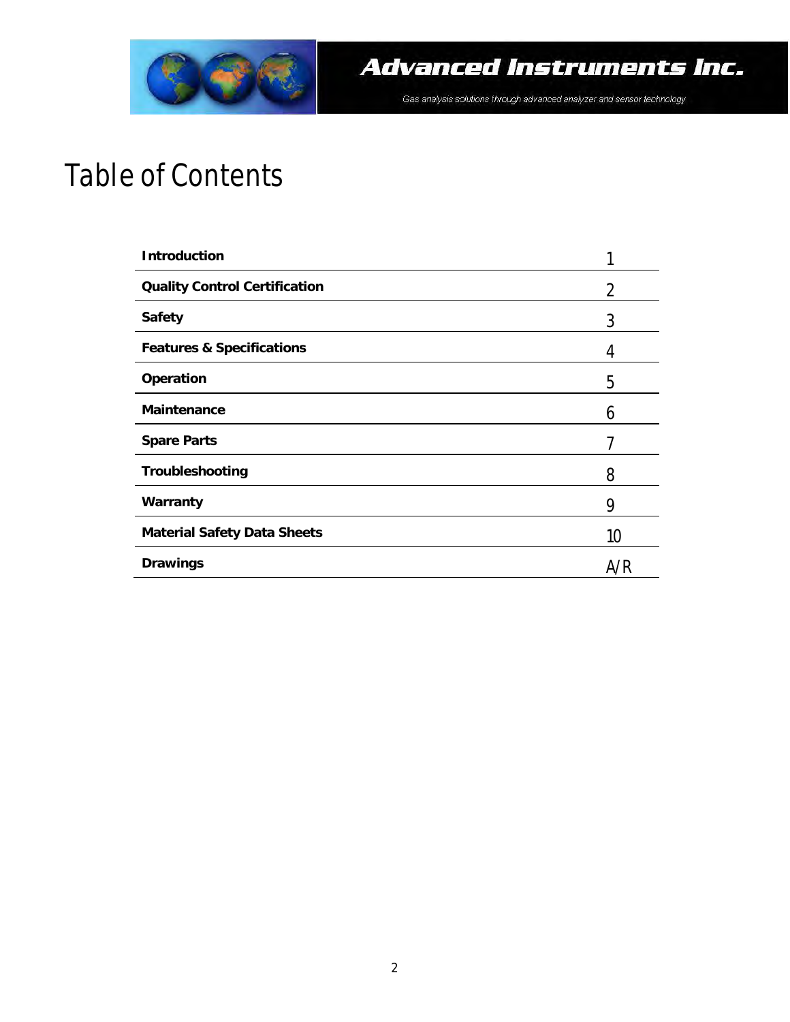

## Table of Contents

| <b>Introduction</b>                  |     |
|--------------------------------------|-----|
| <b>Quality Control Certification</b> | 2   |
| <b>Safety</b>                        | 3   |
| <b>Features &amp; Specifications</b> | 4   |
| Operation                            | 5   |
| <b>Maintenance</b>                   | 6   |
| <b>Spare Parts</b>                   |     |
| Troubleshooting                      | 8   |
| Warranty                             | 9   |
| <b>Material Safety Data Sheets</b>   | 10  |
| <b>Drawings</b>                      | A/R |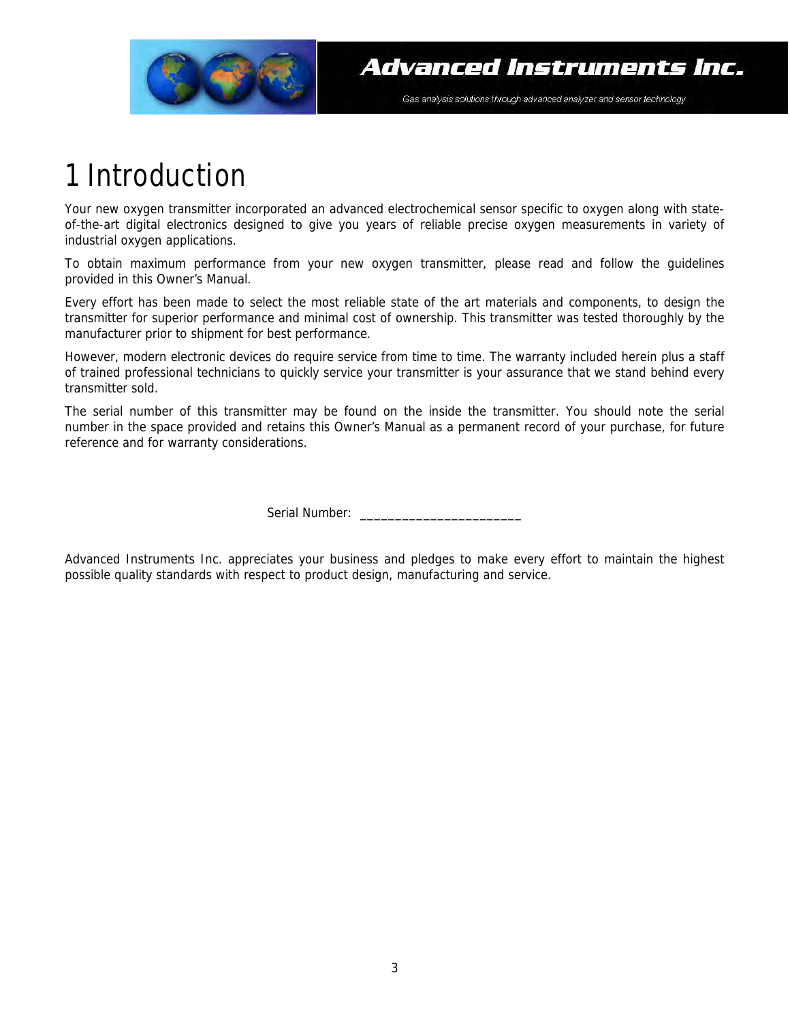

## 1 Introduction

Your new oxygen transmitter incorporated an advanced electrochemical sensor specific to oxygen along with stateof-the-art digital electronics designed to give you years of reliable precise oxygen measurements in variety of industrial oxygen applications.

To obtain maximum performance from your new oxygen transmitter, please read and follow the guidelines provided in this Owner's Manual.

Every effort has been made to select the most reliable state of the art materials and components, to design the transmitter for superior performance and minimal cost of ownership. This transmitter was tested thoroughly by the manufacturer prior to shipment for best performance.

However, modern electronic devices do require service from time to time. The warranty included herein plus a staff of trained professional technicians to quickly service your transmitter is your assurance that we stand behind every transmitter sold.

The serial number of this transmitter may be found on the inside the transmitter. You should note the serial number in the space provided and retains this Owner's Manual as a permanent record of your purchase, for future reference and for warranty considerations.

Serial Number: \_\_\_\_\_\_\_\_\_\_\_\_\_\_\_\_\_\_\_\_\_\_\_

Advanced Instruments Inc. appreciates your business and pledges to make every effort to maintain the highest possible quality standards with respect to product design, manufacturing and service.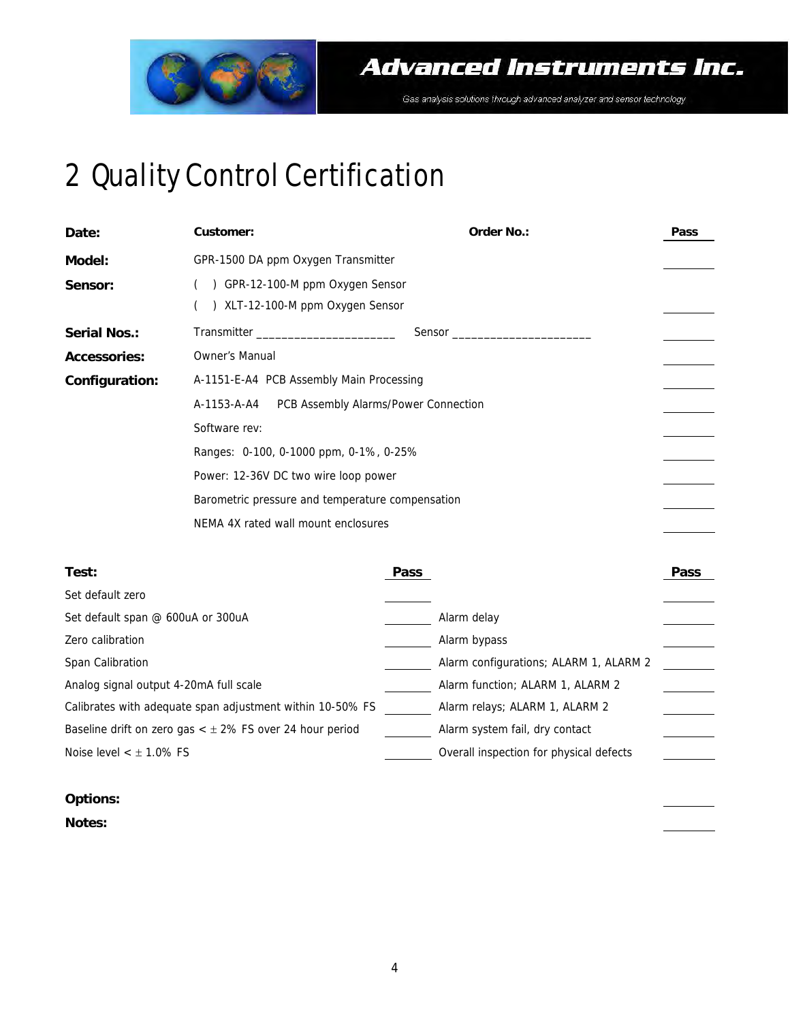

# 2 Quality Control Certification

| Date:               | <b>Customer:</b>                                                    | <b>Order No.:</b> | <b>Pass</b> |
|---------------------|---------------------------------------------------------------------|-------------------|-------------|
| Model:              | GPR-1500 DA ppm Oxygen Transmitter                                  |                   |             |
| Sensor:             | GPR-12-100-M ppm Oxygen Sensor<br>() XLT-12-100-M ppm Oxygen Sensor |                   |             |
| <b>Serial Nos.:</b> |                                                                     | Sensor            |             |
| <b>Accessories:</b> | Owner's Manual                                                      |                   |             |
| Configuration:      | A-1151-E-A4 PCB Assembly Main Processing                            |                   |             |
|                     | PCB Assembly Alarms/Power Connection<br>A-1153-A-A4                 |                   |             |
|                     | Software rev:                                                       |                   |             |
|                     | Ranges: 0-100, 0-1000 ppm, 0-1%, 0-25%                              |                   |             |
|                     | Power: 12-36V DC two wire loop power                                |                   |             |
|                     | Barometric pressure and temperature compensation                    |                   |             |
|                     | NEMA 4X rated wall mount enclosures                                 |                   |             |

| Test:                                                          | <b>Pass</b>                             | <b>Pass</b> |
|----------------------------------------------------------------|-----------------------------------------|-------------|
| Set default zero                                               |                                         |             |
| Set default span @ 600uA or 300uA                              | Alarm delay                             |             |
| Zero calibration                                               | Alarm bypass                            |             |
| Span Calibration                                               | Alarm configurations; ALARM 1, ALARM 2  |             |
| Analog signal output 4-20mA full scale                         | Alarm function; ALARM 1, ALARM 2        |             |
| Calibrates with adequate span adjustment within 10-50% FS      | Alarm relays; ALARM 1, ALARM 2          |             |
| Baseline drift on zero gas $<$ $\pm$ 2% FS over 24 hour period | Alarm system fail, dry contact          |             |
| Noise level $<$ $\pm$ 1.0% FS                                  | Overall inspection for physical defects |             |
|                                                                |                                         |             |

#### **Options:**

**Notes:**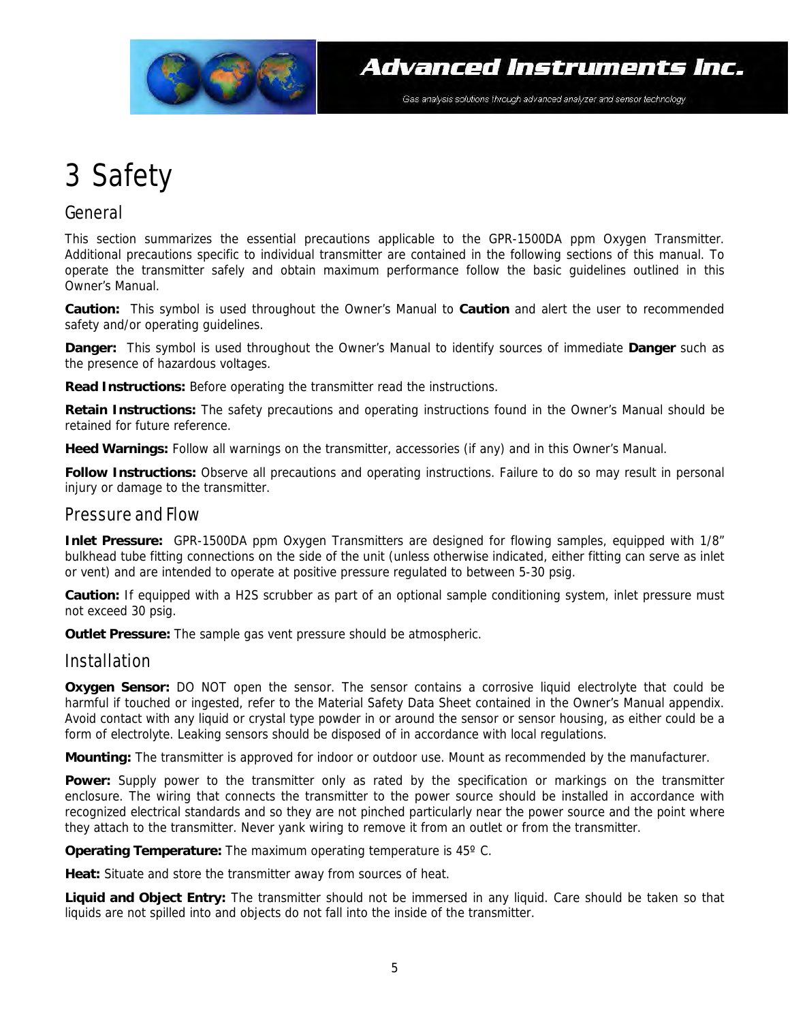

## 3 Safety

### General

This section summarizes the essential precautions applicable to the GPR-1500DA ppm Oxygen Transmitter. Additional precautions specific to individual transmitter are contained in the following sections of this manual. To operate the transmitter safely and obtain maximum performance follow the basic guidelines outlined in this Owner's Manual.

**Caution:** This symbol is used throughout the Owner's Manual to **Caution** and alert the user to recommended safety and/or operating guidelines.

**Danger:** This symbol is used throughout the Owner's Manual to identify sources of immediate **Danger** such as the presence of hazardous voltages.

**Read Instructions:** Before operating the transmitter read the instructions.

**Retain Instructions:** The safety precautions and operating instructions found in the Owner's Manual should be retained for future reference.

**Heed Warnings:** Follow all warnings on the transmitter, accessories (if any) and in this Owner's Manual.

**Follow Instructions:** Observe all precautions and operating instructions. Failure to do so may result in personal injury or damage to the transmitter.

#### Pressure and Flow

**Inlet Pressure:** GPR-1500DA ppm Oxygen Transmitters are designed for flowing samples, equipped with 1/8" bulkhead tube fitting connections on the side of the unit (unless otherwise indicated, either fitting can serve as inlet or vent) and are intended to operate at positive pressure regulated to between 5-30 psig.

**Caution:** If equipped with a H2S scrubber as part of an optional sample conditioning system, inlet pressure must not exceed 30 psig.

**Outlet Pressure:** The sample gas vent pressure should be atmospheric.

#### Installation

**Oxygen Sensor:** DO NOT open the sensor. The sensor contains a corrosive liquid electrolyte that could be harmful if touched or ingested, refer to the Material Safety Data Sheet contained in the Owner's Manual appendix. Avoid contact with any liquid or crystal type powder in or around the sensor or sensor housing, as either could be a form of electrolyte. Leaking sensors should be disposed of in accordance with local regulations.

**Mounting:** The transmitter is approved for indoor or outdoor use. Mount as recommended by the manufacturer.

**Power:** Supply power to the transmitter only as rated by the specification or markings on the transmitter enclosure. The wiring that connects the transmitter to the power source should be installed in accordance with recognized electrical standards and so they are not pinched particularly near the power source and the point where they attach to the transmitter. Never yank wiring to remove it from an outlet or from the transmitter.

**Operating Temperature:** The maximum operating temperature is 45° C.

**Heat:** Situate and store the transmitter away from sources of heat.

**Liquid and Object Entry:** The transmitter should not be immersed in any liquid. Care should be taken so that liquids are not spilled into and objects do not fall into the inside of the transmitter.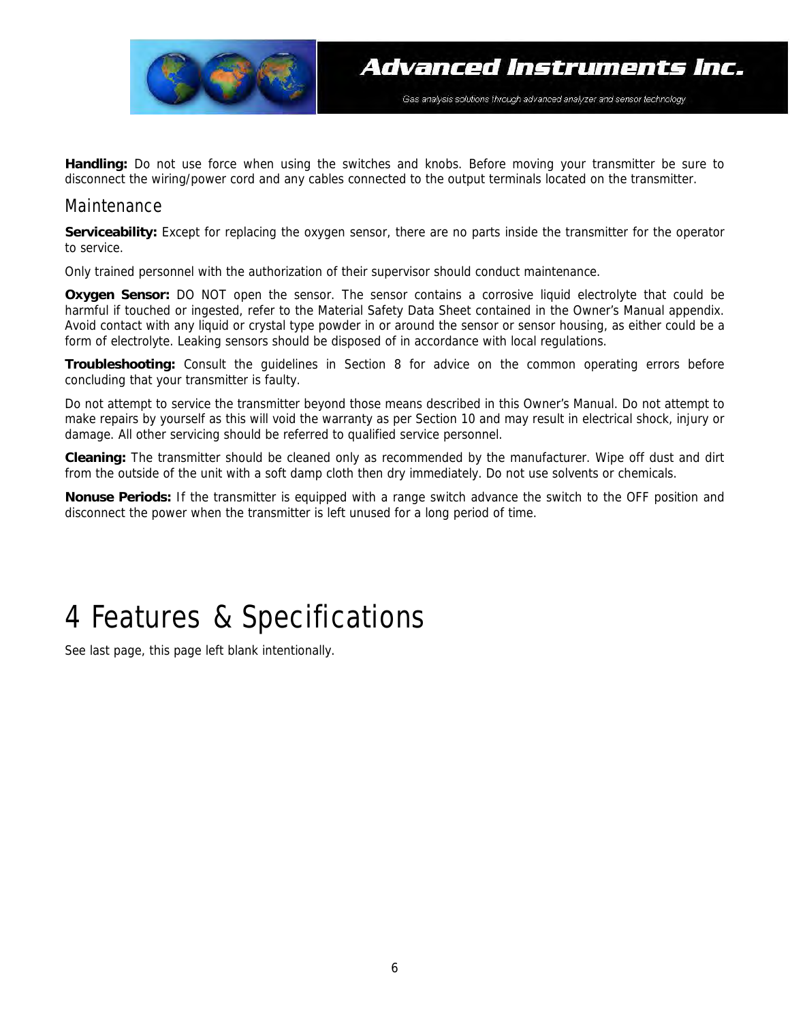

**Handling:** Do not use force when using the switches and knobs. Before moving your transmitter be sure to disconnect the wiring/power cord and any cables connected to the output terminals located on the transmitter.

#### Maintenance

**Serviceability:** Except for replacing the oxygen sensor, there are no parts inside the transmitter for the operator to service.

Only trained personnel with the authorization of their supervisor should conduct maintenance.

**Oxygen Sensor:** DO NOT open the sensor. The sensor contains a corrosive liquid electrolyte that could be harmful if touched or ingested, refer to the Material Safety Data Sheet contained in the Owner's Manual appendix. Avoid contact with any liquid or crystal type powder in or around the sensor or sensor housing, as either could be a form of electrolyte. Leaking sensors should be disposed of in accordance with local regulations.

**Troubleshooting:** Consult the guidelines in Section 8 for advice on the common operating errors before concluding that your transmitter is faulty.

Do not attempt to service the transmitter beyond those means described in this Owner's Manual. Do not attempt to make repairs by yourself as this will void the warranty as per Section 10 and may result in electrical shock, injury or damage. All other servicing should be referred to qualified service personnel.

**Cleaning:** The transmitter should be cleaned only as recommended by the manufacturer. Wipe off dust and dirt from the outside of the unit with a soft damp cloth then dry immediately. Do not use solvents or chemicals.

**Nonuse Periods:** If the transmitter is equipped with a range switch advance the switch to the OFF position and disconnect the power when the transmitter is left unused for a long period of time.

## 4 Features & Specifications

See last page, this page left blank intentionally.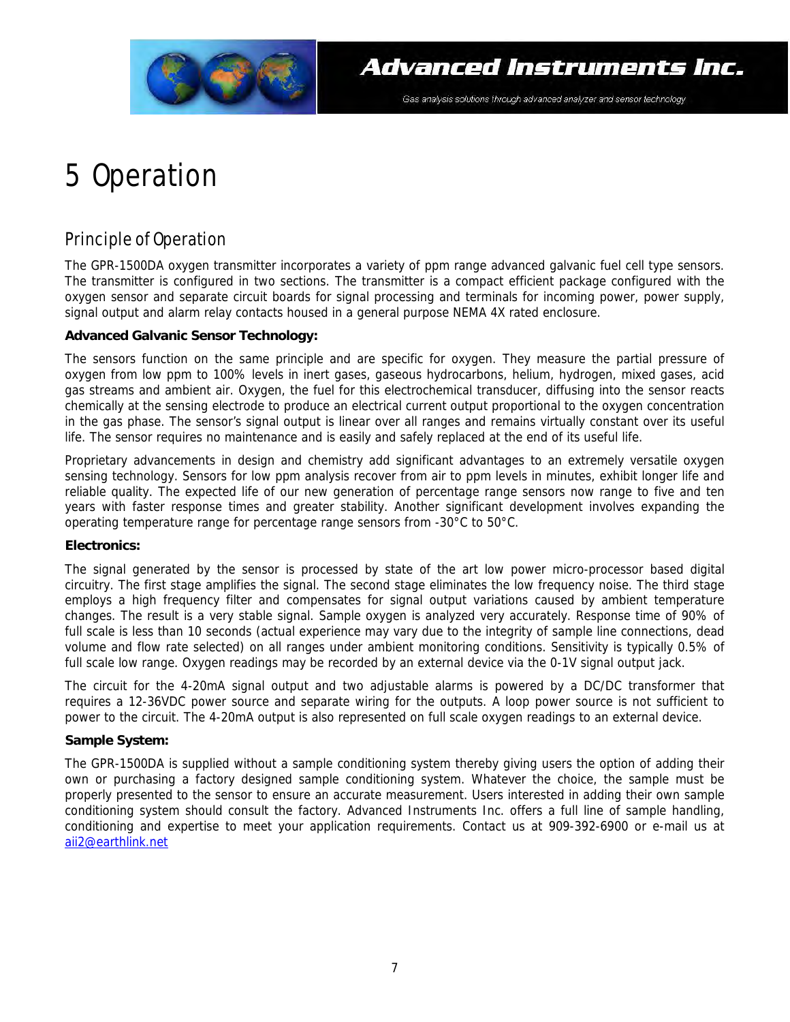

## 5 Operation

### Principle of Operation

The GPR-1500DA oxygen transmitter incorporates a variety of ppm range advanced galvanic fuel cell type sensors. The transmitter is configured in two sections. The transmitter is a compact efficient package configured with the oxygen sensor and separate circuit boards for signal processing and terminals for incoming power, power supply, signal output and alarm relay contacts housed in a general purpose NEMA 4X rated enclosure.

#### **Advanced Galvanic Sensor Technology:**

The sensors function on the same principle and are specific for oxygen. They measure the partial pressure of oxygen from low ppm to 100% levels in inert gases, gaseous hydrocarbons, helium, hydrogen, mixed gases, acid gas streams and ambient air. Oxygen, the fuel for this electrochemical transducer, diffusing into the sensor reacts chemically at the sensing electrode to produce an electrical current output proportional to the oxygen concentration in the gas phase. The sensor's signal output is linear over all ranges and remains virtually constant over its useful life. The sensor requires no maintenance and is easily and safely replaced at the end of its useful life.

Proprietary advancements in design and chemistry add significant advantages to an extremely versatile oxygen sensing technology. Sensors for low ppm analysis recover from air to ppm levels in minutes, exhibit longer life and reliable quality. The expected life of our new generation of percentage range sensors now range to five and ten years with faster response times and greater stability. Another significant development involves expanding the operating temperature range for percentage range sensors from -30°C to 50°C.

#### **Electronics:**

The signal generated by the sensor is processed by state of the art low power micro-processor based digital circuitry. The first stage amplifies the signal. The second stage eliminates the low frequency noise. The third stage employs a high frequency filter and compensates for signal output variations caused by ambient temperature changes. The result is a very stable signal. Sample oxygen is analyzed very accurately. Response time of 90% of full scale is less than 10 seconds (actual experience may vary due to the integrity of sample line connections, dead volume and flow rate selected) on all ranges under ambient monitoring conditions. Sensitivity is typically 0.5% of full scale low range. Oxygen readings may be recorded by an external device via the 0-1V signal output jack.

The circuit for the 4-20mA signal output and two adjustable alarms is powered by a DC/DC transformer that requires a 12-36VDC power source and separate wiring for the outputs. A loop power source is not sufficient to power to the circuit. The 4-20mA output is also represented on full scale oxygen readings to an external device.

#### **Sample System:**

The GPR-1500DA is supplied without a sample conditioning system thereby giving users the option of adding their own or purchasing a factory designed sample conditioning system. Whatever the choice, the sample must be properly presented to the sensor to ensure an accurate measurement. Users interested in adding their own sample conditioning system should consult the factory. Advanced Instruments Inc. offers a full line of sample handling, conditioning and expertise to meet your application requirements. Contact us at 909-392-6900 or e-mail us at aii2@earthlink.net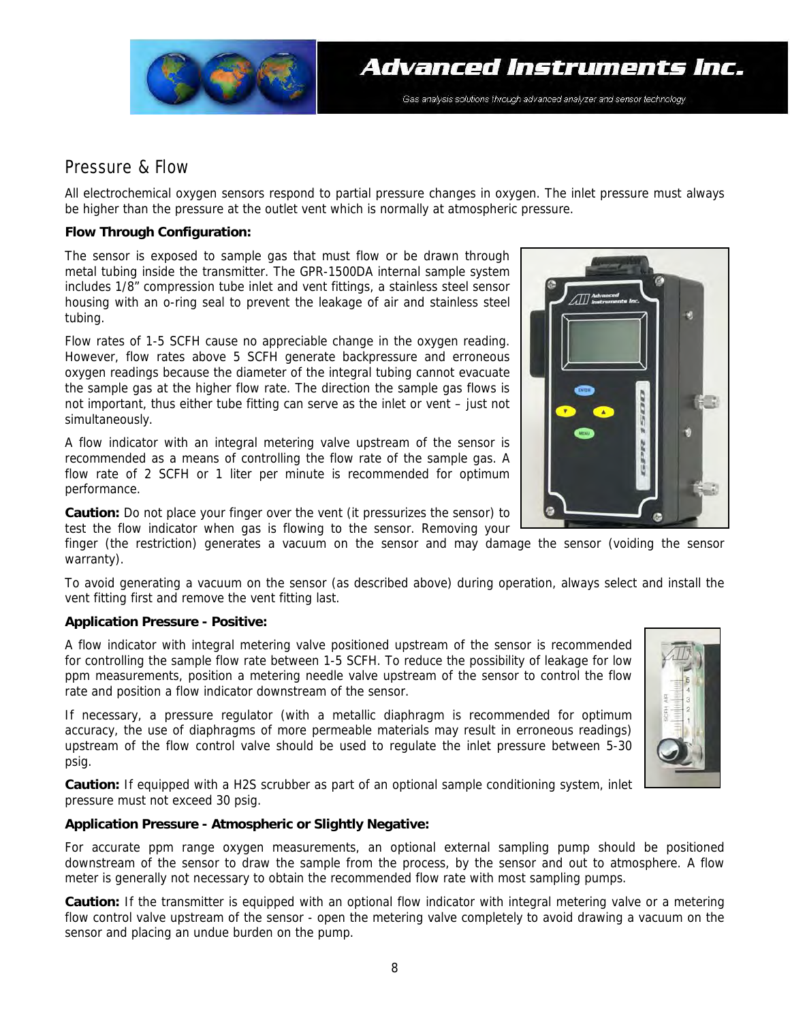

#### Pressure & Flow

All electrochemical oxygen sensors respond to partial pressure changes in oxygen. The inlet pressure must always be higher than the pressure at the outlet vent which is normally at atmospheric pressure.

#### **Flow Through Configuration:**

The sensor is exposed to sample gas that must flow or be drawn through metal tubing inside the transmitter. The GPR-1500DA internal sample system includes 1/8" compression tube inlet and vent fittings, a stainless steel sensor housing with an o-ring seal to prevent the leakage of air and stainless steel tubing.

Flow rates of 1-5 SCFH cause no appreciable change in the oxygen reading. However, flow rates above 5 SCFH generate backpressure and erroneous oxygen readings because the diameter of the integral tubing cannot evacuate the sample gas at the higher flow rate. The direction the sample gas flows is not important, thus either tube fitting can serve as the inlet or vent – just not simultaneously.

A flow indicator with an integral metering valve upstream of the sensor is recommended as a means of controlling the flow rate of the sample gas. A flow rate of 2 SCFH or 1 liter per minute is recommended for optimum performance.

**Caution:** Do not place your finger over the vent (it pressurizes the sensor) to test the flow indicator when gas is flowing to the sensor. Removing your

finger (the restriction) generates a vacuum on the sensor and may damage the sensor (voiding the sensor warranty).

To avoid generating a vacuum on the sensor (as described above) during operation, always select and install the vent fitting first and remove the vent fitting last.

#### **Application Pressure - Positive:**

A flow indicator with integral metering valve positioned upstream of the sensor is recommended for controlling the sample flow rate between 1-5 SCFH. To reduce the possibility of leakage for low ppm measurements, position a metering needle valve upstream of the sensor to control the flow rate and position a flow indicator downstream of the sensor.

If necessary, a pressure regulator (with a metallic diaphragm is recommended for optimum accuracy, the use of diaphragms of more permeable materials may result in erroneous readings) upstream of the flow control valve should be used to regulate the inlet pressure between 5-30 psig.

**Caution:** If equipped with a H2S scrubber as part of an optional sample conditioning system, inlet pressure must not exceed 30 psig.

#### **Application Pressure - Atmospheric or Slightly Negative:**

For accurate ppm range oxygen measurements, an optional external sampling pump should be positioned downstream of the sensor to draw the sample from the process, by the sensor and out to atmosphere. A flow meter is generally not necessary to obtain the recommended flow rate with most sampling pumps.

**Caution:** If the transmitter is equipped with an optional flow indicator with integral metering valve or a metering flow control valve upstream of the sensor - open the metering valve completely to avoid drawing a vacuum on the sensor and placing an undue burden on the pump.

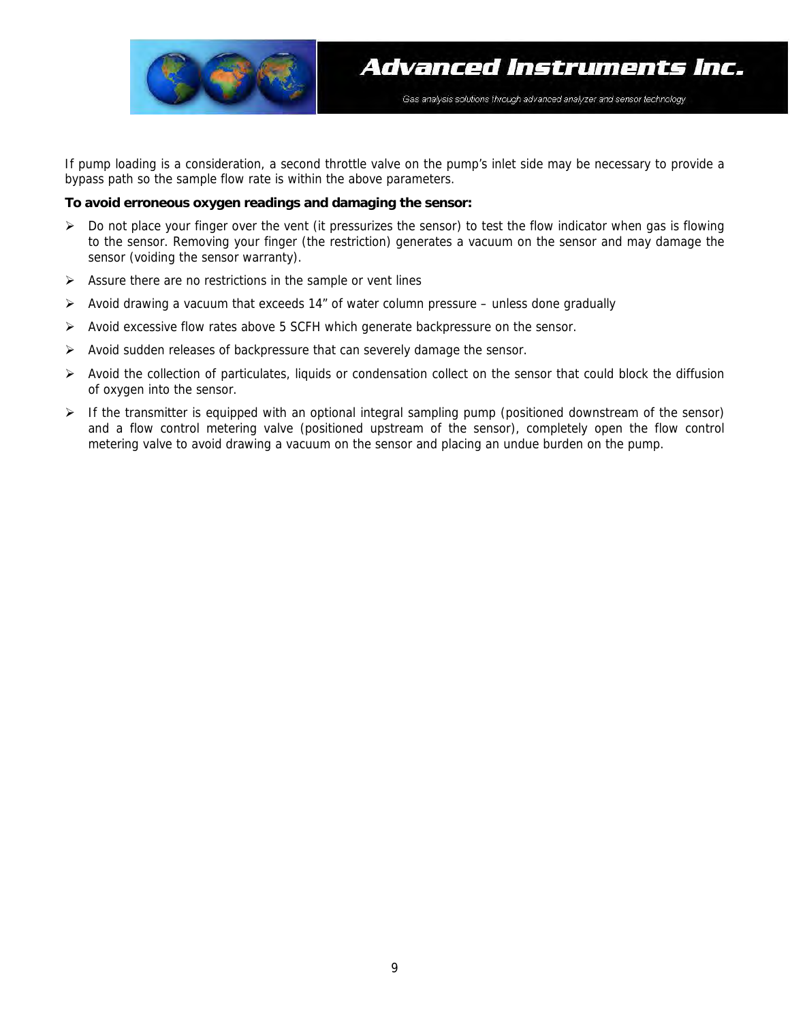

If pump loading is a consideration, a second throttle valve on the pump's inlet side may be necessary to provide a bypass path so the sample flow rate is within the above parameters.

#### **To avoid erroneous oxygen readings and damaging the sensor:**

- $\triangleright$  Do not place your finger over the vent (it pressurizes the sensor) to test the flow indicator when gas is flowing to the sensor. Removing your finger (the restriction) generates a vacuum on the sensor and may damage the sensor (voiding the sensor warranty).
- $\triangleright$  Assure there are no restrictions in the sample or vent lines
- ¾ Avoid drawing a vacuum that exceeds 14" of water column pressure unless done gradually
- ¾ Avoid excessive flow rates above 5 SCFH which generate backpressure on the sensor.
- $\triangleright$  Avoid sudden releases of backpressure that can severely damage the sensor.
- $\triangleright$  Avoid the collection of particulates, liquids or condensation collect on the sensor that could block the diffusion of oxygen into the sensor.
- $\triangleright$  If the transmitter is equipped with an optional integral sampling pump (positioned downstream of the sensor) and a flow control metering valve (positioned upstream of the sensor), completely open the flow control metering valve to avoid drawing a vacuum on the sensor and placing an undue burden on the pump.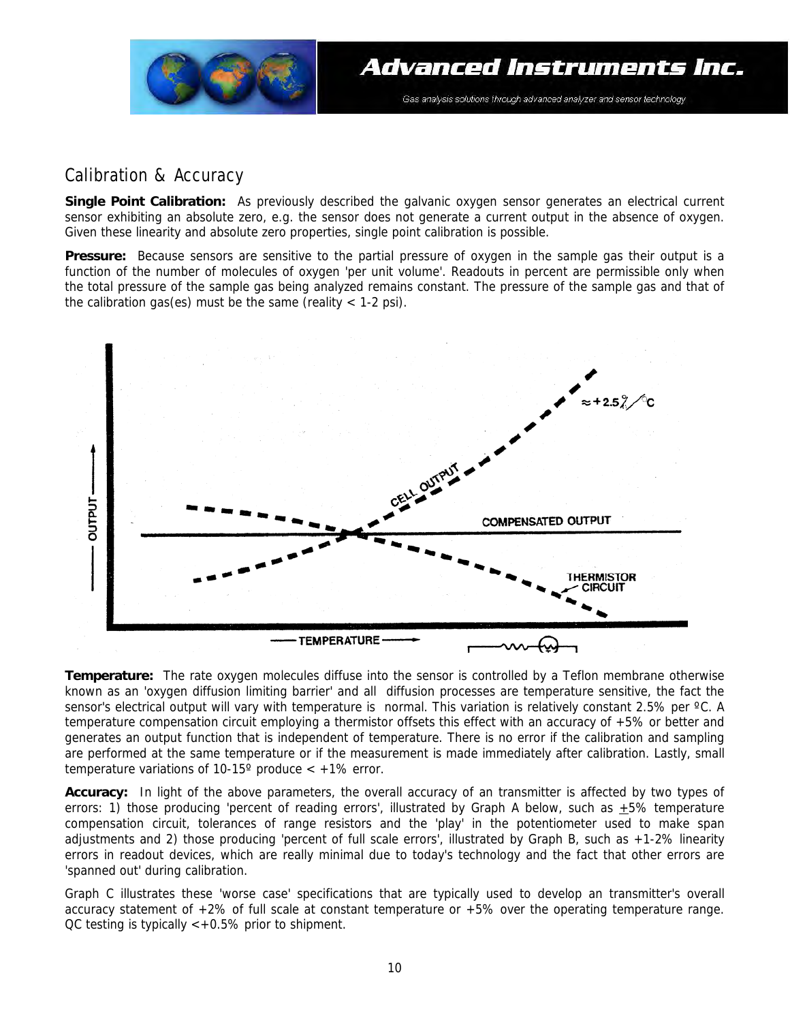

### Calibration & Accuracy

**Single Point Calibration:** As previously described the galvanic oxygen sensor generates an electrical current sensor exhibiting an absolute zero, e.g. the sensor does not generate a current output in the absence of oxygen. Given these linearity and absolute zero properties, single point calibration is possible.

**Pressure:** Because sensors are sensitive to the partial pressure of oxygen in the sample gas their output is a function of the number of molecules of oxygen 'per unit volume'. Readouts in percent are permissible only when the total pressure of the sample gas being analyzed remains constant. The pressure of the sample gas and that of the calibration gas(es) must be the same (reality  $<$  1-2 psi).



**Temperature:** The rate oxygen molecules diffuse into the sensor is controlled by a Teflon membrane otherwise known as an 'oxygen diffusion limiting barrier' and all diffusion processes are temperature sensitive, the fact the sensor's electrical output will vary with temperature is normal. This variation is relatively constant 2.5% per °C. A temperature compensation circuit employing a thermistor offsets this effect with an accuracy of +5% or better and generates an output function that is independent of temperature. There is no error if the calibration and sampling are performed at the same temperature or if the measurement is made immediately after calibration. Lastly, small temperature variations of 10-15 $^{\circ}$  produce  $<$  +1% error.

**Accuracy:** In light of the above parameters, the overall accuracy of an transmitter is affected by two types of errors: 1) those producing 'percent of reading errors', illustrated by Graph A below, such as  $\pm 5\%$  temperature compensation circuit, tolerances of range resistors and the 'play' in the potentiometer used to make span adjustments and 2) those producing 'percent of full scale errors', illustrated by Graph B, such as +1-2% linearity errors in readout devices, which are really minimal due to today's technology and the fact that other errors are 'spanned out' during calibration.

Graph C illustrates these 'worse case' specifications that are typically used to develop an transmitter's overall accuracy statement of +2% of full scale at constant temperature or +5% over the operating temperature range.  $OC$  testing is typically  $\lt +0.5\%$  prior to shipment.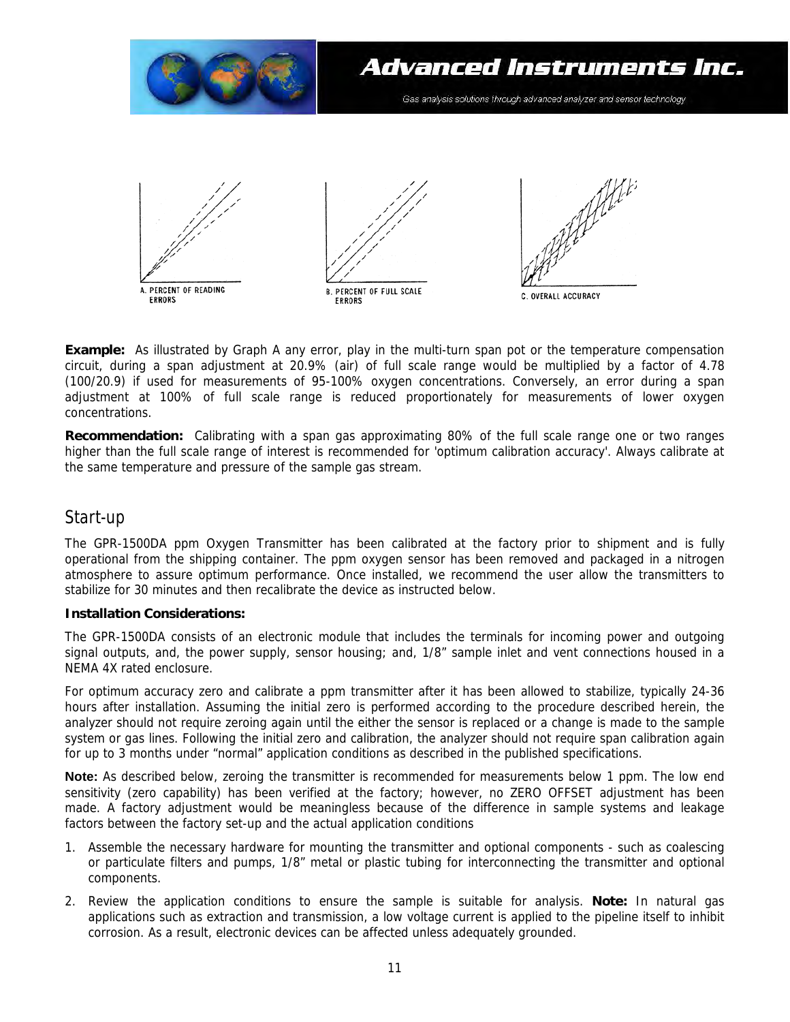

**Example:** As illustrated by Graph A any error, play in the multi-turn span pot or the temperature compensation circuit, during a span adjustment at 20.9% (air) of full scale range would be multiplied by a factor of 4.78 (100/20.9) if used for measurements of 95-100% oxygen concentrations. Conversely, an error during a span adjustment at 100% of full scale range is reduced proportionately for measurements of lower oxygen concentrations.

**Recommendation:** Calibrating with a span gas approximating 80% of the full scale range one or two ranges higher than the full scale range of interest is recommended for 'optimum calibration accuracy'. Always calibrate at the same temperature and pressure of the sample gas stream.

### Start-up

The GPR-1500DA ppm Oxygen Transmitter has been calibrated at the factory prior to shipment and is fully operational from the shipping container. The ppm oxygen sensor has been removed and packaged in a nitrogen atmosphere to assure optimum performance. Once installed, we recommend the user allow the transmitters to stabilize for 30 minutes and then recalibrate the device as instructed below.

#### **Installation Considerations:**

The GPR-1500DA consists of an electronic module that includes the terminals for incoming power and outgoing signal outputs, and, the power supply, sensor housing; and, 1/8" sample inlet and vent connections housed in a NEMA 4X rated enclosure.

For optimum accuracy zero and calibrate a ppm transmitter after it has been allowed to stabilize, typically 24-36 hours after installation. Assuming the initial zero is performed according to the procedure described herein, the analyzer should not require zeroing again until the either the sensor is replaced or a change is made to the sample system or gas lines. Following the initial zero and calibration, the analyzer should not require span calibration again for up to 3 months under "normal" application conditions as described in the published specifications.

**Note:** As described below, zeroing the transmitter is recommended for measurements below 1 ppm. The low end sensitivity (zero capability) has been verified at the factory; however, no ZERO OFFSET adjustment has been made. A factory adjustment would be meaningless because of the difference in sample systems and leakage factors between the factory set-up and the actual application conditions

- 1. Assemble the necessary hardware for mounting the transmitter and optional components such as coalescing or particulate filters and pumps, 1/8" metal or plastic tubing for interconnecting the transmitter and optional components.
- 2. Review the application conditions to ensure the sample is suitable for analysis. **Note:** In natural gas applications such as extraction and transmission, a low voltage current is applied to the pipeline itself to inhibit corrosion. As a result, electronic devices can be affected unless adequately grounded.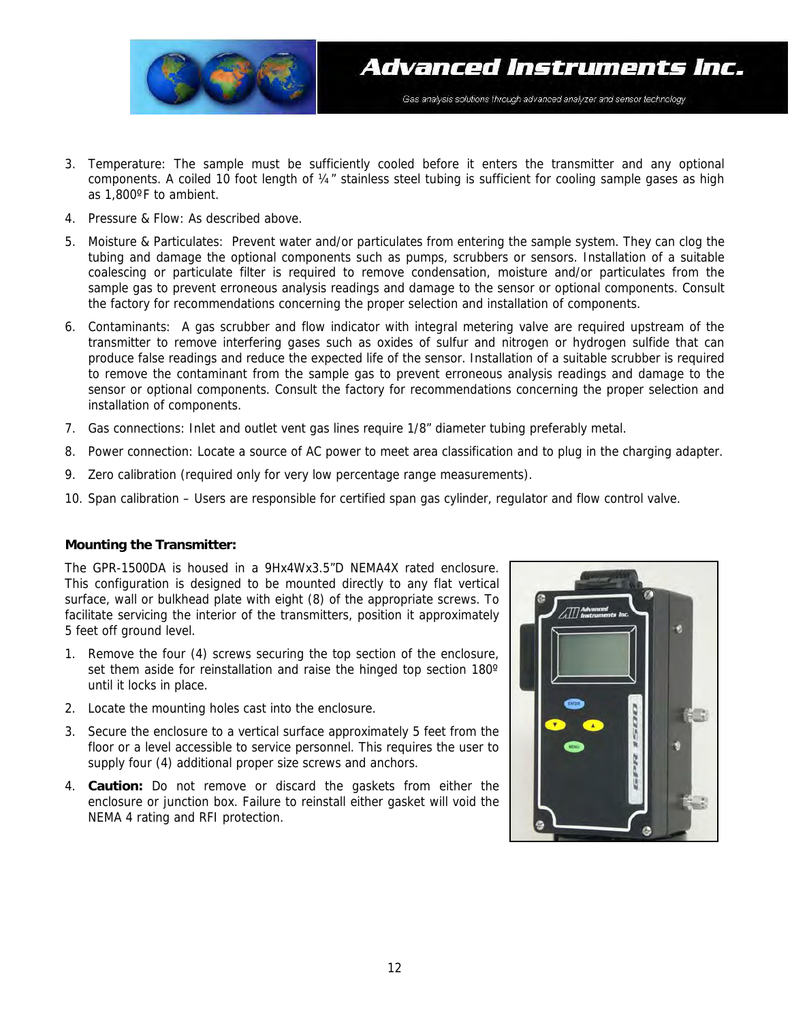

- 3. Temperature: The sample must be sufficiently cooled before it enters the transmitter and any optional components. A coiled 10 foot length of ¼" stainless steel tubing is sufficient for cooling sample gases as high as 1,800ºF to ambient.
- 4. Pressure & Flow: As described above.
- 5. Moisture & Particulates: Prevent water and/or particulates from entering the sample system. They can clog the tubing and damage the optional components such as pumps, scrubbers or sensors. Installation of a suitable coalescing or particulate filter is required to remove condensation, moisture and/or particulates from the sample gas to prevent erroneous analysis readings and damage to the sensor or optional components. Consult the factory for recommendations concerning the proper selection and installation of components.
- 6. Contaminants: A gas scrubber and flow indicator with integral metering valve are required upstream of the transmitter to remove interfering gases such as oxides of sulfur and nitrogen or hydrogen sulfide that can produce false readings and reduce the expected life of the sensor. Installation of a suitable scrubber is required to remove the contaminant from the sample gas to prevent erroneous analysis readings and damage to the sensor or optional components. Consult the factory for recommendations concerning the proper selection and installation of components.
- 7. Gas connections: Inlet and outlet vent gas lines require 1/8" diameter tubing preferably metal.
- 8. Power connection: Locate a source of AC power to meet area classification and to plug in the charging adapter.
- 9. Zero calibration (required only for very low percentage range measurements).
- 10. Span calibration Users are responsible for certified span gas cylinder, regulator and flow control valve.

#### **Mounting the Transmitter:**

The GPR-1500DA is housed in a 9Hx4Wx3.5"D NEMA4X rated enclosure. This configuration is designed to be mounted directly to any flat vertical surface, wall or bulkhead plate with eight (8) of the appropriate screws. To facilitate servicing the interior of the transmitters, position it approximately 5 feet off ground level.

- 1. Remove the four (4) screws securing the top section of the enclosure, set them aside for reinstallation and raise the hinged top section 180° until it locks in place.
- 2. Locate the mounting holes cast into the enclosure.
- 3. Secure the enclosure to a vertical surface approximately 5 feet from the floor or a level accessible to service personnel. This requires the user to supply four (4) additional proper size screws and anchors.
- 4. **Caution:** Do not remove or discard the gaskets from either the enclosure or junction box. Failure to reinstall either gasket will void the NEMA 4 rating and RFI protection.

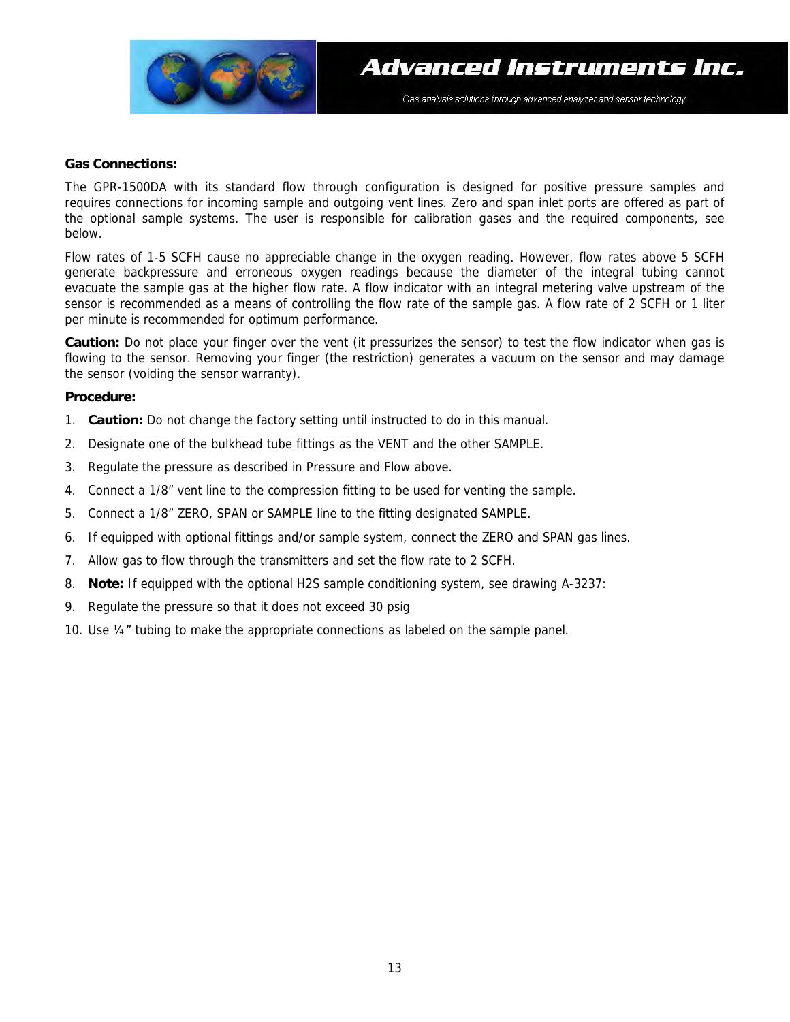

#### **Gas Connections:**

The GPR-1500DA with its standard flow through configuration is designed for positive pressure samples and requires connections for incoming sample and outgoing vent lines. Zero and span inlet ports are offered as part of the optional sample systems. The user is responsible for calibration gases and the required components, see below.

Flow rates of 1-5 SCFH cause no appreciable change in the oxygen reading. However, flow rates above 5 SCFH generate backpressure and erroneous oxygen readings because the diameter of the integral tubing cannot evacuate the sample gas at the higher flow rate. A flow indicator with an integral metering valve upstream of the sensor is recommended as a means of controlling the flow rate of the sample gas. A flow rate of 2 SCFH or 1 liter per minute is recommended for optimum performance.

**Caution:** Do not place your finger over the vent (it pressurizes the sensor) to test the flow indicator when gas is flowing to the sensor. Removing your finger (the restriction) generates a vacuum on the sensor and may damage the sensor (voiding the sensor warranty).

#### **Procedure:**

- 1. **Caution:** Do not change the factory setting until instructed to do in this manual.
- 2. Designate one of the bulkhead tube fittings as the VENT and the other SAMPLE.
- 3. Regulate the pressure as described in Pressure and Flow above.
- 4. Connect a 1/8" vent line to the compression fitting to be used for venting the sample.
- 5. Connect a 1/8" ZERO, SPAN or SAMPLE line to the fitting designated SAMPLE.
- 6. If equipped with optional fittings and/or sample system, connect the ZERO and SPAN gas lines.
- 7. Allow gas to flow through the transmitters and set the flow rate to 2 SCFH.
- 8. **Note:** If equipped with the optional H2S sample conditioning system, see drawing A-3237:
- 9. Regulate the pressure so that it does not exceed 30 psig
- 10. Use ¼" tubing to make the appropriate connections as labeled on the sample panel.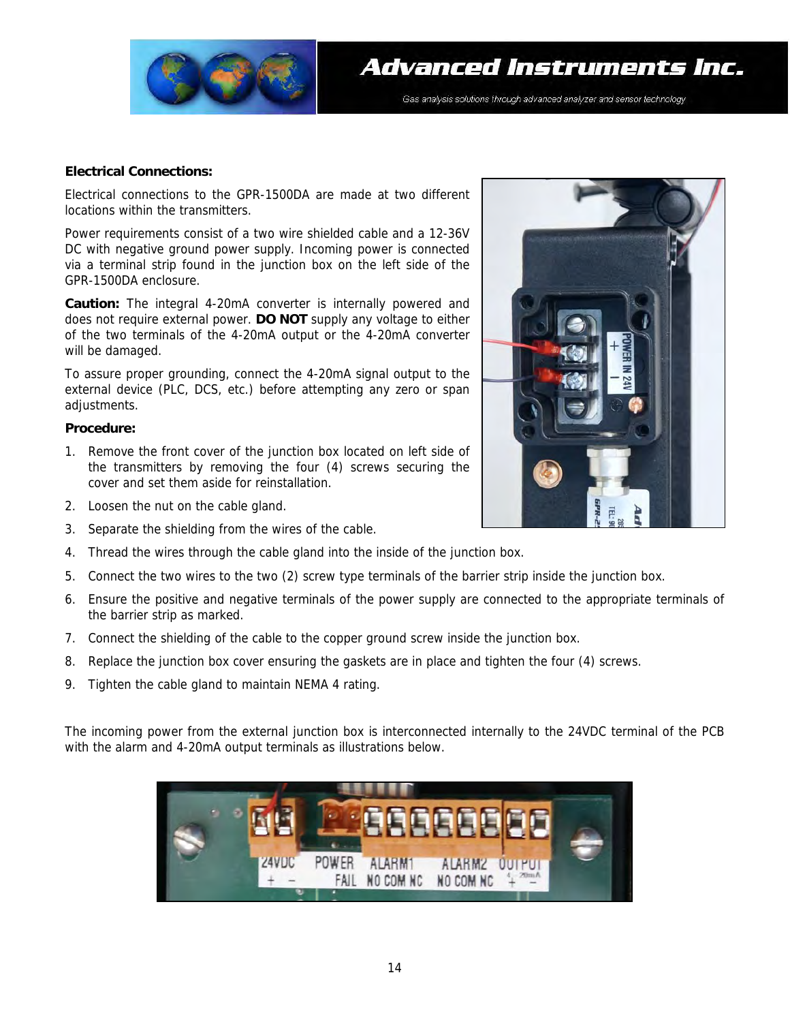

#### **Electrical Connections:**

Electrical connections to the GPR-1500DA are made at two different locations within the transmitters.

Power requirements consist of a two wire shielded cable and a 12-36V DC with negative ground power supply. Incoming power is connected via a terminal strip found in the junction box on the left side of the GPR-1500DA enclosure.

**Caution:** The integral 4-20mA converter is internally powered and does not require external power. **DO NOT** supply any voltage to either of the two terminals of the 4-20mA output or the 4-20mA converter will be damaged.

To assure proper grounding, connect the 4-20mA signal output to the external device (PLC, DCS, etc.) before attempting any zero or span adjustments.

#### **Procedure:**

- 1. Remove the front cover of the junction box located on left side of the transmitters by removing the four (4) screws securing the cover and set them aside for reinstallation.
- 2. Loosen the nut on the cable gland.
- 3. Separate the shielding from the wires of the cable.
- 4. Thread the wires through the cable gland into the inside of the junction box.
- 5. Connect the two wires to the two (2) screw type terminals of the barrier strip inside the junction box.
- 6. Ensure the positive and negative terminals of the power supply are connected to the appropriate terminals of the barrier strip as marked.
- 7. Connect the shielding of the cable to the copper ground screw inside the junction box.
- 8. Replace the junction box cover ensuring the gaskets are in place and tighten the four (4) screws.
- 9. Tighten the cable gland to maintain NEMA 4 rating.

The incoming power from the external junction box is interconnected internally to the 24VDC terminal of the PCB with the alarm and 4-20mA output terminals as illustrations below.



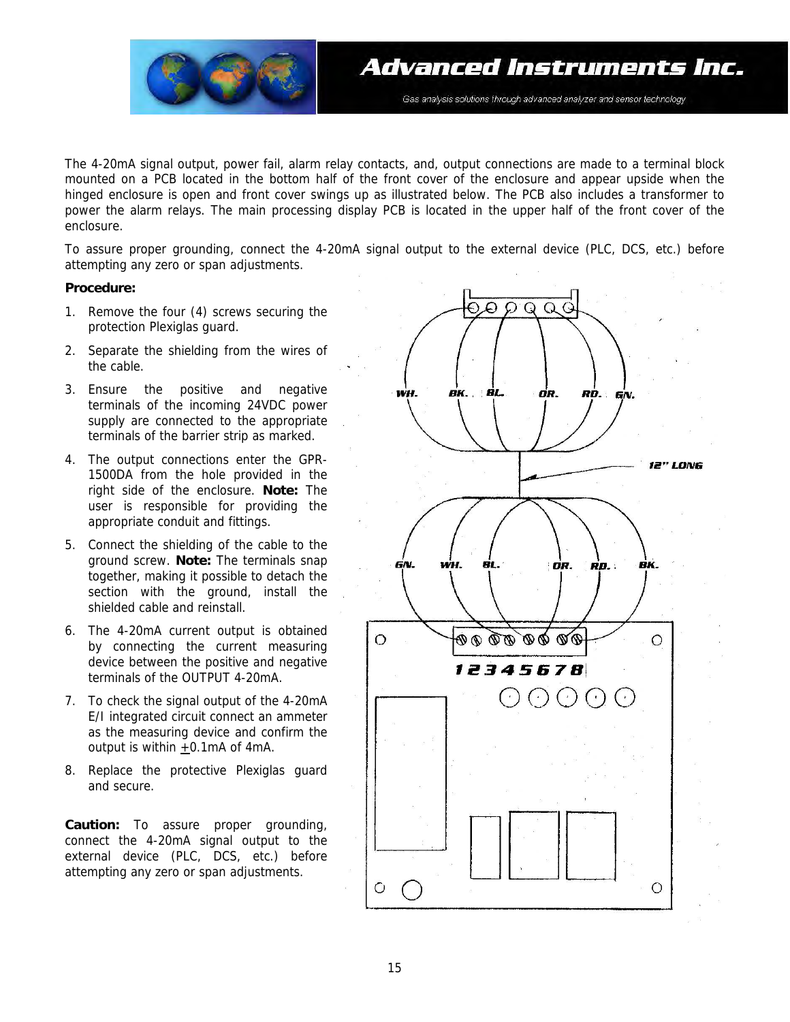

The 4-20mA signal output, power fail, alarm relay contacts, and, output connections are made to a terminal block mounted on a PCB located in the bottom half of the front cover of the enclosure and appear upside when the hinged enclosure is open and front cover swings up as illustrated below. The PCB also includes a transformer to power the alarm relays. The main processing display PCB is located in the upper half of the front cover of the enclosure.

To assure proper grounding, connect the 4-20mA signal output to the external device (PLC, DCS, etc.) before attempting any zero or span adjustments.

#### **Procedure:**

- 1. Remove the four (4) screws securing the protection Plexiglas guard.
- 2. Separate the shielding from the wires of the cable.
- 3. Ensure the positive and negative terminals of the incoming 24VDC power supply are connected to the appropriate terminals of the barrier strip as marked.
- 4. The output connections enter the GPR-1500DA from the hole provided in the right side of the enclosure. **Note:** The user is responsible for providing the appropriate conduit and fittings.
- 5. Connect the shielding of the cable to the ground screw. **Note:** The terminals snap together, making it possible to detach the section with the ground, install the shielded cable and reinstall.
- 6. The 4-20mA current output is obtained by connecting the current measuring device between the positive and negative terminals of the OUTPUT 4-20mA.
- 7. To check the signal output of the 4-20mA E/I integrated circuit connect an ammeter as the measuring device and confirm the output is within +0.1mA of 4mA.
- 8. Replace the protective Plexiglas guard and secure.

**Caution:** To assure proper grounding, connect the 4-20mA signal output to the external device (PLC, DCS, etc.) before attempting any zero or span adjustments.

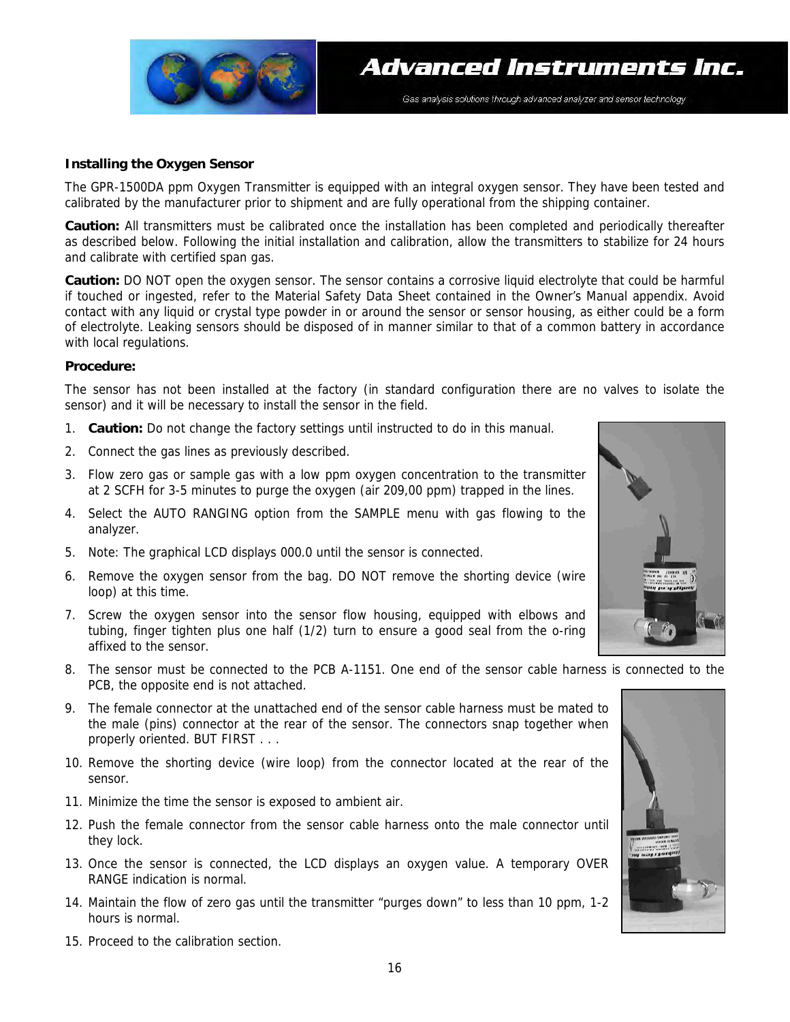

#### **Installing the Oxygen Sensor**

The GPR-1500DA ppm Oxygen Transmitter is equipped with an integral oxygen sensor. They have been tested and calibrated by the manufacturer prior to shipment and are fully operational from the shipping container.

**Caution:** All transmitters must be calibrated once the installation has been completed and periodically thereafter as described below. Following the initial installation and calibration, allow the transmitters to stabilize for 24 hours and calibrate with certified span gas.

**Caution:** DO NOT open the oxygen sensor. The sensor contains a corrosive liquid electrolyte that could be harmful if touched or ingested, refer to the Material Safety Data Sheet contained in the Owner's Manual appendix. Avoid contact with any liquid or crystal type powder in or around the sensor or sensor housing, as either could be a form of electrolyte. Leaking sensors should be disposed of in manner similar to that of a common battery in accordance with local regulations.

#### **Procedure:**

The sensor has not been installed at the factory (in standard configuration there are no valves to isolate the sensor) and it will be necessary to install the sensor in the field.

- 1. **Caution:** Do not change the factory settings until instructed to do in this manual.
- 2. Connect the gas lines as previously described.
- 3. Flow zero gas or sample gas with a low ppm oxygen concentration to the transmitter at 2 SCFH for 3-5 minutes to purge the oxygen (air 209,00 ppm) trapped in the lines.
- 4. Select the AUTO RANGING option from the SAMPLE menu with gas flowing to the analyzer.
- 5. Note: The graphical LCD displays 000.0 until the sensor is connected.
- 6. Remove the oxygen sensor from the bag. DO NOT remove the shorting device (wire loop) at this time.
- 7. Screw the oxygen sensor into the sensor flow housing, equipped with elbows and tubing, finger tighten plus one half (1/2) turn to ensure a good seal from the o-ring affixed to the sensor.
- 8. The sensor must be connected to the PCB A-1151. One end of the sensor cable harness is connected to the PCB, the opposite end is not attached.
- 9. The female connector at the unattached end of the sensor cable harness must be mated to the male (pins) connector at the rear of the sensor. The connectors snap together when properly oriented. BUT FIRST . . .
- 10. Remove the shorting device (wire loop) from the connector located at the rear of the sensor.
- 11. Minimize the time the sensor is exposed to ambient air.
- 12. Push the female connector from the sensor cable harness onto the male connector until they lock.
- 13. Once the sensor is connected, the LCD displays an oxygen value. A temporary OVER RANGE indication is normal.
- 14. Maintain the flow of zero gas until the transmitter "purges down" to less than 10 ppm, 1-2 hours is normal.





15. Proceed to the calibration section.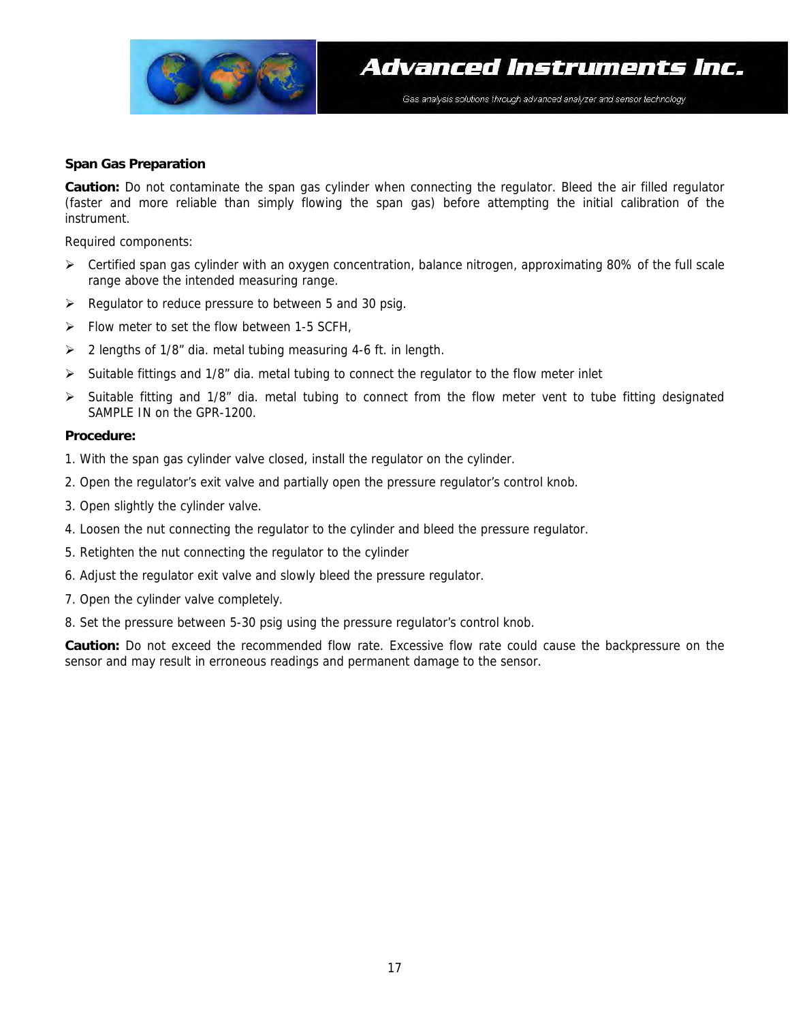

#### **Span Gas Preparation**

**Caution:** Do not contaminate the span gas cylinder when connecting the regulator. Bleed the air filled regulator (faster and more reliable than simply flowing the span gas) before attempting the initial calibration of the instrument.

Required components:

- $\triangleright$  Certified span gas cylinder with an oxygen concentration, balance nitrogen, approximating 80% of the full scale range above the intended measuring range.
- ¾ Regulator to reduce pressure to between 5 and 30 psig.
- $\triangleright$  Flow meter to set the flow between 1-5 SCFH,
- $\geq$  2 lengths of 1/8" dia. metal tubing measuring 4-6 ft. in length.
- $\triangleright$  Suitable fittings and 1/8" dia. metal tubing to connect the regulator to the flow meter inlet
- Suitable fitting and 1/8" dia. metal tubing to connect from the flow meter vent to tube fitting designated SAMPLE IN on the GPR-1200.

#### **Procedure:**

- 1. With the span gas cylinder valve closed, install the regulator on the cylinder.
- 2. Open the regulator's exit valve and partially open the pressure regulator's control knob.
- 3. Open slightly the cylinder valve.
- 4. Loosen the nut connecting the regulator to the cylinder and bleed the pressure regulator.
- 5. Retighten the nut connecting the regulator to the cylinder
- 6. Adjust the regulator exit valve and slowly bleed the pressure regulator.
- 7. Open the cylinder valve completely.
- 8. Set the pressure between 5-30 psig using the pressure regulator's control knob.

**Caution:** Do not exceed the recommended flow rate. Excessive flow rate could cause the backpressure on the sensor and may result in erroneous readings and permanent damage to the sensor.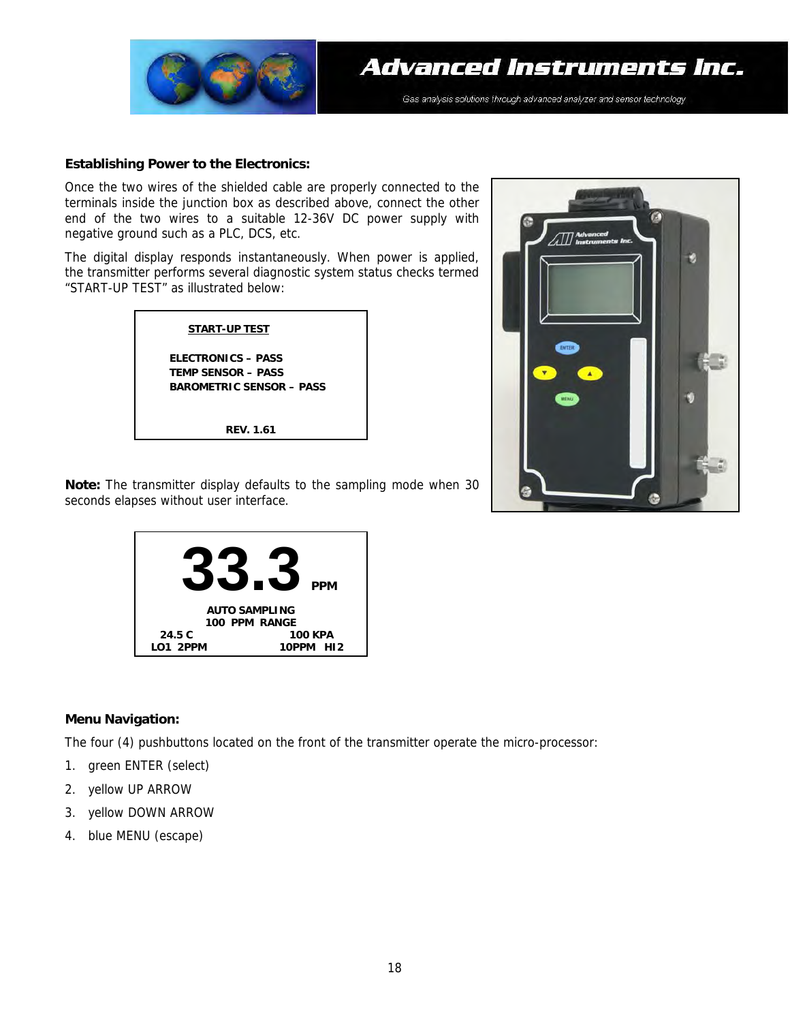

#### **Establishing Power to the Electronics:**

Once the two wires of the shielded cable are properly connected to the terminals inside the junction box as described above, connect the other end of the two wires to a suitable 12-36V DC power supply with negative ground such as a PLC, DCS, etc.

The digital display responds instantaneously. When power is applied, the transmitter performs several diagnostic system status checks termed "START-UP TEST" as illustrated below:



**REV. 1.61** 



**Note:** The transmitter display defaults to the sampling mode when 30 seconds elapses without user interface.



#### **Menu Navigation:**

The four (4) pushbuttons located on the front of the transmitter operate the micro-processor:

- 1. green ENTER (select)
- 2. yellow UP ARROW
- 3. yellow DOWN ARROW
- 4. blue MENU (escape)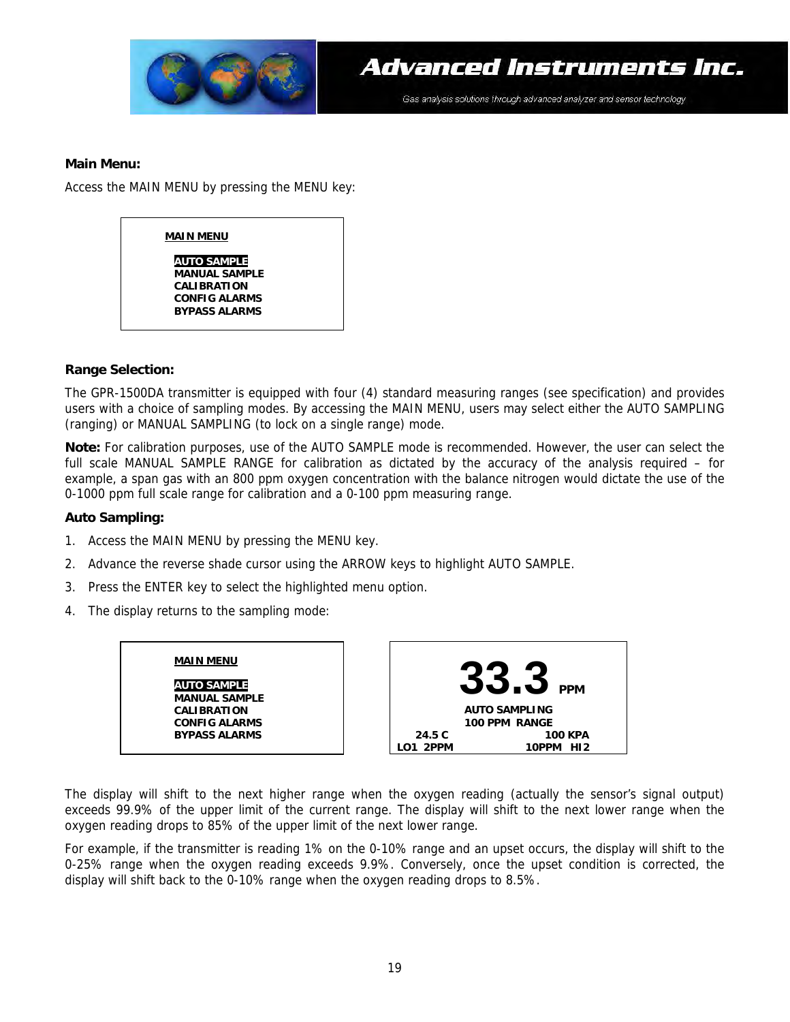

#### **Main Menu:**

Access the MAIN MENU by pressing the MENU key:



#### **Range Selection:**

The GPR-1500DA transmitter is equipped with four (4) standard measuring ranges (see specification) and provides users with a choice of sampling modes. By accessing the MAIN MENU, users may select either the AUTO SAMPLING (ranging) or MANUAL SAMPLING (to lock on a single range) mode.

**Note:** For calibration purposes, use of the AUTO SAMPLE mode is recommended. However, the user can select the full scale MANUAL SAMPLE RANGE for calibration as dictated by the accuracy of the analysis required – for example, a span gas with an 800 ppm oxygen concentration with the balance nitrogen would dictate the use of the 0-1000 ppm full scale range for calibration and a 0-100 ppm measuring range.

#### **Auto Sampling:**

- 1. Access the MAIN MENU by pressing the MENU key.
- 2. Advance the reverse shade cursor using the ARROW keys to highlight AUTO SAMPLE.
- 3. Press the ENTER key to select the highlighted menu option.
- 4. The display returns to the sampling mode:

#### **MAIN MENU**

**AUTO SAMPLE MANUAL SAMPLE CALIBRATION CONFIG ALARMS BYPASS ALARMS** 



The display will shift to the next higher range when the oxygen reading (actually the sensor's signal output) exceeds 99.9% of the upper limit of the current range. The display will shift to the next lower range when the oxygen reading drops to 85% of the upper limit of the next lower range.

For example, if the transmitter is reading 1% on the 0-10% range and an upset occurs, the display will shift to the 0-25% range when the oxygen reading exceeds 9.9%. Conversely, once the upset condition is corrected, the display will shift back to the 0-10% range when the oxygen reading drops to 8.5%.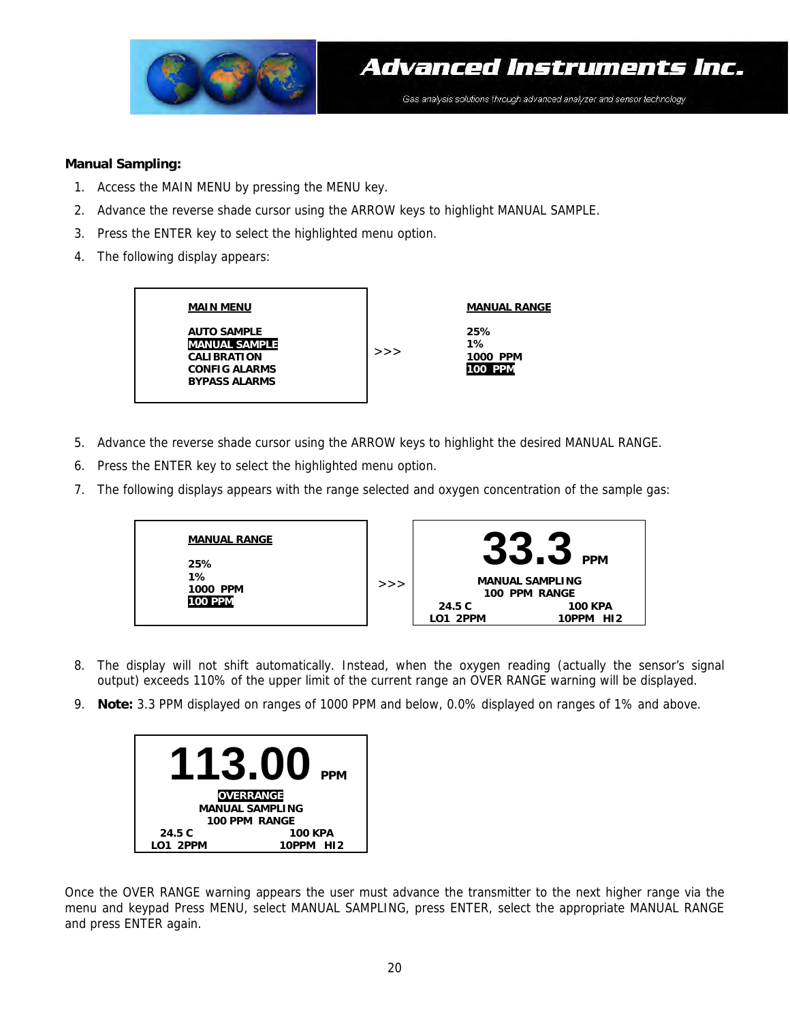

#### **Manual Sampling:**

- 1. Access the MAIN MENU by pressing the MENU key.
- 2. Advance the reverse shade cursor using the ARROW keys to highlight MANUAL SAMPLE.
- 3. Press the ENTER key to select the highlighted menu option.
- 4. The following display appears:



- 5. Advance the reverse shade cursor using the ARROW keys to highlight the desired MANUAL RANGE.
- 6. Press the ENTER key to select the highlighted menu option.
- 7. The following displays appears with the range selected and oxygen concentration of the sample gas:



- 8. The display will not shift automatically. Instead, when the oxygen reading (actually the sensor's signal output) exceeds 110% of the upper limit of the current range an OVER RANGE warning will be displayed.
- 9. **Note:** 3.3 PPM displayed on ranges of 1000 PPM and below, 0.0% displayed on ranges of 1% and above.



Once the OVER RANGE warning appears the user must advance the transmitter to the next higher range via the menu and keypad Press MENU, select MANUAL SAMPLING, press ENTER, select the appropriate MANUAL RANGE and press ENTER again.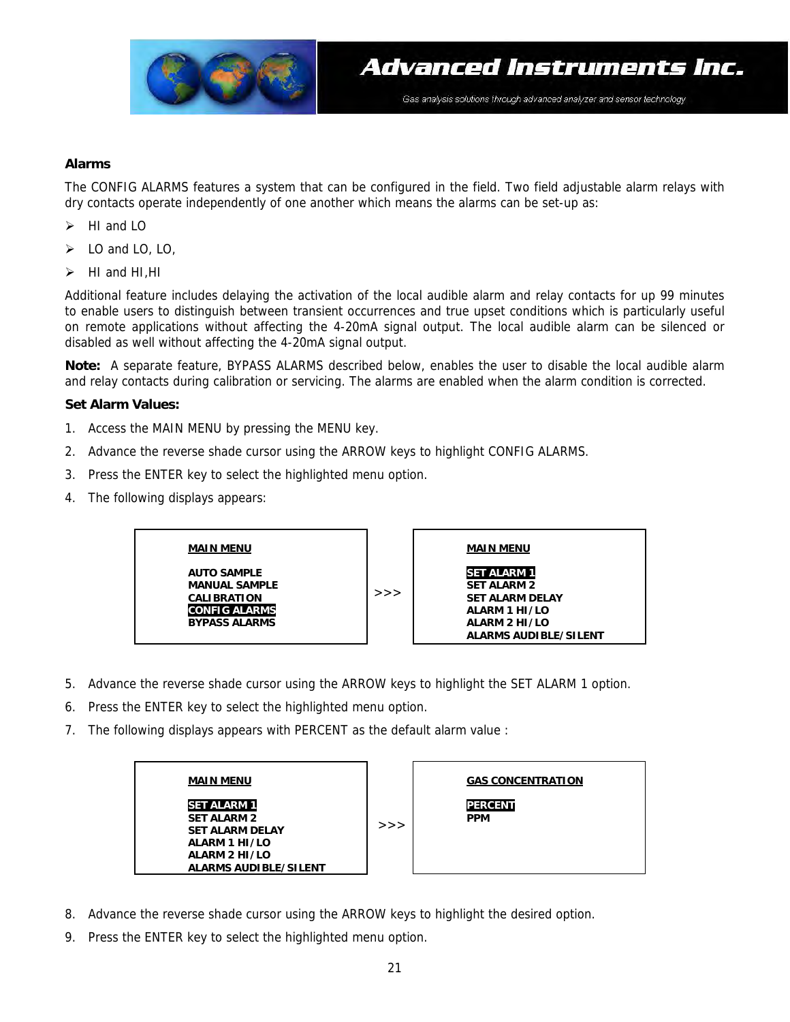

#### **Alarms**

The CONFIG ALARMS features a system that can be configured in the field. Two field adjustable alarm relays with dry contacts operate independently of one another which means the alarms can be set-up as:

- $\blacktriangleright$  HI and IO
- $\geqslant$  10 and 10, 10,
- $\blacktriangleright$  HI and HI, HI

Additional feature includes delaying the activation of the local audible alarm and relay contacts for up 99 minutes to enable users to distinguish between transient occurrences and true upset conditions which is particularly useful on remote applications without affecting the 4-20mA signal output. The local audible alarm can be silenced or disabled as well without affecting the 4-20mA signal output.

**Note:** A separate feature, BYPASS ALARMS described below, enables the user to disable the local audible alarm and relay contacts during calibration or servicing. The alarms are enabled when the alarm condition is corrected.

#### **Set Alarm Values:**

- 1. Access the MAIN MENU by pressing the MENU key.
- 2. Advance the reverse shade cursor using the ARROW keys to highlight CONFIG ALARMS.
- 3. Press the ENTER key to select the highlighted menu option.
- 4. The following displays appears:



- 5. Advance the reverse shade cursor using the ARROW keys to highlight the SET ALARM 1 option.
- 6. Press the ENTER key to select the highlighted menu option.
- 7. The following displays appears with PERCENT as the default alarm value :



- 8. Advance the reverse shade cursor using the ARROW keys to highlight the desired option.
- 9. Press the ENTER key to select the highlighted menu option.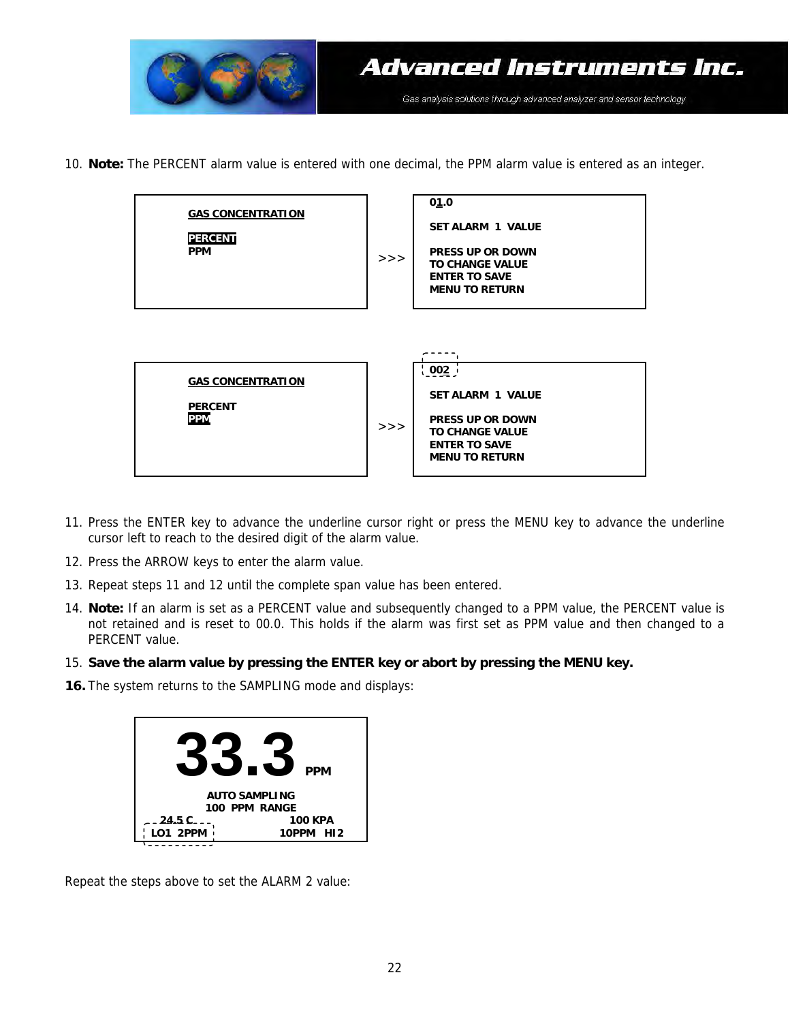

10. **Note:** The PERCENT alarm value is entered with one decimal, the PPM alarm value is entered as an integer.

| <b>GAS CONCENTRATION</b><br><b>PERCENT</b><br><b>PPM</b> | >> | 01.0<br><b>SET ALARM 1 VALUE</b><br><b>PRESS UP OR DOWN</b><br><b>TO CHANGE VALUE</b><br><b>ENTER TO SAVE</b><br><b>MENU TO RETURN</b>           |
|----------------------------------------------------------|----|--------------------------------------------------------------------------------------------------------------------------------------------------|
| <b>GAS CONCENTRATION</b><br><b>PERCENT</b><br><b>PPM</b> | >> | <u>¦ ၀၀2 ၂</u><br><b>SET ALARM 1 VALUE</b><br><b>PRESS UP OR DOWN</b><br><b>TO CHANGE VALUE</b><br><b>ENTER TO SAVE</b><br><b>MENU TO RETURN</b> |

- 11. Press the ENTER key to advance the underline cursor right or press the MENU key to advance the underline cursor left to reach to the desired digit of the alarm value.
- 12. Press the ARROW keys to enter the alarm value.
- 13. Repeat steps 11 and 12 until the complete span value has been entered.
- 14. **Note:** If an alarm is set as a PERCENT value and subsequently changed to a PPM value, the PERCENT value is not retained and is reset to 00.0. This holds if the alarm was first set as PPM value and then changed to a PERCENT value.
- 15. **Save the alarm value by pressing the ENTER key or abort by pressing the MENU key.**
- **16.** The system returns to the SAMPLING mode and displays:



Repeat the steps above to set the ALARM 2 value: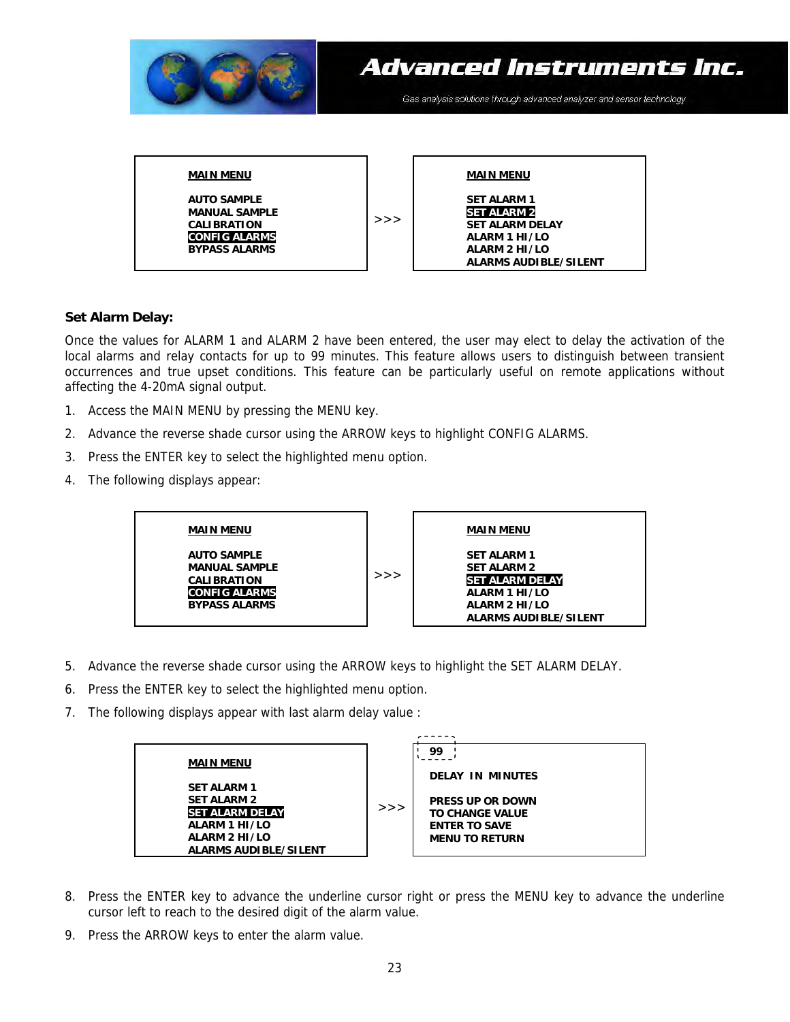

#### **Set Alarm Delay:**

Once the values for ALARM 1 and ALARM 2 have been entered, the user may elect to delay the activation of the local alarms and relay contacts for up to 99 minutes. This feature allows users to distinguish between transient occurrences and true upset conditions. This feature can be particularly useful on remote applications without affecting the 4-20mA signal output.

- 1. Access the MAIN MENU by pressing the MENU key.
- 2. Advance the reverse shade cursor using the ARROW keys to highlight CONFIG ALARMS.
- 3. Press the ENTER key to select the highlighted menu option.
- 4. The following displays appear:



- 5. Advance the reverse shade cursor using the ARROW keys to highlight the SET ALARM DELAY.
- 6. Press the ENTER key to select the highlighted menu option.
- 7. The following displays appear with last alarm delay value :



- 8. Press the ENTER key to advance the underline cursor right or press the MENU key to advance the underline cursor left to reach to the desired digit of the alarm value.
- 9. Press the ARROW keys to enter the alarm value.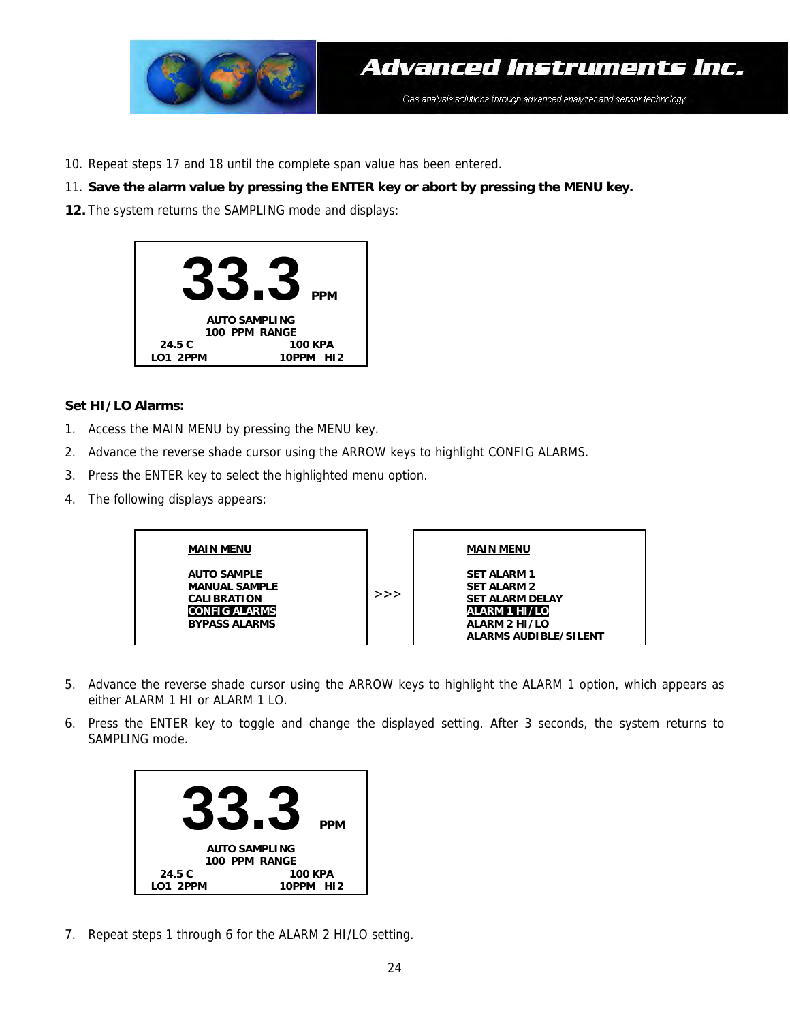

10. Repeat steps 17 and 18 until the complete span value has been entered.

#### 11. **Save the alarm value by pressing the ENTER key or abort by pressing the MENU key.**

**12.** The system returns the SAMPLING mode and displays:



#### **Set HI/LO Alarms:**

- 1. Access the MAIN MENU by pressing the MENU key.
- 2. Advance the reverse shade cursor using the ARROW keys to highlight CONFIG ALARMS.
- 3. Press the ENTER key to select the highlighted menu option.
- 4. The following displays appears:



- 5. Advance the reverse shade cursor using the ARROW keys to highlight the ALARM 1 option, which appears as either ALARM 1 HI or ALARM 1 LO.
- 6. Press the ENTER key to toggle and change the displayed setting. After 3 seconds, the system returns to SAMPLING mode.



7. Repeat steps 1 through 6 for the ALARM 2 HI/LO setting.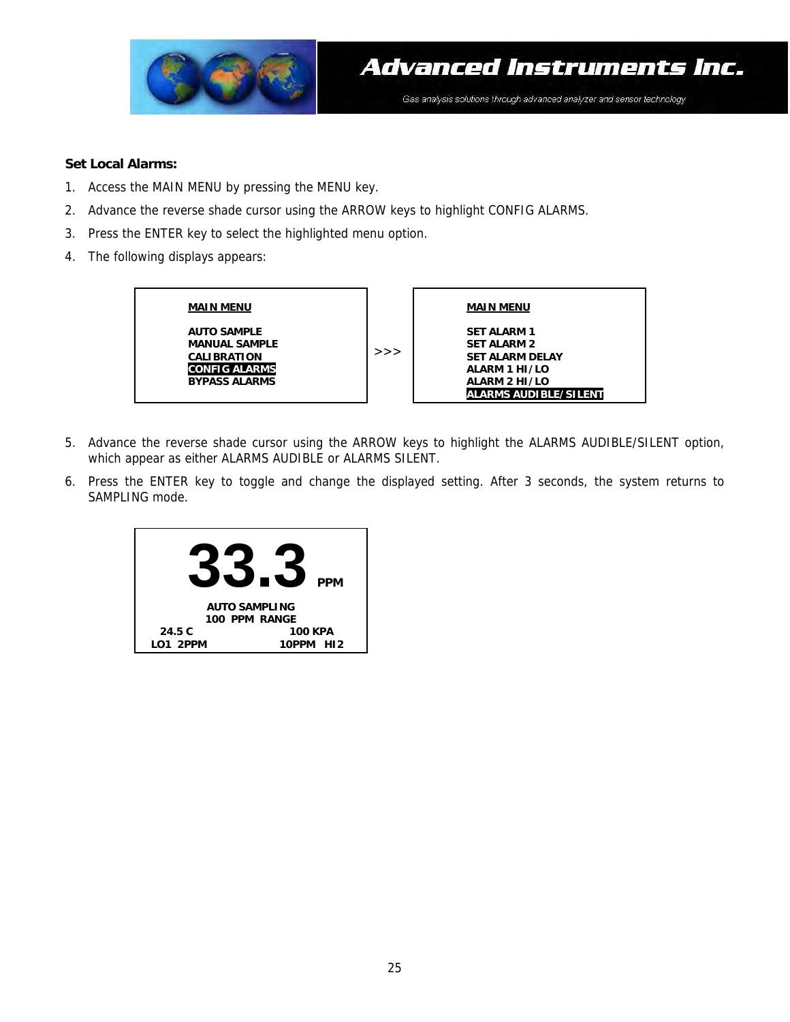

#### **Set Local Alarms:**

- 1. Access the MAIN MENU by pressing the MENU key.
- 2. Advance the reverse shade cursor using the ARROW keys to highlight CONFIG ALARMS.
- 3. Press the ENTER key to select the highlighted menu option.
- 4. The following displays appears:



- 5. Advance the reverse shade cursor using the ARROW keys to highlight the ALARMS AUDIBLE/SILENT option, which appear as either ALARMS AUDIBLE or ALARMS SILENT.
- 6. Press the ENTER key to toggle and change the displayed setting. After 3 seconds, the system returns to SAMPLING mode.

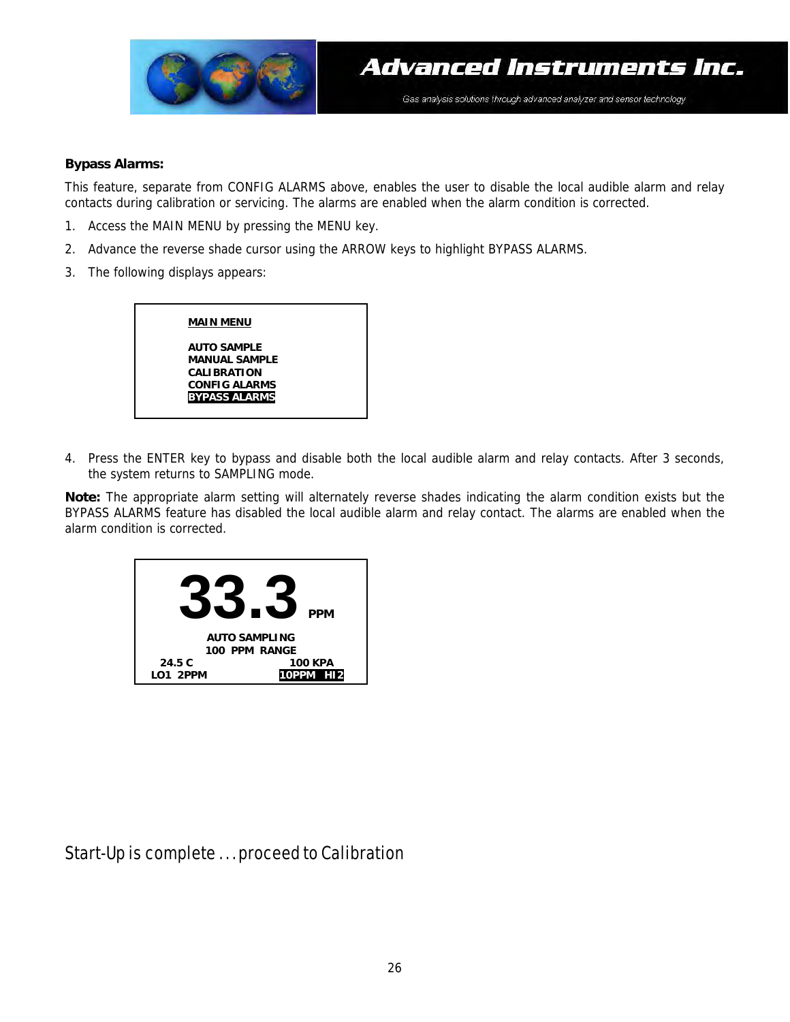

#### **Bypass Alarms:**

This feature, separate from CONFIG ALARMS above, enables the user to disable the local audible alarm and relay contacts during calibration or servicing. The alarms are enabled when the alarm condition is corrected.

- 1. Access the MAIN MENU by pressing the MENU key.
- 2. Advance the reverse shade cursor using the ARROW keys to highlight BYPASS ALARMS.
- 3. The following displays appears:



4. Press the ENTER key to bypass and disable both the local audible alarm and relay contacts. After 3 seconds, the system returns to SAMPLING mode.

**Note:** The appropriate alarm setting will alternately reverse shades indicating the alarm condition exists but the BYPASS ALARMS feature has disabled the local audible alarm and relay contact. The alarms are enabled when the alarm condition is corrected.



Start-Up is complete . . . proceed to Calibration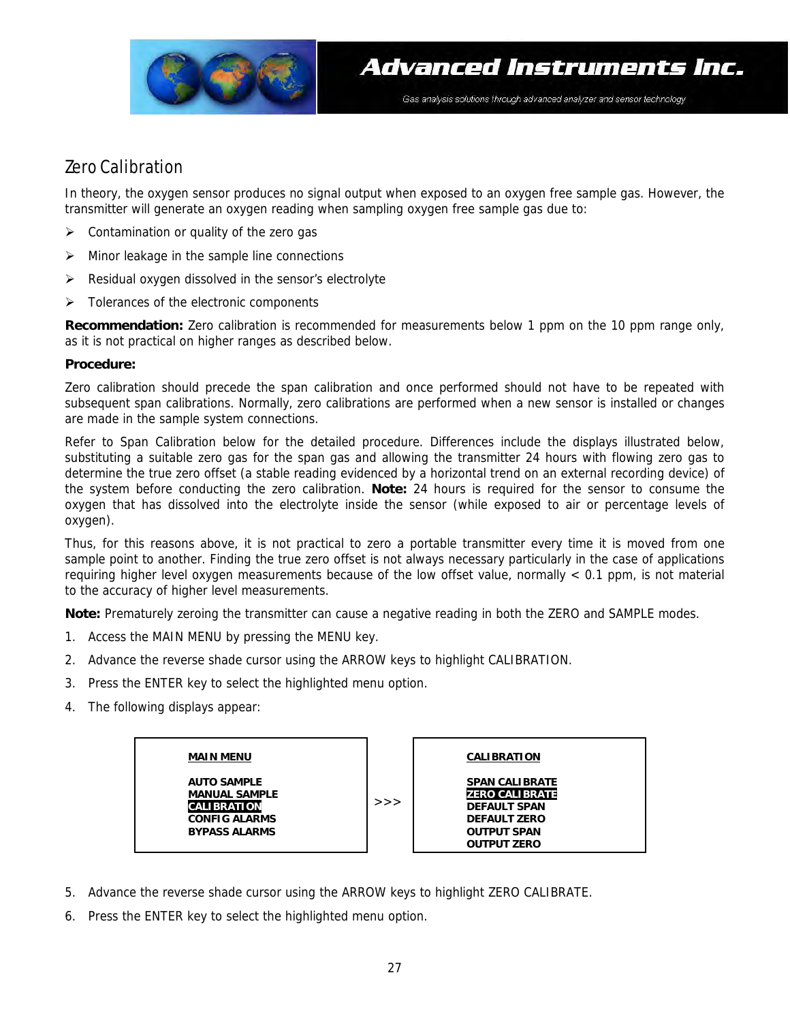

### Zero Calibration

In theory, the oxygen sensor produces no signal output when exposed to an oxygen free sample gas. However, the transmitter will generate an oxygen reading when sampling oxygen free sample gas due to:

- ¾ Contamination or quality of the zero gas
- ¾ Minor leakage in the sample line connections
- $\triangleright$  Residual oxygen dissolved in the sensor's electrolyte
- ¾ Tolerances of the electronic components

**Recommendation:** Zero calibration is recommended for measurements below 1 ppm on the 10 ppm range only, as it is not practical on higher ranges as described below.

#### **Procedure:**

Zero calibration should precede the span calibration and once performed should not have to be repeated with subsequent span calibrations. Normally, zero calibrations are performed when a new sensor is installed or changes are made in the sample system connections.

Refer to Span Calibration below for the detailed procedure. Differences include the displays illustrated below, substituting a suitable zero gas for the span gas and allowing the transmitter 24 hours with flowing zero gas to determine the true zero offset (a stable reading evidenced by a horizontal trend on an external recording device) of the system before conducting the zero calibration. **Note:** 24 hours is required for the sensor to consume the oxygen that has dissolved into the electrolyte inside the sensor (while exposed to air or percentage levels of oxygen).

Thus, for this reasons above, it is not practical to zero a portable transmitter every time it is moved from one sample point to another. Finding the true zero offset is not always necessary particularly in the case of applications requiring higher level oxygen measurements because of the low offset value, normally < 0.1 ppm, is not material to the accuracy of higher level measurements.

**Note:** Prematurely zeroing the transmitter can cause a negative reading in both the ZERO and SAMPLE modes.

- 1. Access the MAIN MENU by pressing the MENU key.
- 2. Advance the reverse shade cursor using the ARROW keys to highlight CALIBRATION.
- 3. Press the ENTER key to select the highlighted menu option.
- 4. The following displays appear:



- 5. Advance the reverse shade cursor using the ARROW keys to highlight ZERO CALIBRATE.
- 6. Press the ENTER key to select the highlighted menu option.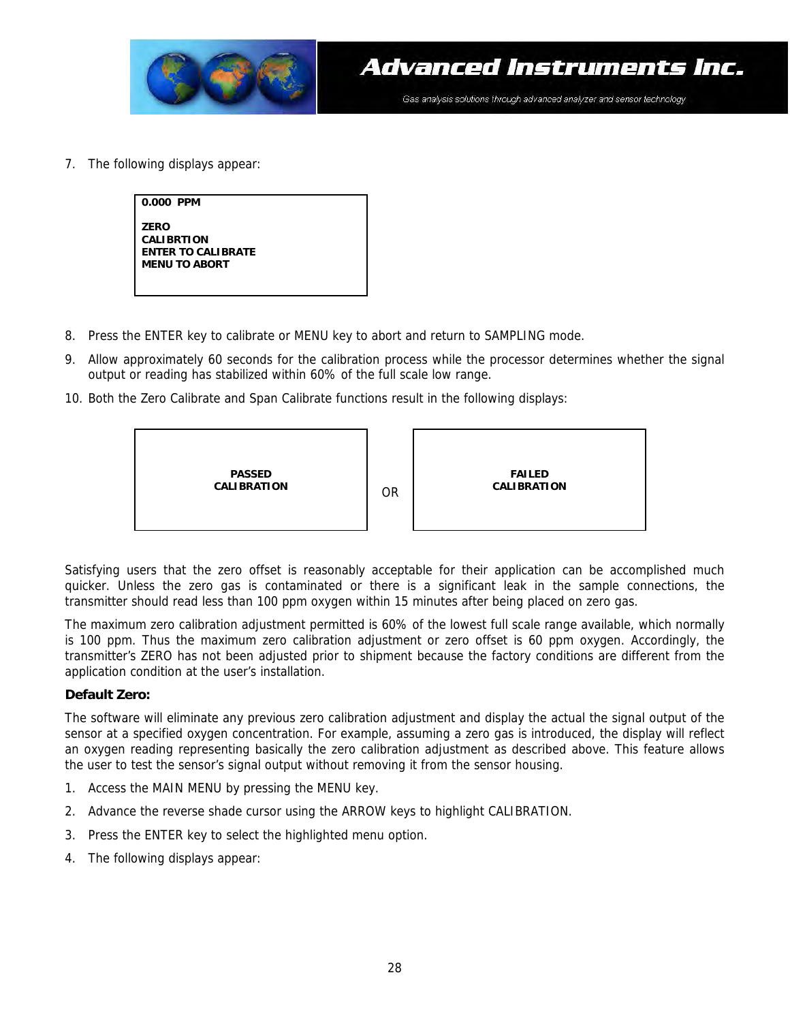

7. The following displays appear:

| 0.000 PPM                                                                             |  |
|---------------------------------------------------------------------------------------|--|
| <b>ZERO</b><br><b>CALIBRTION</b><br><b>ENTER TO CALIBRATE</b><br><b>MENU TO ABORT</b> |  |

- 8. Press the ENTER key to calibrate or MENU key to abort and return to SAMPLING mode.
- 9. Allow approximately 60 seconds for the calibration process while the processor determines whether the signal output or reading has stabilized within 60% of the full scale low range.
- 10. Both the Zero Calibrate and Span Calibrate functions result in the following displays:



Satisfying users that the zero offset is reasonably acceptable for their application can be accomplished much quicker. Unless the zero gas is contaminated or there is a significant leak in the sample connections, the transmitter should read less than 100 ppm oxygen within 15 minutes after being placed on zero gas.

The maximum zero calibration adjustment permitted is 60% of the lowest full scale range available, which normally is 100 ppm. Thus the maximum zero calibration adjustment or zero offset is 60 ppm oxygen. Accordingly, the transmitter's ZERO has not been adjusted prior to shipment because the factory conditions are different from the application condition at the user's installation.

#### **Default Zero:**

The software will eliminate any previous zero calibration adjustment and display the actual the signal output of the sensor at a specified oxygen concentration. For example, assuming a zero gas is introduced, the display will reflect an oxygen reading representing basically the zero calibration adjustment as described above. This feature allows the user to test the sensor's signal output without removing it from the sensor housing.

- 1. Access the MAIN MENU by pressing the MENU key.
- 2. Advance the reverse shade cursor using the ARROW keys to highlight CALIBRATION.
- 3. Press the ENTER key to select the highlighted menu option.
- 4. The following displays appear: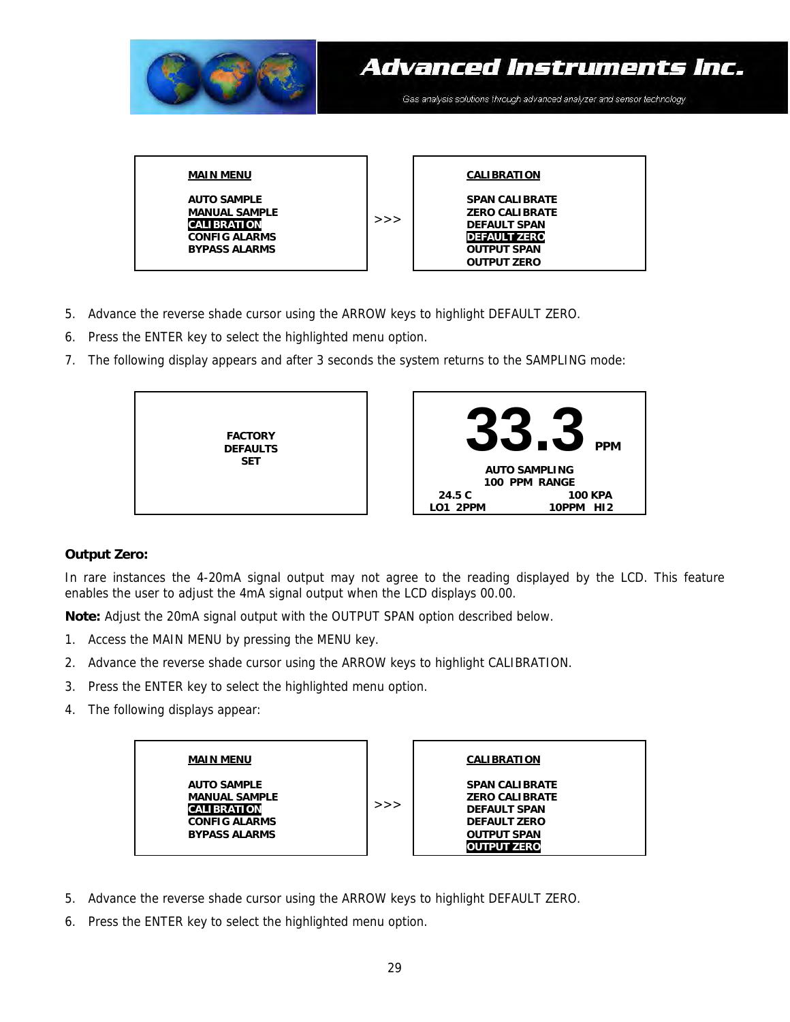

- 5. Advance the reverse shade cursor using the ARROW keys to highlight DEFAULT ZERO.
- 6. Press the ENTER key to select the highlighted menu option.
- 7. The following display appears and after 3 seconds the system returns to the SAMPLING mode:



#### **Output Zero:**

In rare instances the 4-20mA signal output may not agree to the reading displayed by the LCD. This feature enables the user to adjust the 4mA signal output when the LCD displays 00.00.

**Note:** Adjust the 20mA signal output with the OUTPUT SPAN option described below.

- 1. Access the MAIN MENU by pressing the MENU key.
- 2. Advance the reverse shade cursor using the ARROW keys to highlight CALIBRATION.
- 3. Press the ENTER key to select the highlighted menu option.
- 4. The following displays appear:



- 5. Advance the reverse shade cursor using the ARROW keys to highlight DEFAULT ZERO.
- 6. Press the ENTER key to select the highlighted menu option.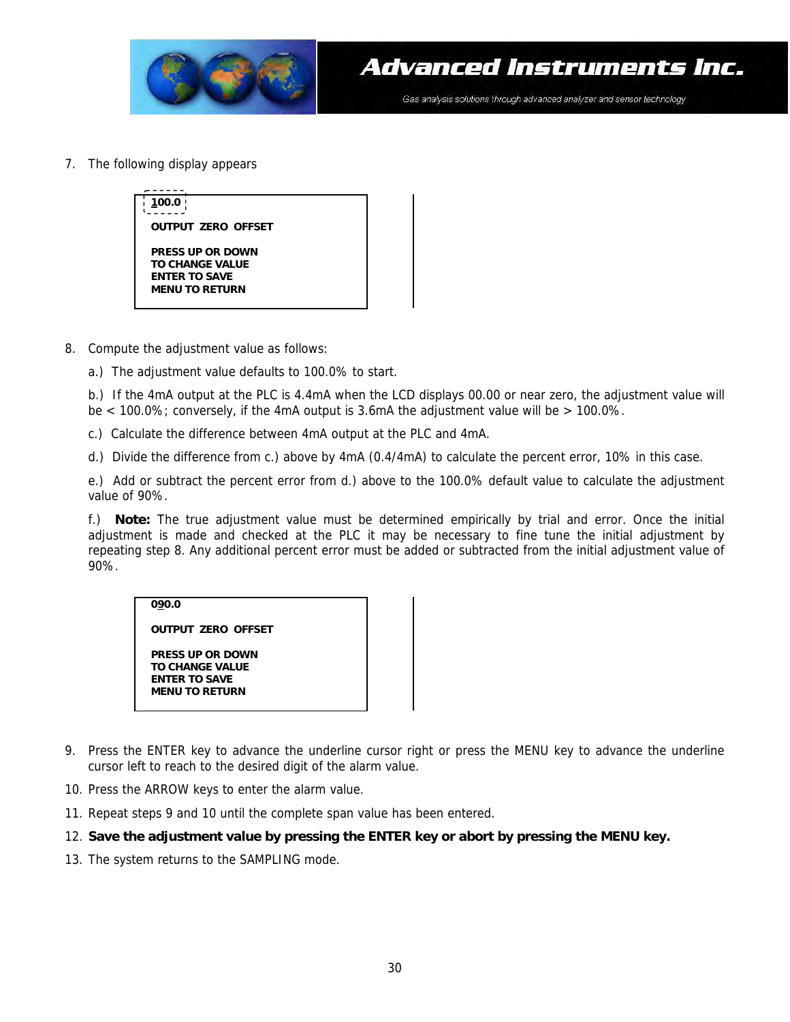

7. The following display appears



- 8. Compute the adjustment value as follows:
	- a.) The adjustment value defaults to 100.0% to start.

b.) If the 4mA output at the PLC is 4.4mA when the LCD displays 00.00 or near zero, the adjustment value will be < 100.0%; conversely, if the 4mA output is 3.6mA the adjustment value will be > 100.0%.

- c.) Calculate the difference between 4mA output at the PLC and 4mA.
- d.) Divide the difference from c.) above by 4mA (0.4/4mA) to calculate the percent error, 10% in this case.

e.) Add or subtract the percent error from d.) above to the 100.0% default value to calculate the adjustment value of 90%.

f.) **Note:** The true adjustment value must be determined empirically by trial and error. Once the initial adjustment is made and checked at the PLC it may be necessary to fine tune the initial adjustment by repeating step 8. Any additional percent error must be added or subtracted from the initial adjustment value of 90%.

#### **090.0**

**OUTPUT ZERO OFFSET** 

**PRESS UP OR DOWN TO CHANGE VALUE ENTER TO SAVE MENU TO RETURN** 

- 9. Press the ENTER key to advance the underline cursor right or press the MENU key to advance the underline cursor left to reach to the desired digit of the alarm value.
- 10. Press the ARROW keys to enter the alarm value.
- 11. Repeat steps 9 and 10 until the complete span value has been entered.

#### 12. **Save the adjustment value by pressing the ENTER key or abort by pressing the MENU key.**

13. The system returns to the SAMPLING mode.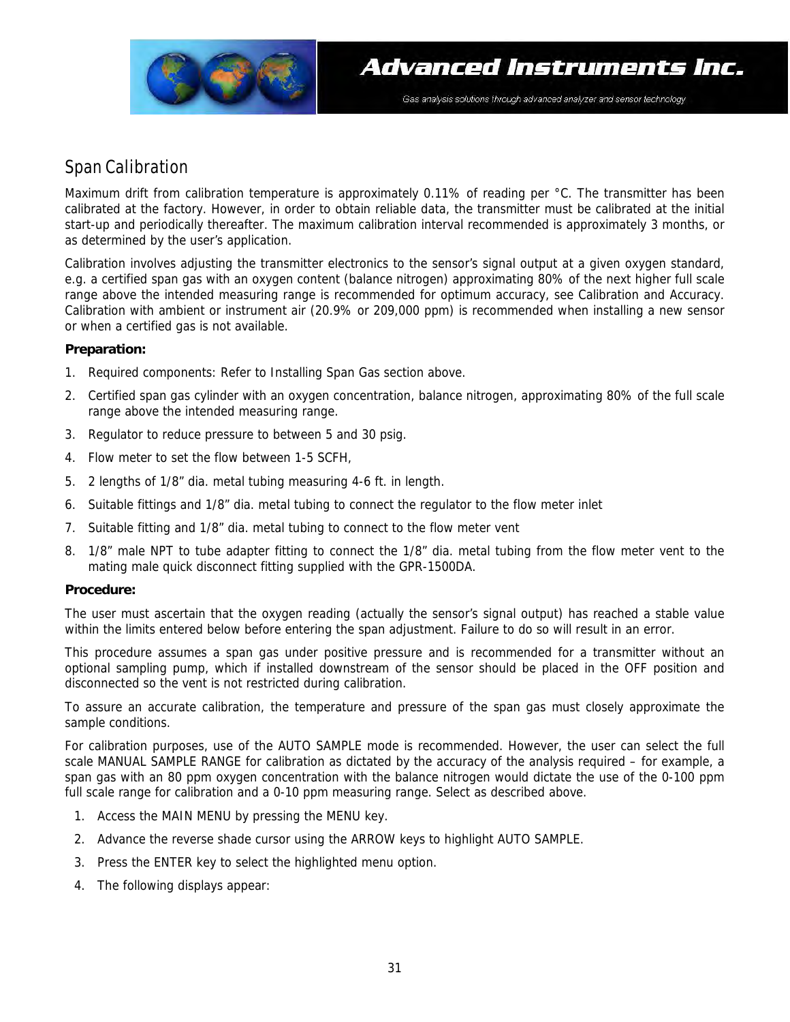

### Span Calibration

Maximum drift from calibration temperature is approximately 0.11% of reading per °C. The transmitter has been calibrated at the factory. However, in order to obtain reliable data, the transmitter must be calibrated at the initial start-up and periodically thereafter. The maximum calibration interval recommended is approximately 3 months, or as determined by the user's application.

Calibration involves adjusting the transmitter electronics to the sensor's signal output at a given oxygen standard, e.g. a certified span gas with an oxygen content (balance nitrogen) approximating 80% of the next higher full scale range above the intended measuring range is recommended for optimum accuracy, see Calibration and Accuracy. Calibration with ambient or instrument air (20.9% or 209,000 ppm) is recommended when installing a new sensor or when a certified gas is not available.

#### **Preparation:**

- 1. Required components: Refer to Installing Span Gas section above.
- 2. Certified span gas cylinder with an oxygen concentration, balance nitrogen, approximating 80% of the full scale range above the intended measuring range.
- 3. Regulator to reduce pressure to between 5 and 30 psig.
- 4. Flow meter to set the flow between 1-5 SCFH,
- 5. 2 lengths of 1/8" dia. metal tubing measuring 4-6 ft. in length.
- 6. Suitable fittings and 1/8" dia. metal tubing to connect the regulator to the flow meter inlet
- 7. Suitable fitting and 1/8" dia. metal tubing to connect to the flow meter vent
- 8. 1/8" male NPT to tube adapter fitting to connect the 1/8" dia. metal tubing from the flow meter vent to the mating male quick disconnect fitting supplied with the GPR-1500DA.

#### **Procedure:**

The user must ascertain that the oxygen reading (actually the sensor's signal output) has reached a stable value within the limits entered below before entering the span adjustment. Failure to do so will result in an error.

This procedure assumes a span gas under positive pressure and is recommended for a transmitter without an optional sampling pump, which if installed downstream of the sensor should be placed in the OFF position and disconnected so the vent is not restricted during calibration.

To assure an accurate calibration, the temperature and pressure of the span gas must closely approximate the sample conditions.

For calibration purposes, use of the AUTO SAMPLE mode is recommended. However, the user can select the full scale MANUAL SAMPLE RANGE for calibration as dictated by the accuracy of the analysis required – for example, a span gas with an 80 ppm oxygen concentration with the balance nitrogen would dictate the use of the 0-100 ppm full scale range for calibration and a 0-10 ppm measuring range. Select as described above.

- 1. Access the MAIN MENU by pressing the MENU key.
- 2. Advance the reverse shade cursor using the ARROW keys to highlight AUTO SAMPLE.
- 3. Press the ENTER key to select the highlighted menu option.
- 4. The following displays appear: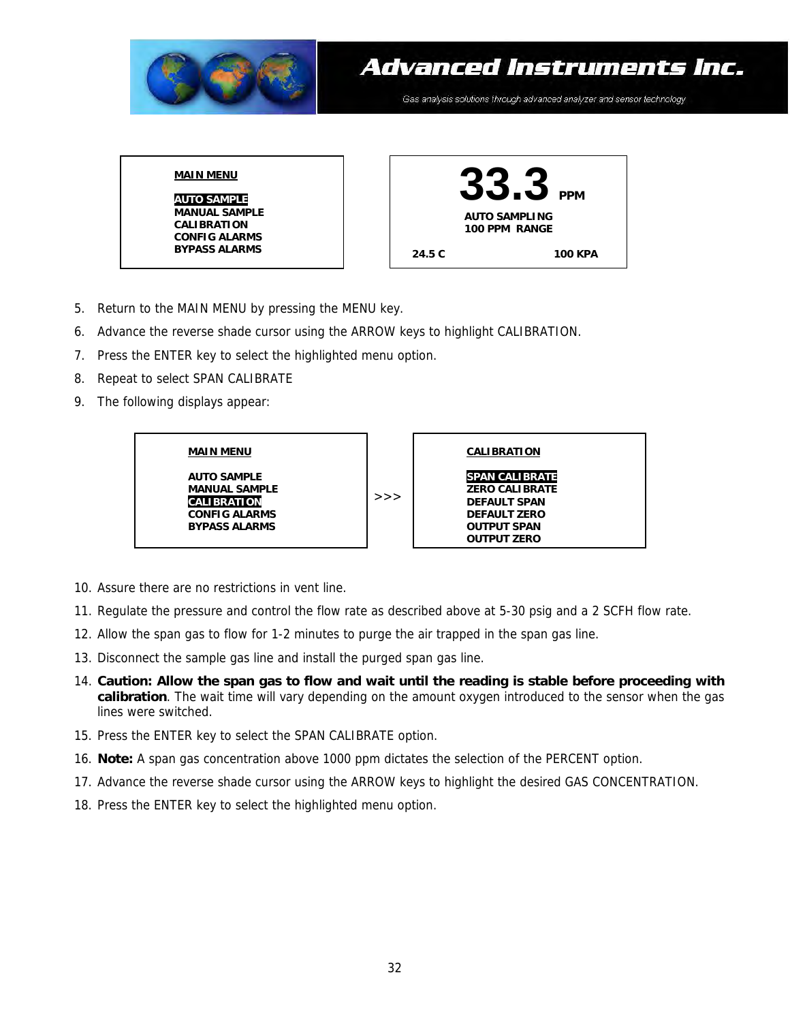

- 5. Return to the MAIN MENU by pressing the MENU key.
- 6. Advance the reverse shade cursor using the ARROW keys to highlight CALIBRATION.
- 7. Press the ENTER key to select the highlighted menu option.
- 8. Repeat to select SPAN CALIBRATE
- 9. The following displays appear:



- 10. Assure there are no restrictions in vent line.
- 11. Regulate the pressure and control the flow rate as described above at 5-30 psig and a 2 SCFH flow rate.
- 12. Allow the span gas to flow for 1-2 minutes to purge the air trapped in the span gas line.
- 13. Disconnect the sample gas line and install the purged span gas line.
- 14. **Caution: Allow the span gas to flow and wait until the reading is stable before proceeding with calibration**. The wait time will vary depending on the amount oxygen introduced to the sensor when the gas lines were switched.
- 15. Press the ENTER key to select the SPAN CALIBRATE option.
- 16. **Note:** A span gas concentration above 1000 ppm dictates the selection of the PERCENT option.
- 17. Advance the reverse shade cursor using the ARROW keys to highlight the desired GAS CONCENTRATION.
- 18. Press the ENTER key to select the highlighted menu option.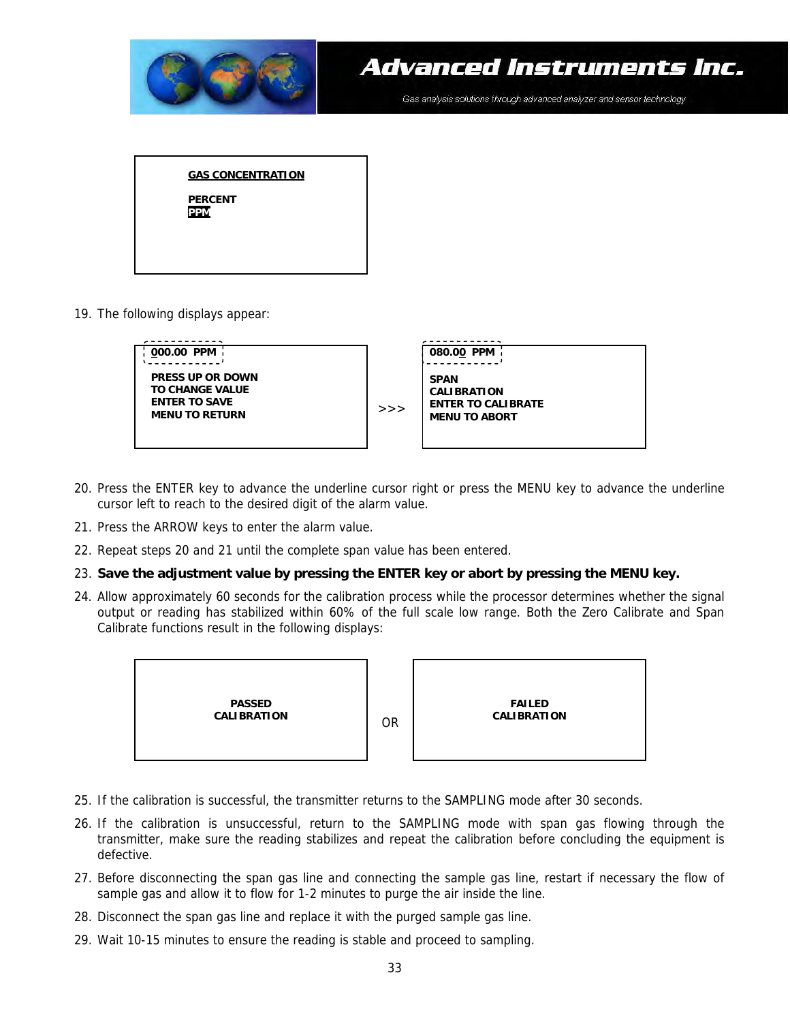

19. The following displays appear:



- 20. Press the ENTER key to advance the underline cursor right or press the MENU key to advance the underline cursor left to reach to the desired digit of the alarm value.
- 21. Press the ARROW keys to enter the alarm value.
- 22. Repeat steps 20 and 21 until the complete span value has been entered.

#### 23. **Save the adjustment value by pressing the ENTER key or abort by pressing the MENU key.**

24. Allow approximately 60 seconds for the calibration process while the processor determines whether the signal output or reading has stabilized within 60% of the full scale low range. Both the Zero Calibrate and Span Calibrate functions result in the following displays:



- 25. If the calibration is successful, the transmitter returns to the SAMPLING mode after 30 seconds.
- 26. If the calibration is unsuccessful, return to the SAMPLING mode with span gas flowing through the transmitter, make sure the reading stabilizes and repeat the calibration before concluding the equipment is defective.
- 27. Before disconnecting the span gas line and connecting the sample gas line, restart if necessary the flow of sample gas and allow it to flow for 1-2 minutes to purge the air inside the line.
- 28. Disconnect the span gas line and replace it with the purged sample gas line.
- 29. Wait 10-15 minutes to ensure the reading is stable and proceed to sampling.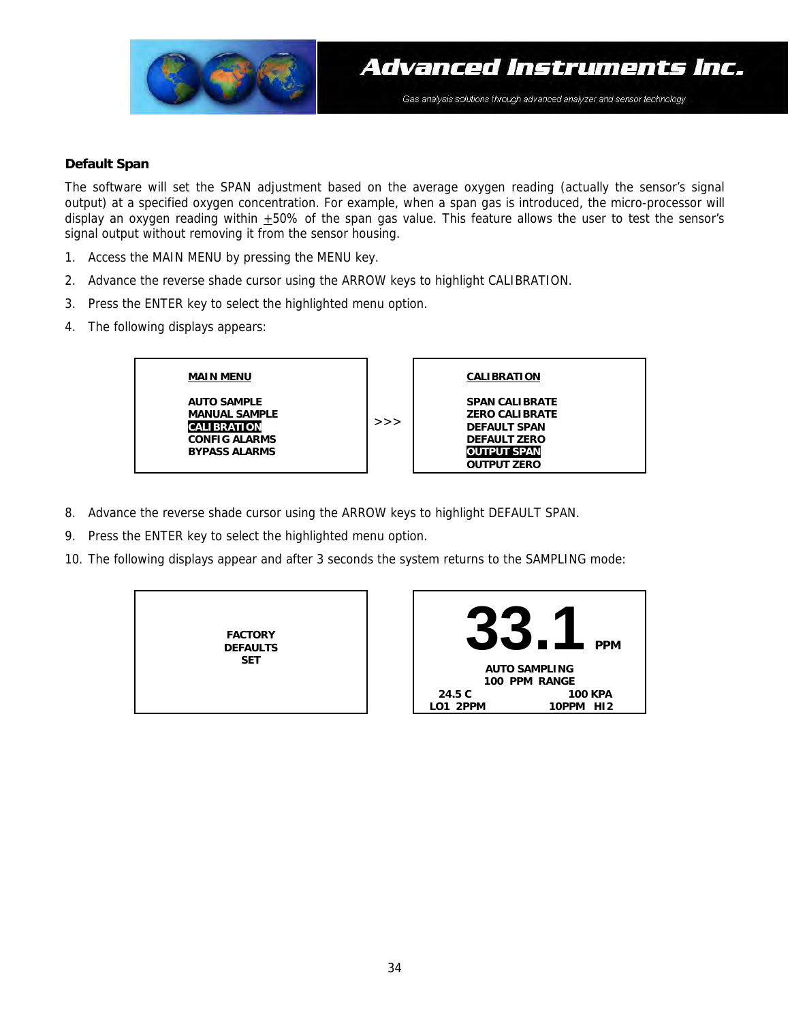

#### **Default Span**

The software will set the SPAN adjustment based on the average oxygen reading (actually the sensor's signal output) at a specified oxygen concentration. For example, when a span gas is introduced, the micro-processor will display an oxygen reading within  $+50\%$  of the span gas value. This feature allows the user to test the sensor's signal output without removing it from the sensor housing.

- 1. Access the MAIN MENU by pressing the MENU key.
- 2. Advance the reverse shade cursor using the ARROW keys to highlight CALIBRATION.
- 3. Press the ENTER key to select the highlighted menu option.
- 4. The following displays appears:



- 8. Advance the reverse shade cursor using the ARROW keys to highlight DEFAULT SPAN.
- 9. Press the ENTER key to select the highlighted menu option.
- 10. The following displays appear and after 3 seconds the system returns to the SAMPLING mode:

**FACTORY DEFAULTS SET** 

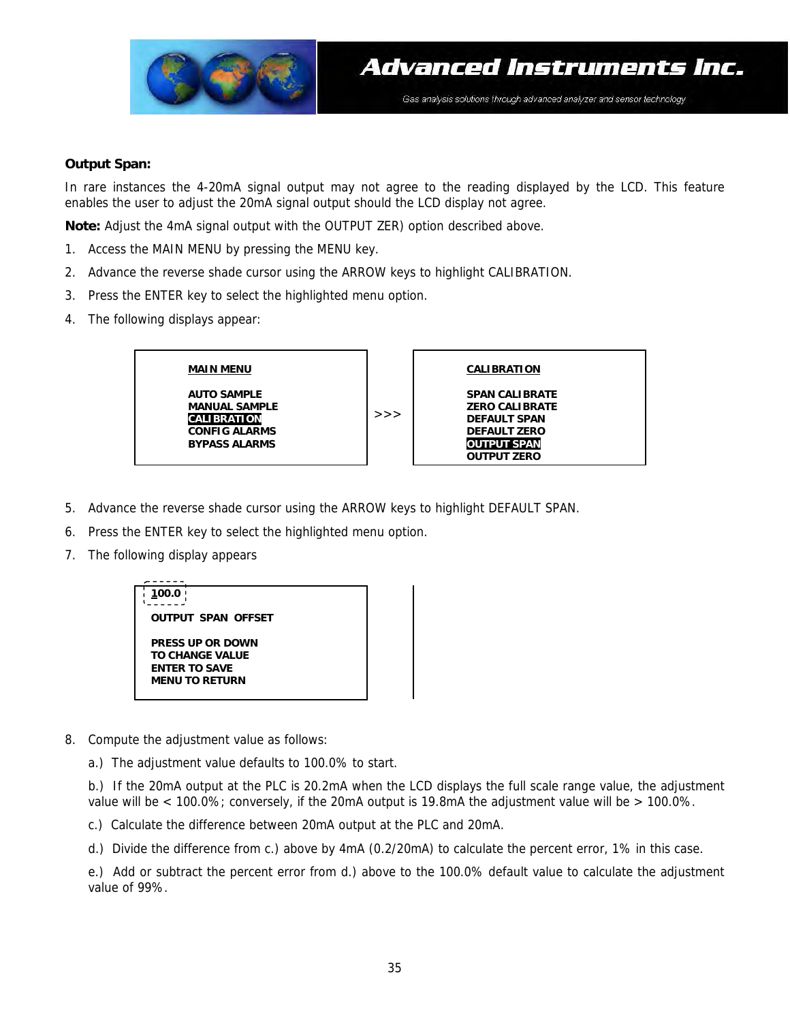

#### **Output Span:**

In rare instances the 4-20mA signal output may not agree to the reading displayed by the LCD. This feature enables the user to adjust the 20mA signal output should the LCD display not agree.

**Note:** Adjust the 4mA signal output with the OUTPUT ZER) option described above.

- 1. Access the MAIN MENU by pressing the MENU key.
- 2. Advance the reverse shade cursor using the ARROW keys to highlight CALIBRATION.
- 3. Press the ENTER key to select the highlighted menu option.
- 4. The following displays appear:



- 5. Advance the reverse shade cursor using the ARROW keys to highlight DEFAULT SPAN.
- 6. Press the ENTER key to select the highlighted menu option.
- 7. The following display appears



- 8. Compute the adjustment value as follows:
	- a.) The adjustment value defaults to 100.0% to start.

b.) If the 20mA output at the PLC is 20.2mA when the LCD displays the full scale range value, the adjustment value will be < 100.0%; conversely, if the 20mA output is 19.8mA the adjustment value will be > 100.0%.

- c.) Calculate the difference between 20mA output at the PLC and 20mA.
- d.) Divide the difference from c.) above by 4mA (0.2/20mA) to calculate the percent error, 1% in this case.

e.) Add or subtract the percent error from d.) above to the 100.0% default value to calculate the adjustment value of 99%.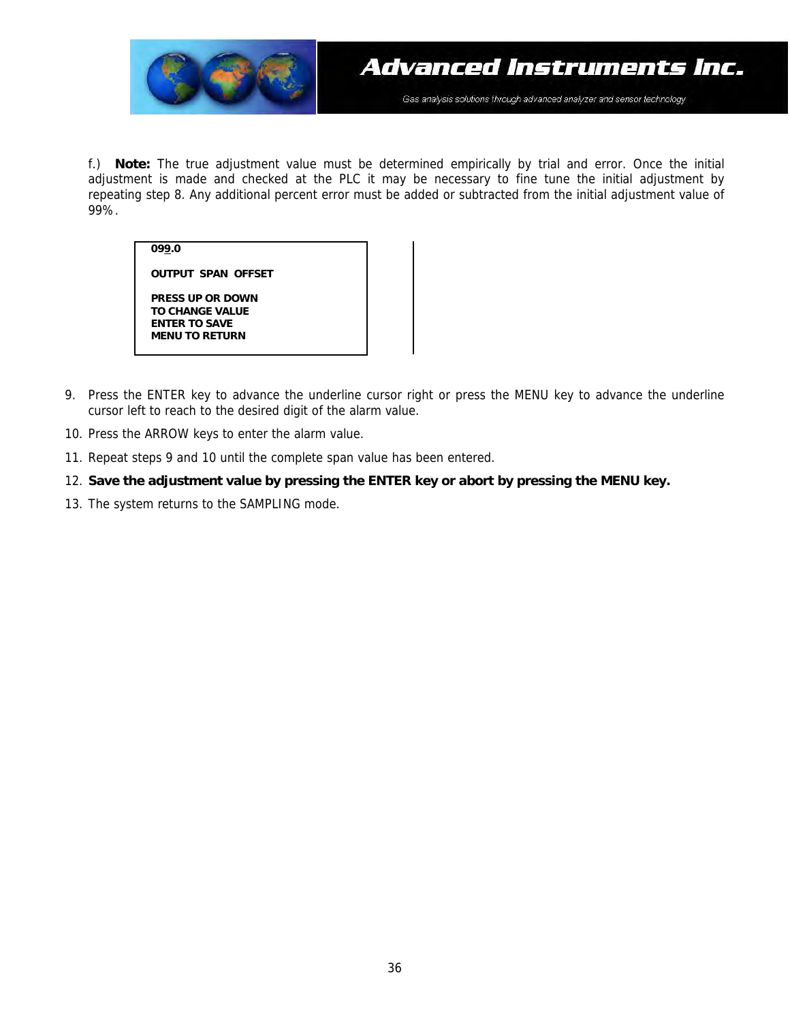

f.) **Note:** The true adjustment value must be determined empirically by trial and error. Once the initial adjustment is made and checked at the PLC it may be necessary to fine tune the initial adjustment by repeating step 8. Any additional percent error must be added or subtracted from the initial adjustment value of 99%.

**099.0** 

**PRESS UP OR DOWN TO CHANGE VALUE ENTER TO SAVE MENU TO RETURN** 

**OUTPUT SPAN OFFSET** 

- 9. Press the ENTER key to advance the underline cursor right or press the MENU key to advance the underline cursor left to reach to the desired digit of the alarm value.
- 10. Press the ARROW keys to enter the alarm value.
- 11. Repeat steps 9 and 10 until the complete span value has been entered.
- 12. **Save the adjustment value by pressing the ENTER key or abort by pressing the MENU key.**
- 13. The system returns to the SAMPLING mode.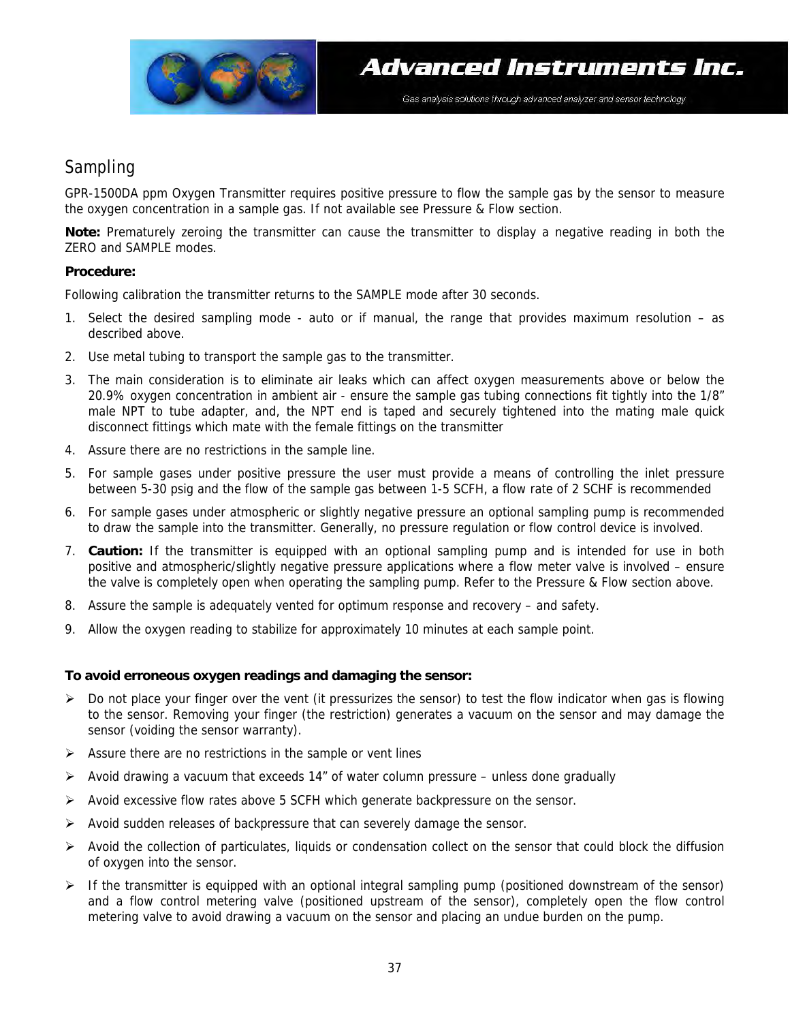

### Sampling

GPR-1500DA ppm Oxygen Transmitter requires positive pressure to flow the sample gas by the sensor to measure the oxygen concentration in a sample gas. If not available see Pressure & Flow section.

**Note:** Prematurely zeroing the transmitter can cause the transmitter to display a negative reading in both the ZERO and SAMPLE modes.

#### **Procedure:**

Following calibration the transmitter returns to the SAMPLE mode after 30 seconds.

- 1. Select the desired sampling mode auto or if manual, the range that provides maximum resolution as described above.
- 2. Use metal tubing to transport the sample gas to the transmitter.
- 3. The main consideration is to eliminate air leaks which can affect oxygen measurements above or below the 20.9% oxygen concentration in ambient air - ensure the sample gas tubing connections fit tightly into the 1/8" male NPT to tube adapter, and, the NPT end is taped and securely tightened into the mating male quick disconnect fittings which mate with the female fittings on the transmitter
- 4. Assure there are no restrictions in the sample line.
- 5. For sample gases under positive pressure the user must provide a means of controlling the inlet pressure between 5-30 psig and the flow of the sample gas between 1-5 SCFH, a flow rate of 2 SCHF is recommended
- 6. For sample gases under atmospheric or slightly negative pressure an optional sampling pump is recommended to draw the sample into the transmitter. Generally, no pressure regulation or flow control device is involved.
- 7. **Caution:** If the transmitter is equipped with an optional sampling pump and is intended for use in both positive and atmospheric/slightly negative pressure applications where a flow meter valve is involved – ensure the valve is completely open when operating the sampling pump. Refer to the Pressure & Flow section above.
- 8. Assure the sample is adequately vented for optimum response and recovery and safety.
- 9. Allow the oxygen reading to stabilize for approximately 10 minutes at each sample point.

#### **To avoid erroneous oxygen readings and damaging the sensor:**

- $\triangleright$  Do not place your finger over the vent (it pressurizes the sensor) to test the flow indicator when gas is flowing to the sensor. Removing your finger (the restriction) generates a vacuum on the sensor and may damage the sensor (voiding the sensor warranty).
- $\triangleright$  Assure there are no restrictions in the sample or vent lines
- $\triangleright$  Avoid drawing a vacuum that exceeds 14" of water column pressure unless done gradually
- ¾ Avoid excessive flow rates above 5 SCFH which generate backpressure on the sensor.
- ¾ Avoid sudden releases of backpressure that can severely damage the sensor.
- $\triangleright$  Avoid the collection of particulates, liquids or condensation collect on the sensor that could block the diffusion of oxygen into the sensor.
- ¾ If the transmitter is equipped with an optional integral sampling pump (positioned downstream of the sensor) and a flow control metering valve (positioned upstream of the sensor), completely open the flow control metering valve to avoid drawing a vacuum on the sensor and placing an undue burden on the pump.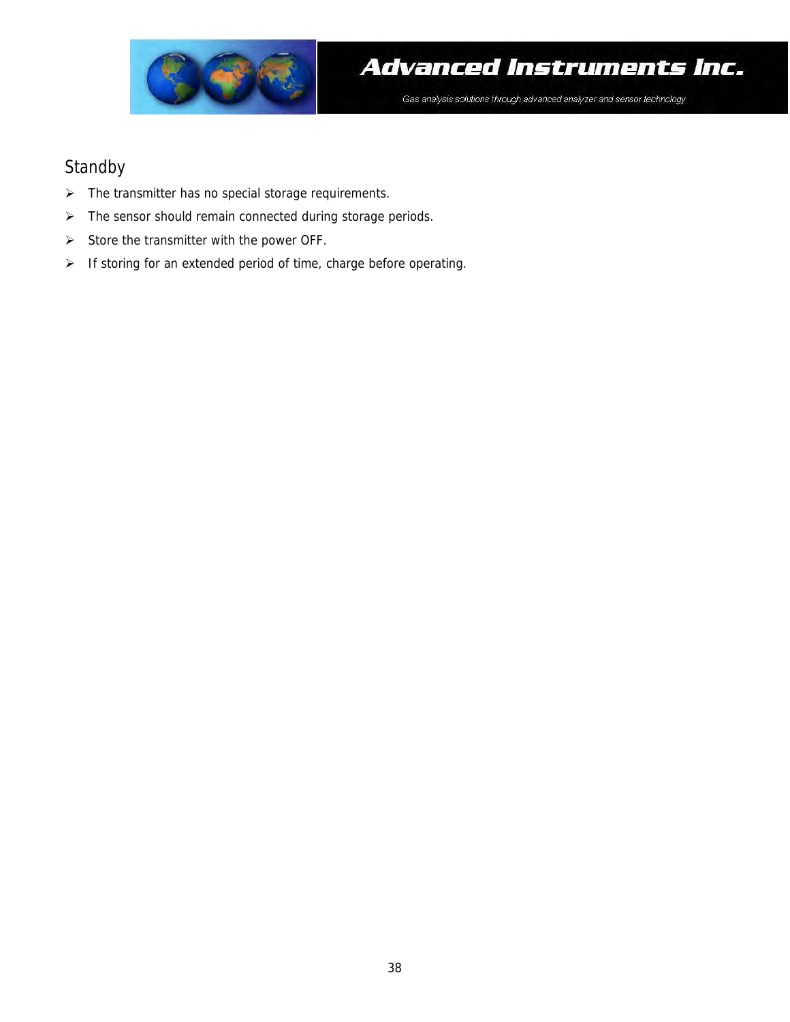

### Standby

- ¾ The transmitter has no special storage requirements.
- ¾ The sensor should remain connected during storage periods.
- $\triangleright$  Store the transmitter with the power OFF.
- ¾ If storing for an extended period of time, charge before operating.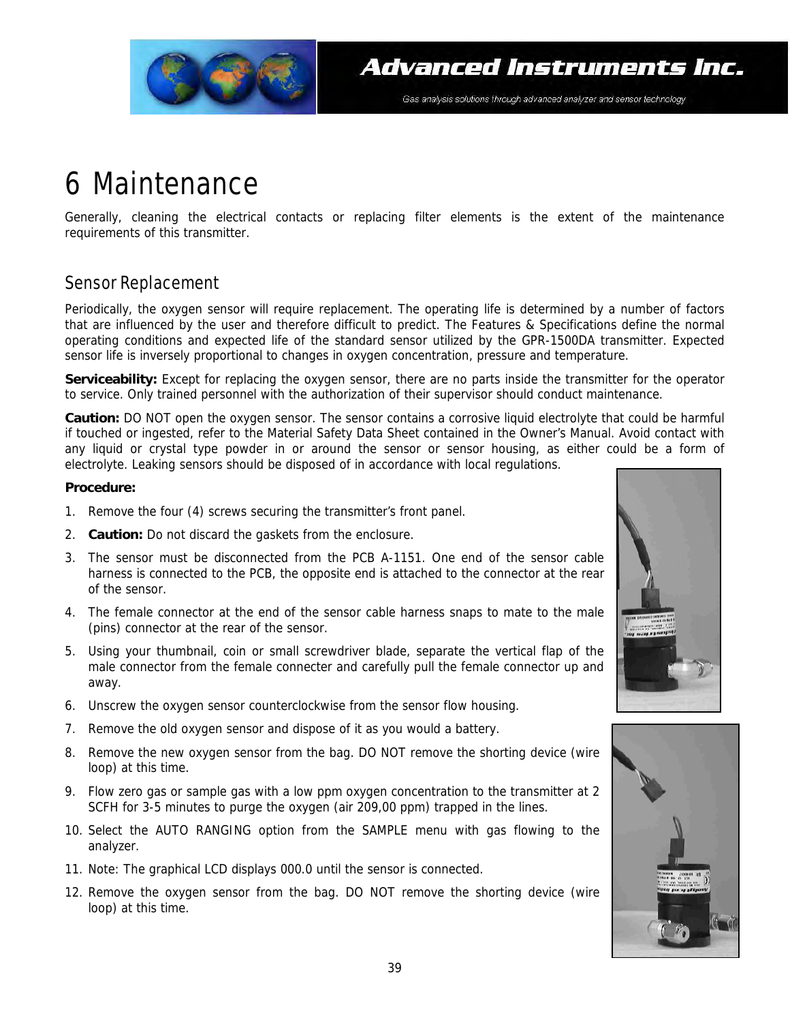

## 6 Maintenance

Generally, cleaning the electrical contacts or replacing filter elements is the extent of the maintenance requirements of this transmitter.

### Sensor Replacement

Periodically, the oxygen sensor will require replacement. The operating life is determined by a number of factors that are influenced by the user and therefore difficult to predict. The Features & Specifications define the normal operating conditions and expected life of the standard sensor utilized by the GPR-1500DA transmitter. Expected sensor life is inversely proportional to changes in oxygen concentration, pressure and temperature.

**Serviceability:** Except for replacing the oxygen sensor, there are no parts inside the transmitter for the operator to service. Only trained personnel with the authorization of their supervisor should conduct maintenance.

**Caution:** DO NOT open the oxygen sensor. The sensor contains a corrosive liquid electrolyte that could be harmful if touched or ingested, refer to the Material Safety Data Sheet contained in the Owner's Manual. Avoid contact with any liquid or crystal type powder in or around the sensor or sensor housing, as either could be a form of electrolyte. Leaking sensors should be disposed of in accordance with local regulations.

#### **Procedure:**

- 1. Remove the four (4) screws securing the transmitter's front panel.
- 2. **Caution:** Do not discard the gaskets from the enclosure.
- 3. The sensor must be disconnected from the PCB A-1151. One end of the sensor cable harness is connected to the PCB, the opposite end is attached to the connector at the rear of the sensor.
- 4. The female connector at the end of the sensor cable harness snaps to mate to the male (pins) connector at the rear of the sensor.
- 5. Using your thumbnail, coin or small screwdriver blade, separate the vertical flap of the male connector from the female connecter and carefully pull the female connector up and away.
- 6. Unscrew the oxygen sensor counterclockwise from the sensor flow housing.
- 7. Remove the old oxygen sensor and dispose of it as you would a battery.
- 8. Remove the new oxygen sensor from the bag. DO NOT remove the shorting device (wire loop) at this time.
- 9. Flow zero gas or sample gas with a low ppm oxygen concentration to the transmitter at 2 SCFH for 3-5 minutes to purge the oxygen (air 209,00 ppm) trapped in the lines.
- 10. Select the AUTO RANGING option from the SAMPLE menu with gas flowing to the analyzer.
- 11. Note: The graphical LCD displays 000.0 until the sensor is connected.
- 12. Remove the oxygen sensor from the bag. DO NOT remove the shorting device (wire loop) at this time.



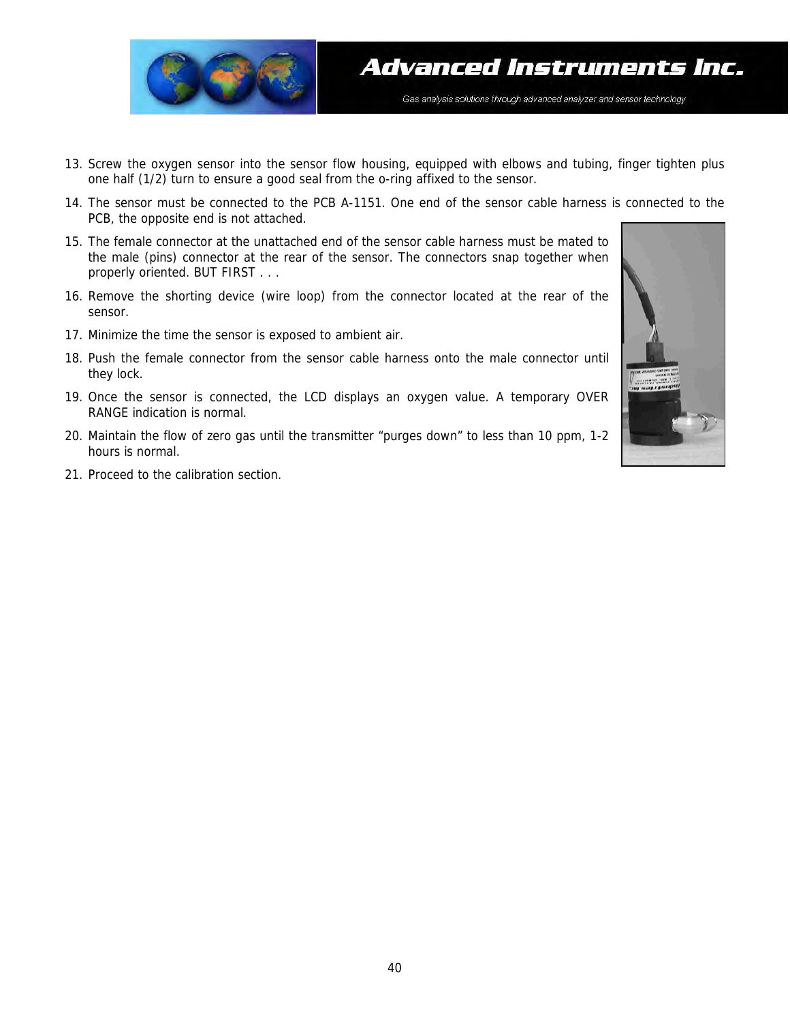

- 13. Screw the oxygen sensor into the sensor flow housing, equipped with elbows and tubing, finger tighten plus one half (1/2) turn to ensure a good seal from the o-ring affixed to the sensor.
- 14. The sensor must be connected to the PCB A-1151. One end of the sensor cable harness is connected to the PCB, the opposite end is not attached.
- 15. The female connector at the unattached end of the sensor cable harness must be mated to the male (pins) connector at the rear of the sensor. The connectors snap together when properly oriented. BUT FIRST . . .
- 16. Remove the shorting device (wire loop) from the connector located at the rear of the sensor.
- 17. Minimize the time the sensor is exposed to ambient air.
- 18. Push the female connector from the sensor cable harness onto the male connector until they lock.
- 19. Once the sensor is connected, the LCD displays an oxygen value. A temporary OVER RANGE indication is normal.
- 20. Maintain the flow of zero gas until the transmitter "purges down" to less than 10 ppm, 1-2 hours is normal.
- 21. Proceed to the calibration section.

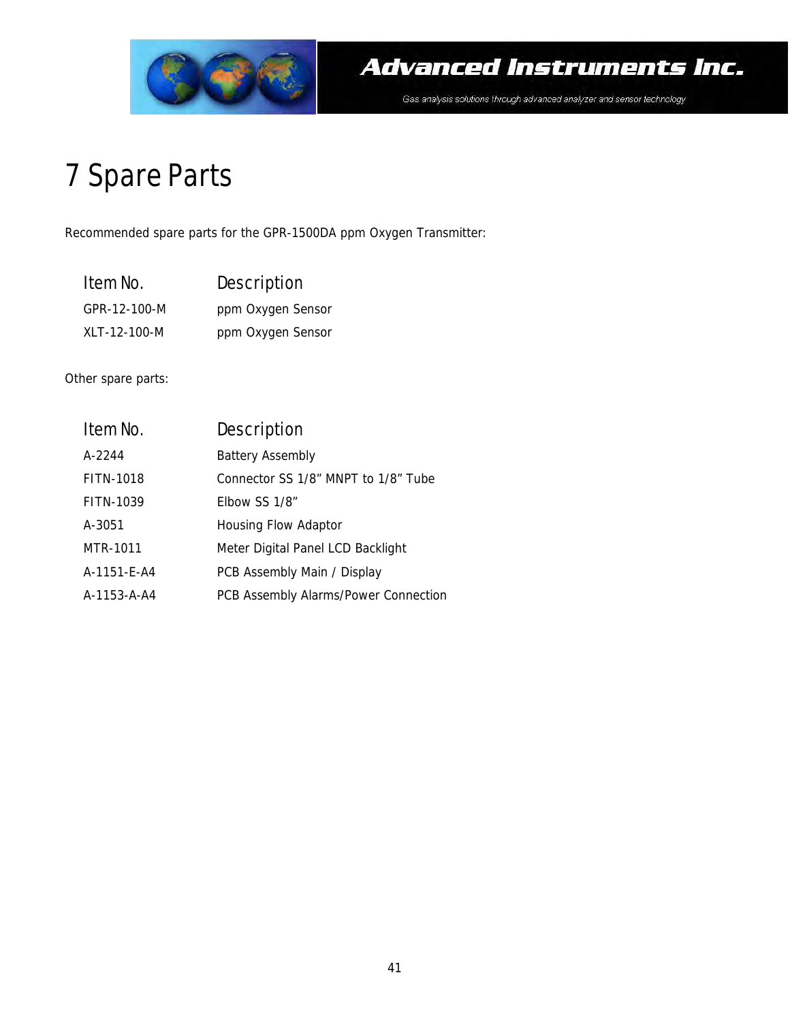

## 7 Spare Parts

Recommended spare parts for the GPR-1500DA ppm Oxygen Transmitter:

| Item No.     | Description       |
|--------------|-------------------|
| GPR-12-100-M | ppm Oxygen Sensor |
| XLT-12-100-M | ppm Oxygen Sensor |

Other spare parts:

| Item No.    | Description                          |
|-------------|--------------------------------------|
| A-2244      | <b>Battery Assembly</b>              |
| FITN-1018   | Connector SS 1/8" MNPT to 1/8" Tube  |
| FITN-1039   | Elbow SS 1/8"                        |
| A-3051      | Housing Flow Adaptor                 |
| MTR-1011    | Meter Digital Panel LCD Backlight    |
| A-1151-E-A4 | PCB Assembly Main / Display          |
| A-1153-A-A4 | PCB Assembly Alarms/Power Connection |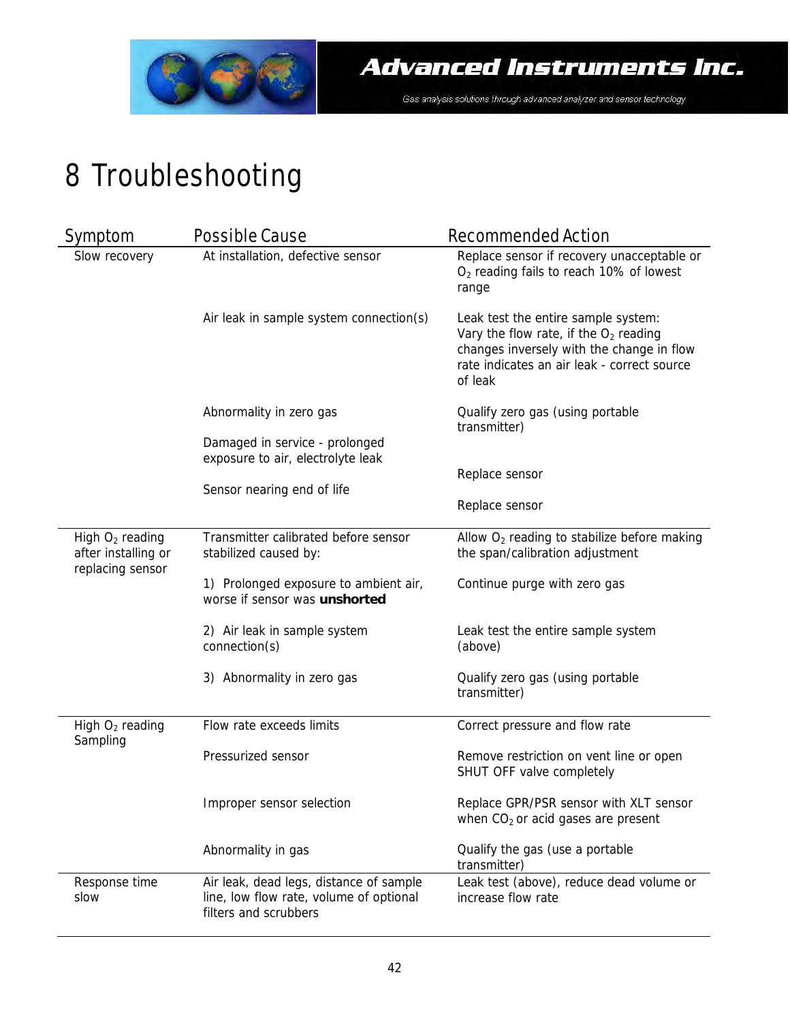

# 8 Troubleshooting

| Symptom                                                      | Possible Cause                                                                                              | Recommended Action                                                                                                                                                                    |
|--------------------------------------------------------------|-------------------------------------------------------------------------------------------------------------|---------------------------------------------------------------------------------------------------------------------------------------------------------------------------------------|
| Slow recovery                                                | At installation, defective sensor                                                                           | Replace sensor if recovery unacceptable or<br>$O2$ reading fails to reach 10% of lowest<br>range                                                                                      |
|                                                              | Air leak in sample system connection(s)                                                                     | Leak test the entire sample system:<br>Vary the flow rate, if the $O2$ reading<br>changes inversely with the change in flow<br>rate indicates an air leak - correct source<br>of leak |
|                                                              | Abnormality in zero gas                                                                                     | Qualify zero gas (using portable<br>transmitter)                                                                                                                                      |
|                                                              | Damaged in service - prolonged<br>exposure to air, electrolyte leak                                         |                                                                                                                                                                                       |
|                                                              | Sensor nearing end of life                                                                                  | Replace sensor                                                                                                                                                                        |
|                                                              |                                                                                                             | Replace sensor                                                                                                                                                                        |
| High $O2$ reading<br>after installing or<br>replacing sensor | Transmitter calibrated before sensor<br>stabilized caused by:                                               | Allow $O2$ reading to stabilize before making<br>the span/calibration adjustment                                                                                                      |
|                                                              | 1) Prolonged exposure to ambient air,<br>worse if sensor was unshorted                                      | Continue purge with zero gas                                                                                                                                                          |
|                                                              | 2) Air leak in sample system<br>connection(s)                                                               | Leak test the entire sample system<br>(above)                                                                                                                                         |
|                                                              | 3) Abnormality in zero gas                                                                                  | Qualify zero gas (using portable<br>transmitter)                                                                                                                                      |
| High O <sub>2</sub> reading                                  | Flow rate exceeds limits                                                                                    | Correct pressure and flow rate                                                                                                                                                        |
| Sampling                                                     | Pressurized sensor                                                                                          | Remove restriction on vent line or open<br>SHUT OFF valve completely                                                                                                                  |
|                                                              | Improper sensor selection                                                                                   | Replace GPR/PSR sensor with XLT sensor<br>when $CO2$ or acid gases are present                                                                                                        |
|                                                              | Abnormality in gas                                                                                          | Qualify the gas (use a portable<br>transmitter)                                                                                                                                       |
| Response time<br>slow                                        | Air leak, dead legs, distance of sample<br>line, low flow rate, volume of optional<br>filters and scrubbers | Leak test (above), reduce dead volume or<br>increase flow rate                                                                                                                        |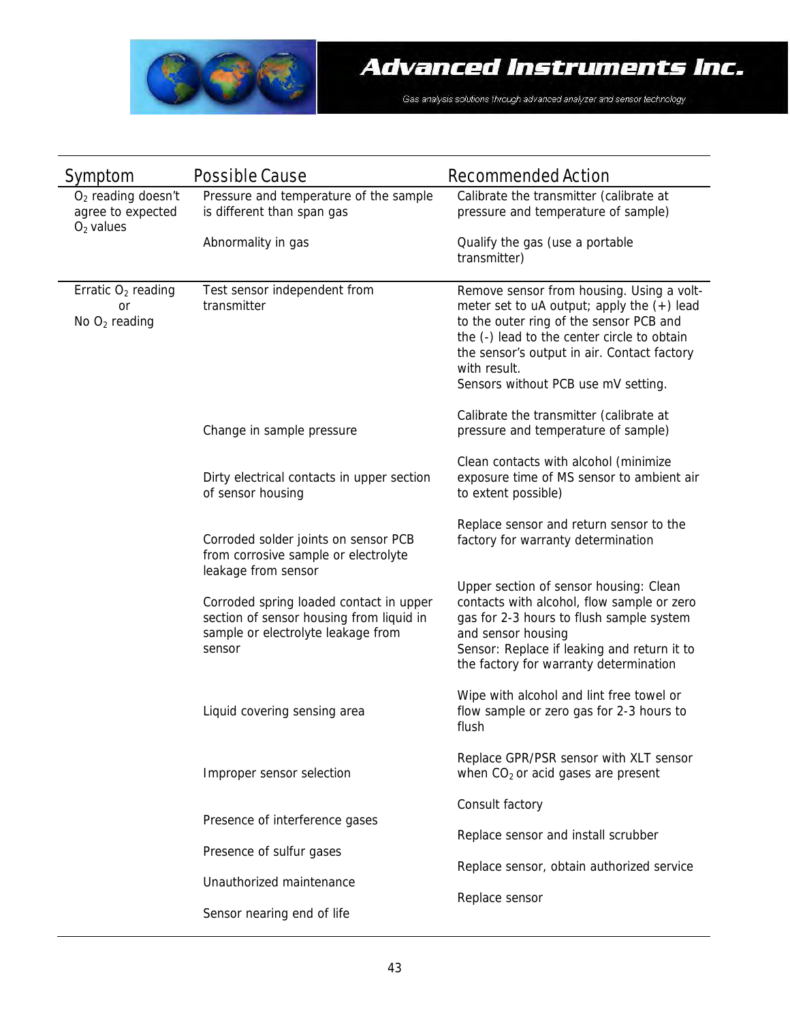

| Symptom                                                  | Possible Cause                                                                                                                      | Recommended Action                                                                                                                                                                                                                                                                        |
|----------------------------------------------------------|-------------------------------------------------------------------------------------------------------------------------------------|-------------------------------------------------------------------------------------------------------------------------------------------------------------------------------------------------------------------------------------------------------------------------------------------|
| $O2$ reading doesn't<br>agree to expected<br>$O2$ values | Pressure and temperature of the sample<br>is different than span gas                                                                | Calibrate the transmitter (calibrate at<br>pressure and temperature of sample)                                                                                                                                                                                                            |
|                                                          | Abnormality in gas                                                                                                                  | Qualify the gas (use a portable<br>transmitter)                                                                                                                                                                                                                                           |
| Erratic $O2$ reading<br>or<br>No $O_2$ reading           | Test sensor independent from<br>transmitter                                                                                         | Remove sensor from housing. Using a volt-<br>meter set to uA output; apply the $(+)$ lead<br>to the outer ring of the sensor PCB and<br>the (-) lead to the center circle to obtain<br>the sensor's output in air. Contact factory<br>with result.<br>Sensors without PCB use mV setting. |
|                                                          | Change in sample pressure                                                                                                           | Calibrate the transmitter (calibrate at<br>pressure and temperature of sample)                                                                                                                                                                                                            |
|                                                          | Dirty electrical contacts in upper section<br>of sensor housing                                                                     | Clean contacts with alcohol (minimize<br>exposure time of MS sensor to ambient air<br>to extent possible)                                                                                                                                                                                 |
|                                                          | Corroded solder joints on sensor PCB<br>from corrosive sample or electrolyte<br>leakage from sensor                                 | Replace sensor and return sensor to the<br>factory for warranty determination                                                                                                                                                                                                             |
|                                                          | Corroded spring loaded contact in upper<br>section of sensor housing from liquid in<br>sample or electrolyte leakage from<br>sensor | Upper section of sensor housing: Clean<br>contacts with alcohol, flow sample or zero<br>gas for 2-3 hours to flush sample system<br>and sensor housing<br>Sensor: Replace if leaking and return it to<br>the factory for warranty determination                                           |
|                                                          | Liquid covering sensing area                                                                                                        | Wipe with alcohol and lint free towel or<br>flow sample or zero gas for 2-3 hours to<br>flush                                                                                                                                                                                             |
|                                                          | Improper sensor selection                                                                                                           | Replace GPR/PSR sensor with XLT sensor<br>when $CO2$ or acid gases are present                                                                                                                                                                                                            |
|                                                          |                                                                                                                                     | Consult factory                                                                                                                                                                                                                                                                           |
|                                                          | Presence of interference gases                                                                                                      | Replace sensor and install scrubber                                                                                                                                                                                                                                                       |
|                                                          | Presence of sulfur gases                                                                                                            | Replace sensor, obtain authorized service                                                                                                                                                                                                                                                 |
|                                                          | Unauthorized maintenance                                                                                                            | Replace sensor                                                                                                                                                                                                                                                                            |
|                                                          | Sensor nearing end of life                                                                                                          |                                                                                                                                                                                                                                                                                           |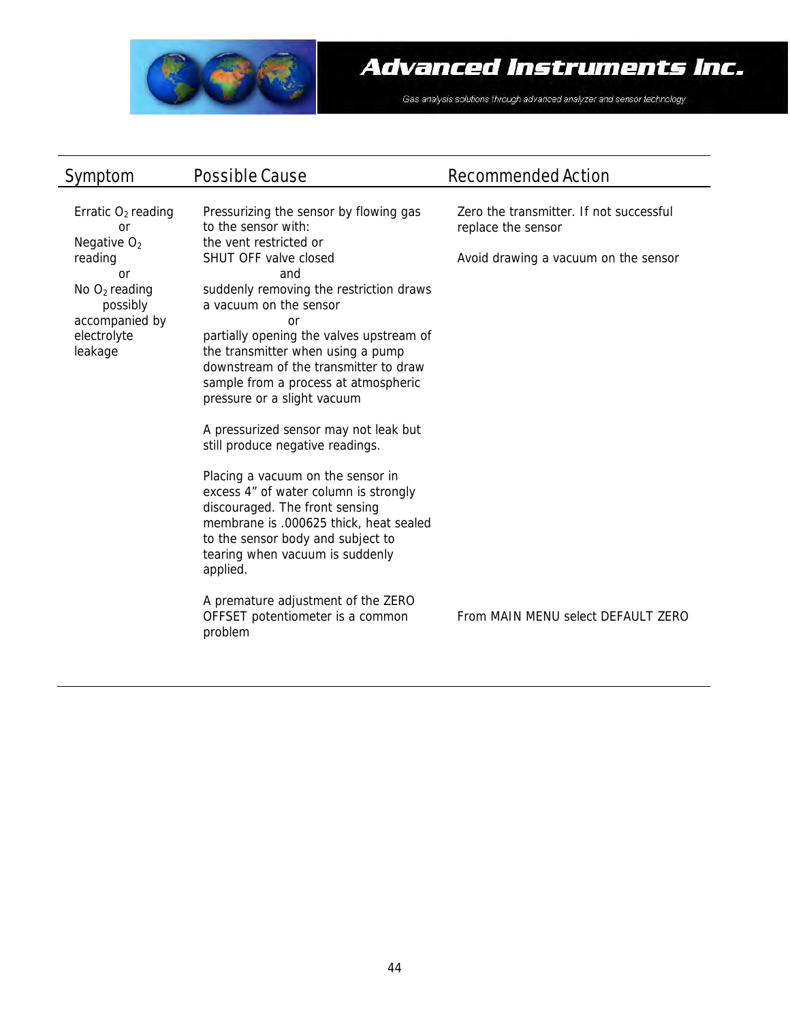

| Symptom                                                                                                                                                 | Possible Cause                                                                                                                                                                                                                                                                                                                                                                                                                                                                                                                                                                                                                                                                                                                                                                                                             | Recommended Action                                                                                                                          |
|---------------------------------------------------------------------------------------------------------------------------------------------------------|----------------------------------------------------------------------------------------------------------------------------------------------------------------------------------------------------------------------------------------------------------------------------------------------------------------------------------------------------------------------------------------------------------------------------------------------------------------------------------------------------------------------------------------------------------------------------------------------------------------------------------------------------------------------------------------------------------------------------------------------------------------------------------------------------------------------------|---------------------------------------------------------------------------------------------------------------------------------------------|
| Erratic $O2$ reading<br><b>or</b><br>Negative $O2$<br>reading<br>$\Omega$ r<br>No $O_2$ reading<br>possibly<br>accompanied by<br>electrolyte<br>leakage | Pressurizing the sensor by flowing gas<br>to the sensor with:<br>the vent restricted or<br>SHUT OFF valve closed<br>and<br>suddenly removing the restriction draws<br>a vacuum on the sensor<br><b>or</b><br>partially opening the valves upstream of<br>the transmitter when using a pump<br>downstream of the transmitter to draw<br>sample from a process at atmospheric<br>pressure or a slight vacuum<br>A pressurized sensor may not leak but<br>still produce negative readings.<br>Placing a vacuum on the sensor in<br>excess 4" of water column is strongly<br>discouraged. The front sensing<br>membrane is .000625 thick, heat sealed<br>to the sensor body and subject to<br>tearing when vacuum is suddenly<br>applied.<br>A premature adjustment of the ZERO<br>OFFSET potentiometer is a common<br>problem | Zero the transmitter. If not successful<br>replace the sensor<br>Avoid drawing a vacuum on the sensor<br>From MAIN MENU select DEFAULT ZERO |
|                                                                                                                                                         |                                                                                                                                                                                                                                                                                                                                                                                                                                                                                                                                                                                                                                                                                                                                                                                                                            |                                                                                                                                             |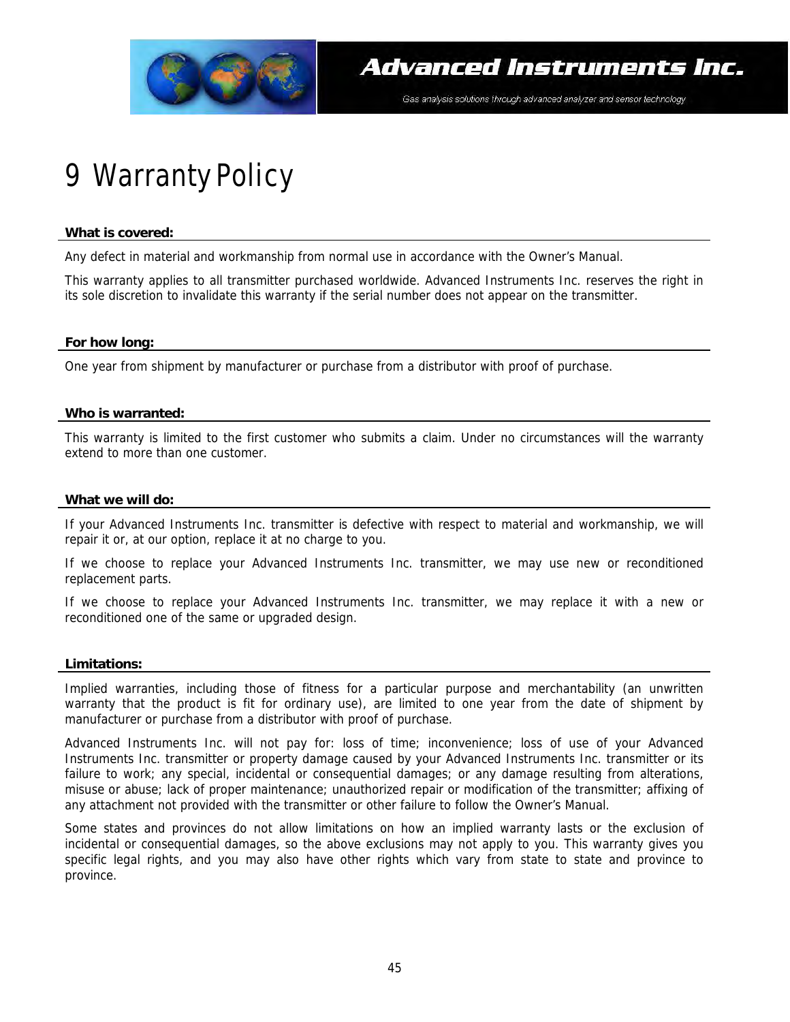

# 9 Warranty Policy

#### **What is covered:**

Any defect in material and workmanship from normal use in accordance with the Owner's Manual.

This warranty applies to all transmitter purchased worldwide. Advanced Instruments Inc. reserves the right in its sole discretion to invalidate this warranty if the serial number does not appear on the transmitter.

#### **For how long:**

One year from shipment by manufacturer or purchase from a distributor with proof of purchase.

#### **Who is warranted:**

This warranty is limited to the first customer who submits a claim. Under no circumstances will the warranty extend to more than one customer.

#### **What we will do:**

If your Advanced Instruments Inc. transmitter is defective with respect to material and workmanship, we will repair it or, at our option, replace it at no charge to you.

If we choose to replace your Advanced Instruments Inc. transmitter, we may use new or reconditioned replacement parts.

If we choose to replace your Advanced Instruments Inc. transmitter, we may replace it with a new or reconditioned one of the same or upgraded design.

#### **Limitations:**

Implied warranties, including those of fitness for a particular purpose and merchantability (an unwritten warranty that the product is fit for ordinary use), are limited to one year from the date of shipment by manufacturer or purchase from a distributor with proof of purchase.

Advanced Instruments Inc. will not pay for: loss of time; inconvenience; loss of use of your Advanced Instruments Inc. transmitter or property damage caused by your Advanced Instruments Inc. transmitter or its failure to work; any special, incidental or consequential damages; or any damage resulting from alterations, misuse or abuse; lack of proper maintenance; unauthorized repair or modification of the transmitter; affixing of any attachment not provided with the transmitter or other failure to follow the Owner's Manual.

Some states and provinces do not allow limitations on how an implied warranty lasts or the exclusion of incidental or consequential damages, so the above exclusions may not apply to you. This warranty gives you specific legal rights, and you may also have other rights which vary from state to state and province to province.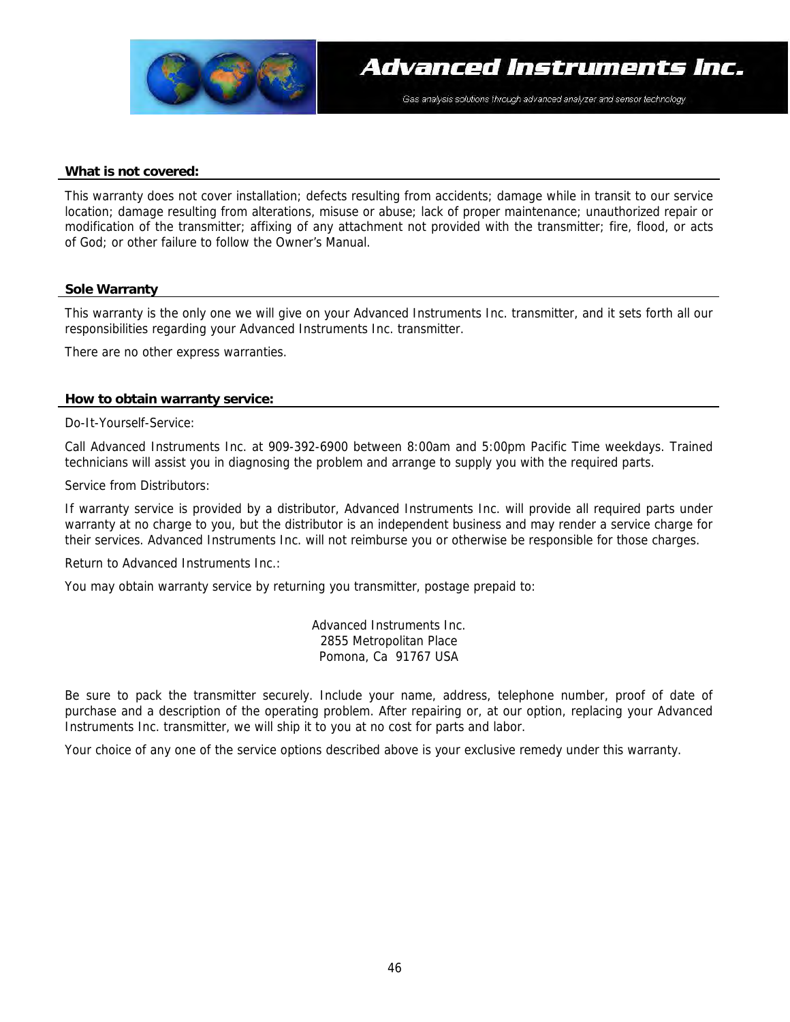

#### **What is not covered:**

This warranty does not cover installation; defects resulting from accidents; damage while in transit to our service location; damage resulting from alterations, misuse or abuse; lack of proper maintenance; unauthorized repair or modification of the transmitter; affixing of any attachment not provided with the transmitter; fire, flood, or acts of God; or other failure to follow the Owner's Manual.

#### **Sole Warranty**

This warranty is the only one we will give on your Advanced Instruments Inc. transmitter, and it sets forth all our responsibilities regarding your Advanced Instruments Inc. transmitter.

There are no other express warranties.

#### **How to obtain warranty service:**

Do-It-Yourself-Service:

Call Advanced Instruments Inc. at 909-392-6900 between 8:00am and 5:00pm Pacific Time weekdays. Trained technicians will assist you in diagnosing the problem and arrange to supply you with the required parts.

Service from Distributors:

If warranty service is provided by a distributor, Advanced Instruments Inc. will provide all required parts under warranty at no charge to you, but the distributor is an independent business and may render a service charge for their services. Advanced Instruments Inc. will not reimburse you or otherwise be responsible for those charges.

Return to Advanced Instruments Inc.:

You may obtain warranty service by returning you transmitter, postage prepaid to:

Advanced Instruments Inc. 2855 Metropolitan Place Pomona, Ca 91767 USA

Be sure to pack the transmitter securely. Include your name, address, telephone number, proof of date of purchase and a description of the operating problem. After repairing or, at our option, replacing your Advanced Instruments Inc. transmitter, we will ship it to you at no cost for parts and labor.

Your choice of any one of the service options described above is your exclusive remedy under this warranty.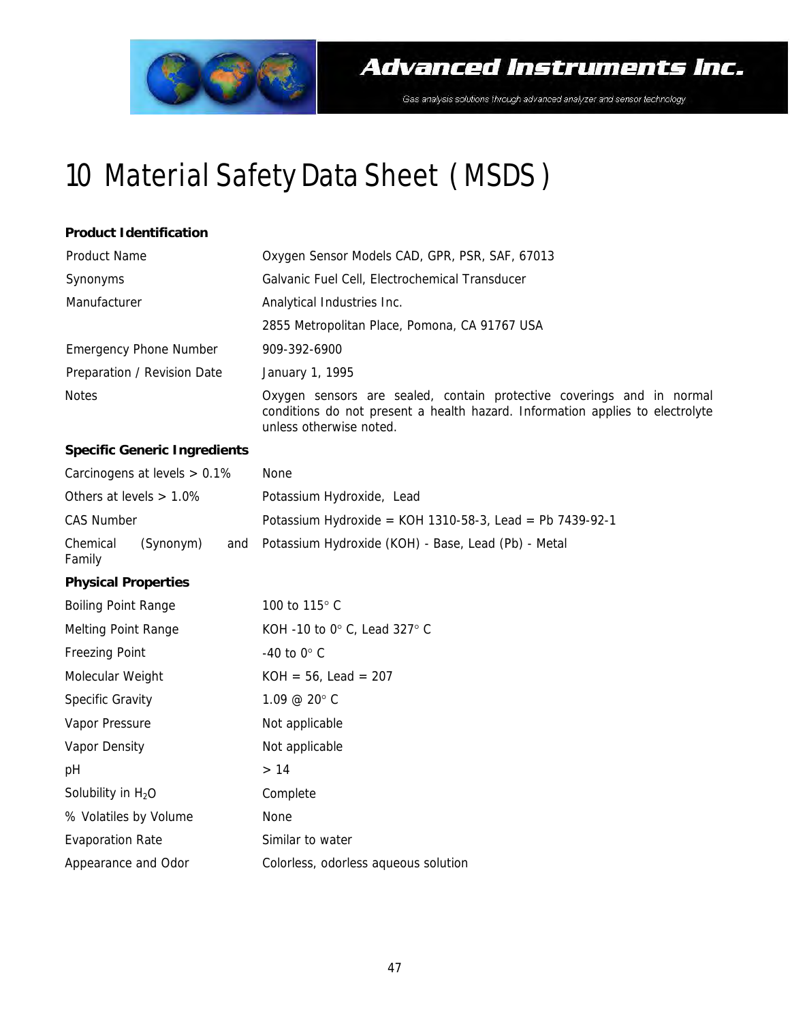

# 10 Material Safety Data Sheet ( MSDS )

#### **Product Identification**

| Product Name                  | Oxygen Sensor Models CAD, GPR, PSR, SAF, 67013                                                                                                                                    |  |
|-------------------------------|-----------------------------------------------------------------------------------------------------------------------------------------------------------------------------------|--|
| Synonyms                      | Galvanic Fuel Cell, Electrochemical Transducer                                                                                                                                    |  |
| Manufacturer                  | Analytical Industries Inc.                                                                                                                                                        |  |
|                               | 2855 Metropolitan Place, Pomona, CA 91767 USA                                                                                                                                     |  |
| <b>Emergency Phone Number</b> | 909-392-6900                                                                                                                                                                      |  |
| Preparation / Revision Date   | January 1, 1995                                                                                                                                                                   |  |
| <b>Notes</b>                  | Oxygen sensors are sealed, contain protective coverings and in normal<br>conditions do not present a health hazard. Information applies to electrolyte<br>unless otherwise noted. |  |

#### **Specific Generic Ingredients**

|                            | Carcinogens at levels $> 0.1\%$ | None                                                     |
|----------------------------|---------------------------------|----------------------------------------------------------|
| Others at levels $> 1.0\%$ |                                 | Potassium Hydroxide, Lead                                |
| CAS Number                 |                                 | Potassium Hydroxide = KOH 1310-58-3, Lead = Pb 7439-92-1 |
| Chemical<br>Family         | (Synonym)                       | and Potassium Hydroxide (KOH) - Base, Lead (Pb) - Metal  |

#### **Physical Properties**

| <b>Boiling Point Range</b> | 100 to 115° C                        |
|----------------------------|--------------------------------------|
| Melting Point Range        | KOH -10 to 0° C, Lead 327° C         |
| Freezing Point             | $-40$ to 0 $\degree$ C               |
| Molecular Weight           | $KOH = 56$ , Lead = 207              |
| Specific Gravity           | $1.09 \ @ \ 20^{\circ} \text{C}$     |
| Vapor Pressure             | Not applicable                       |
| Vapor Density              | Not applicable                       |
| рH                         | >14                                  |
| Solubility in $H_2O$       | Complete                             |
| % Volatiles by Volume      | None                                 |
| Evaporation Rate           | Similar to water                     |
| Appearance and Odor        | Colorless, odorless aqueous solution |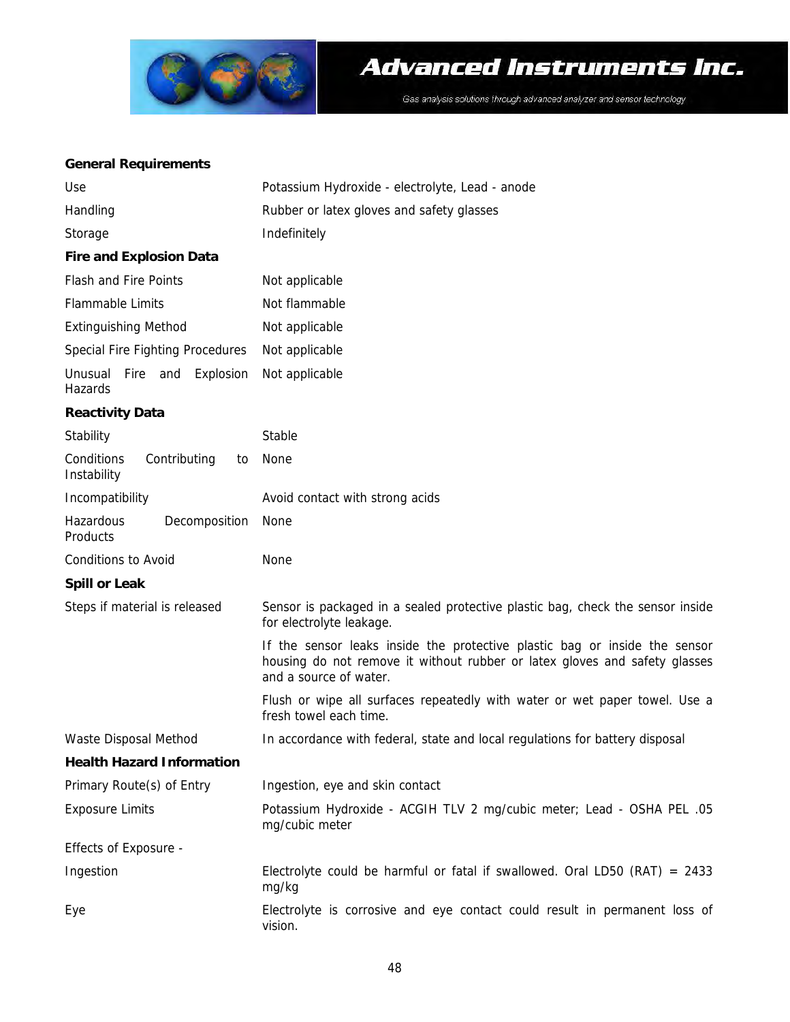

### Advanced Instruments Inc.

Gas analysis solutions through advanced analyzer and sensor technology

#### **General Requirements**

| Use                                             | Potassium Hydroxide - electrolyte, Lead - anode                                                                                                                                    |  |  |
|-------------------------------------------------|------------------------------------------------------------------------------------------------------------------------------------------------------------------------------------|--|--|
| Handling                                        | Rubber or latex gloves and safety glasses                                                                                                                                          |  |  |
| Storage                                         | Indefinitely                                                                                                                                                                       |  |  |
| <b>Fire and Explosion Data</b>                  |                                                                                                                                                                                    |  |  |
| Flash and Fire Points                           | Not applicable                                                                                                                                                                     |  |  |
| Flammable Limits                                | Not flammable                                                                                                                                                                      |  |  |
| <b>Extinguishing Method</b>                     | Not applicable                                                                                                                                                                     |  |  |
| Special Fire Fighting Procedures                | Not applicable                                                                                                                                                                     |  |  |
| Unusual Fire and<br>Explosion<br>Hazards        | Not applicable                                                                                                                                                                     |  |  |
| <b>Reactivity Data</b>                          |                                                                                                                                                                                    |  |  |
| Stability                                       | Stable                                                                                                                                                                             |  |  |
| Conditions<br>Contributing<br>to<br>Instability | None                                                                                                                                                                               |  |  |
| Incompatibility                                 | Avoid contact with strong acids                                                                                                                                                    |  |  |
| Hazardous<br>Decomposition<br>Products          | None                                                                                                                                                                               |  |  |
| Conditions to Avoid                             | None                                                                                                                                                                               |  |  |
| <b>Spill or Leak</b>                            |                                                                                                                                                                                    |  |  |
| Steps if material is released                   | Sensor is packaged in a sealed protective plastic bag, check the sensor inside<br>for electrolyte leakage.                                                                         |  |  |
|                                                 | If the sensor leaks inside the protective plastic bag or inside the sensor<br>housing do not remove it without rubber or latex gloves and safety glasses<br>and a source of water. |  |  |
|                                                 | Flush or wipe all surfaces repeatedly with water or wet paper towel. Use a<br>fresh towel each time.                                                                               |  |  |
| Waste Disposal Method                           | In accordance with federal, state and local regulations for battery disposal                                                                                                       |  |  |
| <b>Health Hazard Information</b>                |                                                                                                                                                                                    |  |  |
| Primary Route(s) of Entry                       | Ingestion, eye and skin contact                                                                                                                                                    |  |  |
| <b>Exposure Limits</b>                          | Potassium Hydroxide - ACGIH TLV 2 mg/cubic meter; Lead - OSHA PEL .05<br>mg/cubic meter                                                                                            |  |  |
| Effects of Exposure -                           |                                                                                                                                                                                    |  |  |
| Ingestion                                       | Electrolyte could be harmful or fatal if swallowed. Oral LD50 (RAT) = $2433$<br>mg/kg                                                                                              |  |  |
| Eye                                             | Electrolyte is corrosive and eye contact could result in permanent loss of<br>vision.                                                                                              |  |  |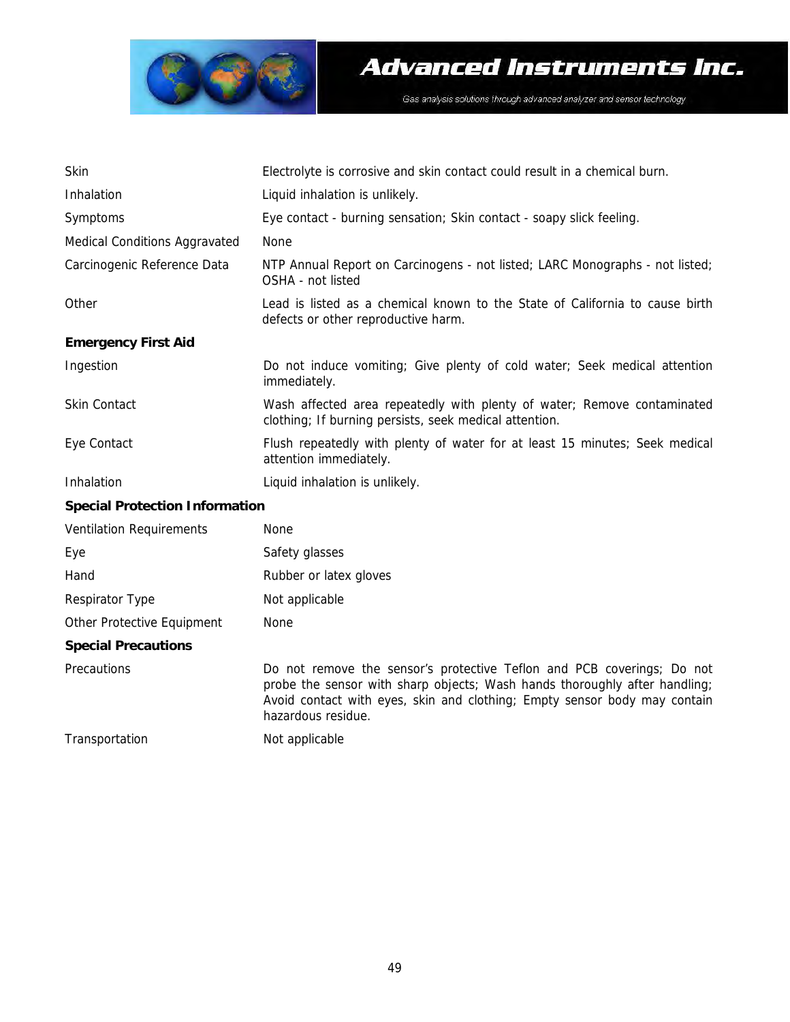

| Skin                                  | Electrolyte is corrosive and skin contact could result in a chemical burn.                                                                                                                                                                              |
|---------------------------------------|---------------------------------------------------------------------------------------------------------------------------------------------------------------------------------------------------------------------------------------------------------|
| Inhalation                            | Liquid inhalation is unlikely.                                                                                                                                                                                                                          |
| Symptoms                              | Eye contact - burning sensation; Skin contact - soapy slick feeling.                                                                                                                                                                                    |
| Medical Conditions Aggravated         | <b>None</b>                                                                                                                                                                                                                                             |
| Carcinogenic Reference Data           | NTP Annual Report on Carcinogens - not listed; LARC Monographs - not listed;<br>OSHA - not listed                                                                                                                                                       |
| Other                                 | Lead is listed as a chemical known to the State of California to cause birth<br>defects or other reproductive harm.                                                                                                                                     |
| <b>Emergency First Aid</b>            |                                                                                                                                                                                                                                                         |
| Ingestion                             | Do not induce vomiting; Give plenty of cold water; Seek medical attention<br>immediately.                                                                                                                                                               |
| Skin Contact                          | Wash affected area repeatedly with plenty of water; Remove contaminated<br>clothing; If burning persists, seek medical attention.                                                                                                                       |
| Eye Contact                           | Flush repeatedly with plenty of water for at least 15 minutes; Seek medical<br>attention immediately.                                                                                                                                                   |
| Inhalation                            | Liquid inhalation is unlikely.                                                                                                                                                                                                                          |
| <b>Special Protection Information</b> |                                                                                                                                                                                                                                                         |
| Ventilation Requirements              | None                                                                                                                                                                                                                                                    |
| Eye                                   | Safety glasses                                                                                                                                                                                                                                          |
| Hand                                  | Rubber or latex gloves                                                                                                                                                                                                                                  |
| Respirator Type                       | Not applicable                                                                                                                                                                                                                                          |
| Other Protective Equipment            | None                                                                                                                                                                                                                                                    |
| <b>Special Precautions</b>            |                                                                                                                                                                                                                                                         |
| Precautions                           | Do not remove the sensor's protective Teflon and PCB coverings; Do not<br>probe the sensor with sharp objects; Wash hands thoroughly after handling;<br>Avoid contact with eyes, skin and clothing; Empty sensor body may contain<br>hazardous residue. |
| Transportation                        | Not applicable                                                                                                                                                                                                                                          |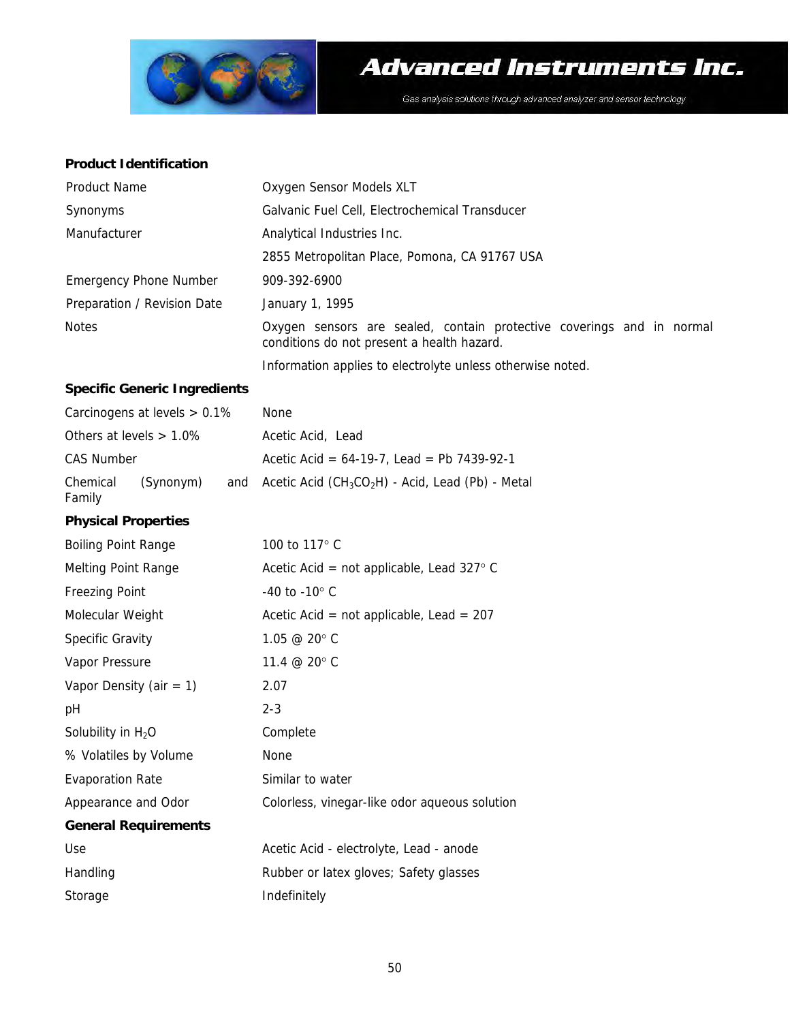

#### **Product Identification**

| Product Name                | Oxygen Sensor Models XLT                                                                                            |
|-----------------------------|---------------------------------------------------------------------------------------------------------------------|
| Synonyms                    | Galvanic Fuel Cell, Electrochemical Transducer                                                                      |
| Manufacturer                | Analytical Industries Inc.                                                                                          |
|                             | 2855 Metropolitan Place, Pomona, CA 91767 USA                                                                       |
| Emergency Phone Number      | 909-392-6900                                                                                                        |
| Preparation / Revision Date | January 1, 1995                                                                                                     |
| <b>Notes</b>                | Oxygen sensors are sealed, contain protective coverings and in normal<br>conditions do not present a health hazard. |
|                             | Information applies to electrolyte unless otherwise noted.                                                          |

#### **Specific Generic Ingredients**

|                    | Carcinogens at levels $> 0.1\%$ | None                                                      |
|--------------------|---------------------------------|-----------------------------------------------------------|
|                    | Others at levels $> 1.0\%$      | Acetic Acid, Lead                                         |
| CAS Number         |                                 | Acetic Acid = $64-19-7$ , Lead = Pb 7439-92-1             |
| Chemical<br>Family | (Synonym)                       | and Acetic Acid ( $CH_3CO_2H$ ) - Acid, Lead (Pb) - Metal |

### **Physical Properties**

| <b>Boiling Point Range</b>  | 100 to 117° C                                      |
|-----------------------------|----------------------------------------------------|
| Melting Point Range         | Acetic Acid = not applicable, Lead $327^{\circ}$ C |
| Freezing Point              | $-40$ to $-10^{\circ}$ C                           |
| Molecular Weight            | Acetic Acid = not applicable, Lead = $207$         |
| Specific Gravity            | 1.05 @ 20° C                                       |
| Vapor Pressure              | 11.4 @ 20° C                                       |
| Vapor Density (air = $1$ )  | 2.07                                               |
| рH                          | $2 - 3$                                            |
| Solubility in $H_2O$        | Complete                                           |
| % Volatiles by Volume       | None                                               |
| Evaporation Rate            | Similar to water                                   |
| Appearance and Odor         | Colorless, vinegar-like odor aqueous solution      |
| <b>General Requirements</b> |                                                    |
| Use                         | Acetic Acid - electrolyte, Lead - anode            |
| Handling                    | Rubber or latex gloves; Safety glasses             |
| Storage                     | Indefinitely                                       |
|                             |                                                    |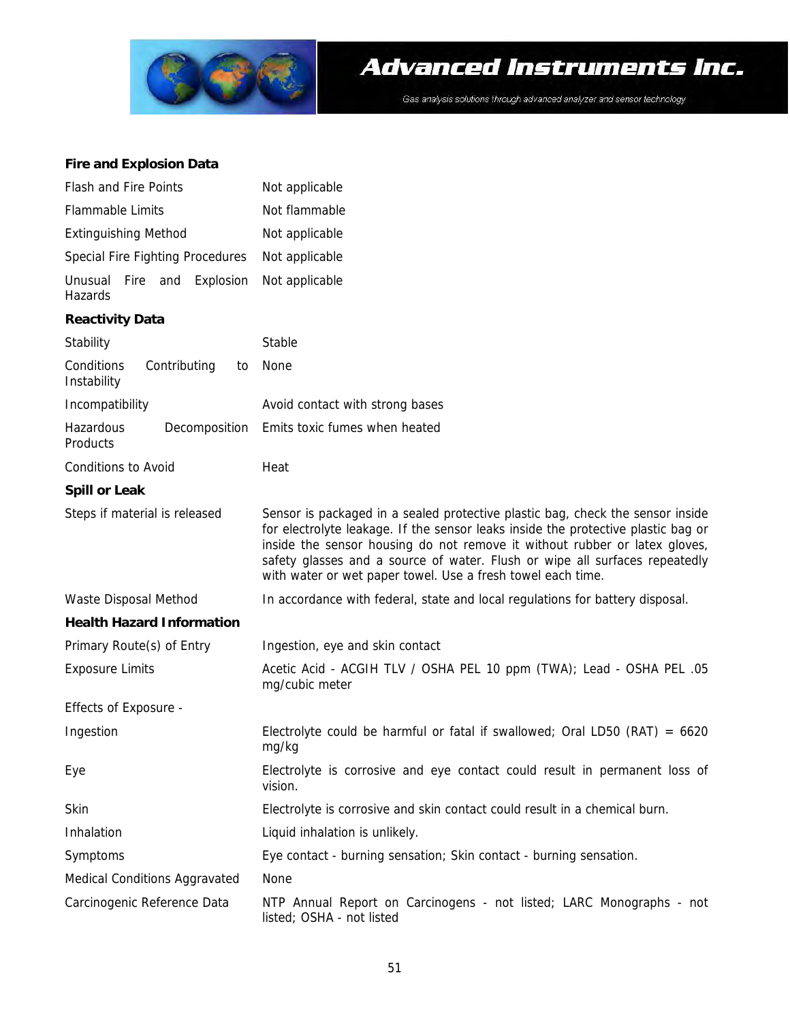

#### **Fire and Explosion Data**

| Flash and Fire Points                           | Not applicable                                                                                                                                                                                                                                                                                                                                                                                  |  |
|-------------------------------------------------|-------------------------------------------------------------------------------------------------------------------------------------------------------------------------------------------------------------------------------------------------------------------------------------------------------------------------------------------------------------------------------------------------|--|
| Flammable Limits                                | Not flammable                                                                                                                                                                                                                                                                                                                                                                                   |  |
| <b>Extinguishing Method</b>                     | Not applicable                                                                                                                                                                                                                                                                                                                                                                                  |  |
| Special Fire Fighting Procedures                | Not applicable                                                                                                                                                                                                                                                                                                                                                                                  |  |
| Fire and<br>Explosion<br>Unusual<br>Hazards     | Not applicable                                                                                                                                                                                                                                                                                                                                                                                  |  |
| <b>Reactivity Data</b>                          |                                                                                                                                                                                                                                                                                                                                                                                                 |  |
| Stability                                       | Stable                                                                                                                                                                                                                                                                                                                                                                                          |  |
| Conditions<br>Contributing<br>to<br>Instability | None                                                                                                                                                                                                                                                                                                                                                                                            |  |
| Incompatibility                                 | Avoid contact with strong bases                                                                                                                                                                                                                                                                                                                                                                 |  |
| Hazardous<br>Decomposition<br>Products          | Emits toxic fumes when heated                                                                                                                                                                                                                                                                                                                                                                   |  |
| Conditions to Avoid                             | Heat                                                                                                                                                                                                                                                                                                                                                                                            |  |
| <b>Spill or Leak</b>                            |                                                                                                                                                                                                                                                                                                                                                                                                 |  |
| Steps if material is released                   | Sensor is packaged in a sealed protective plastic bag, check the sensor inside<br>for electrolyte leakage. If the sensor leaks inside the protective plastic bag or<br>inside the sensor housing do not remove it without rubber or latex gloves,<br>safety glasses and a source of water. Flush or wipe all surfaces repeatedly<br>with water or wet paper towel. Use a fresh towel each time. |  |
| Waste Disposal Method                           | In accordance with federal, state and local regulations for battery disposal.                                                                                                                                                                                                                                                                                                                   |  |
| <b>Health Hazard Information</b>                |                                                                                                                                                                                                                                                                                                                                                                                                 |  |
| Primary Route(s) of Entry                       | Ingestion, eye and skin contact                                                                                                                                                                                                                                                                                                                                                                 |  |
| <b>Exposure Limits</b>                          | Acetic Acid - ACGIH TLV / OSHA PEL 10 ppm (TWA); Lead - OSHA PEL .05<br>mg/cubic meter                                                                                                                                                                                                                                                                                                          |  |
| Effects of Exposure -                           |                                                                                                                                                                                                                                                                                                                                                                                                 |  |
| Ingestion                                       | Electrolyte could be harmful or fatal if swallowed; Oral LD50 (RAT) = $6620$<br>mg/kg                                                                                                                                                                                                                                                                                                           |  |
| Eye                                             | Electrolyte is corrosive and eye contact could result in permanent loss of<br>vision.                                                                                                                                                                                                                                                                                                           |  |
| Skin                                            | Electrolyte is corrosive and skin contact could result in a chemical burn.                                                                                                                                                                                                                                                                                                                      |  |
| Inhalation                                      | Liquid inhalation is unlikely.                                                                                                                                                                                                                                                                                                                                                                  |  |
| Symptoms                                        | Eye contact - burning sensation; Skin contact - burning sensation.                                                                                                                                                                                                                                                                                                                              |  |
| Medical Conditions Aggravated                   | None                                                                                                                                                                                                                                                                                                                                                                                            |  |
| Carcinogenic Reference Data                     | NTP Annual Report on Carcinogens - not listed; LARC Monographs - not<br>listed; OSHA - not listed                                                                                                                                                                                                                                                                                               |  |